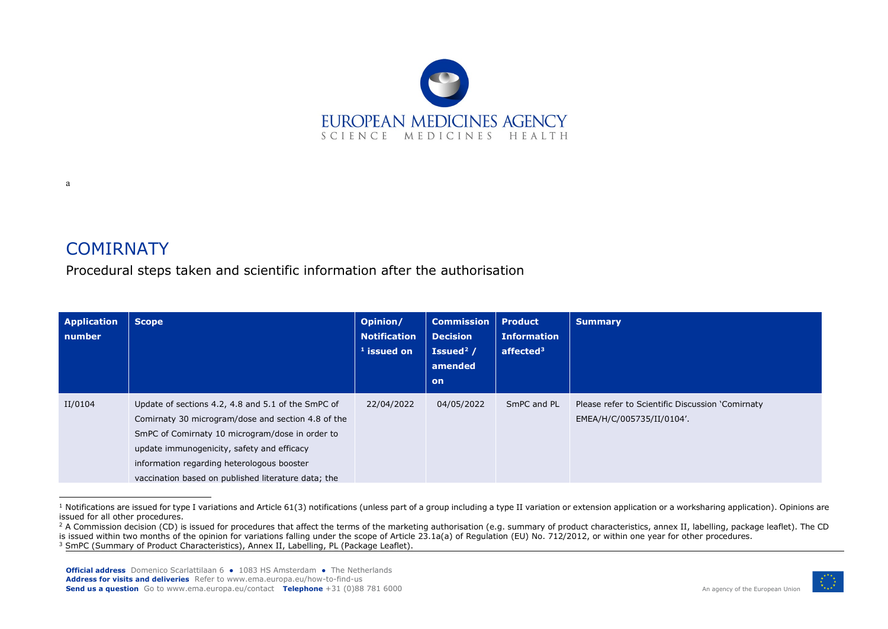<span id="page-0-2"></span><span id="page-0-1"></span><span id="page-0-0"></span>

## **COMIRNATY**

a

Procedural steps taken and scientific information after the authorisation

| <b>Application</b><br>number | <b>Scope</b>                                                                                                                                                                                                                                                                                                   | Opinion/<br><b>Notification</b><br>$1$ issued on | <b>Commission</b><br><b>Decision</b><br>Issued <sup>2</sup> /<br>amended<br><b>on</b> | <b>Product</b><br><b>Information</b><br>affected $3$ | <b>Summary</b>                                                                |
|------------------------------|----------------------------------------------------------------------------------------------------------------------------------------------------------------------------------------------------------------------------------------------------------------------------------------------------------------|--------------------------------------------------|---------------------------------------------------------------------------------------|------------------------------------------------------|-------------------------------------------------------------------------------|
| II/0104                      | Update of sections 4.2, 4.8 and 5.1 of the SmPC of<br>Comirnaty 30 microgram/dose and section 4.8 of the<br>SmPC of Comirnaty 10 microgram/dose in order to<br>update immunogenicity, safety and efficacy<br>information regarding heterologous booster<br>vaccination based on published literature data; the | 22/04/2022                                       | 04/05/2022                                                                            | SmPC and PL                                          | Please refer to Scientific Discussion 'Comirnaty<br>EMEA/H/C/005735/II/0104'. |

<sup>&</sup>lt;sup>1</sup> Notifications are issued for type I variations and Article 61(3) notifications (unless part of a group including a type II variation or extension application or a worksharing application). Opinions are issued for all other procedures.



<sup>&</sup>lt;sup>2</sup> A Commission decision (CD) is issued for procedures that affect the terms of the marketing authorisation (e.g. summary of product characteristics, annex II, labelling, package leaflet). The CD is issued within two months of the opinion for variations falling under the scope of Article 23.1a(a) of Regulation (EU) No. 712/2012, or within one year for other procedures. <sup>3</sup> SmPC (Summary of Product Characteristics), Annex II, Labelling, PL (Package Leaflet).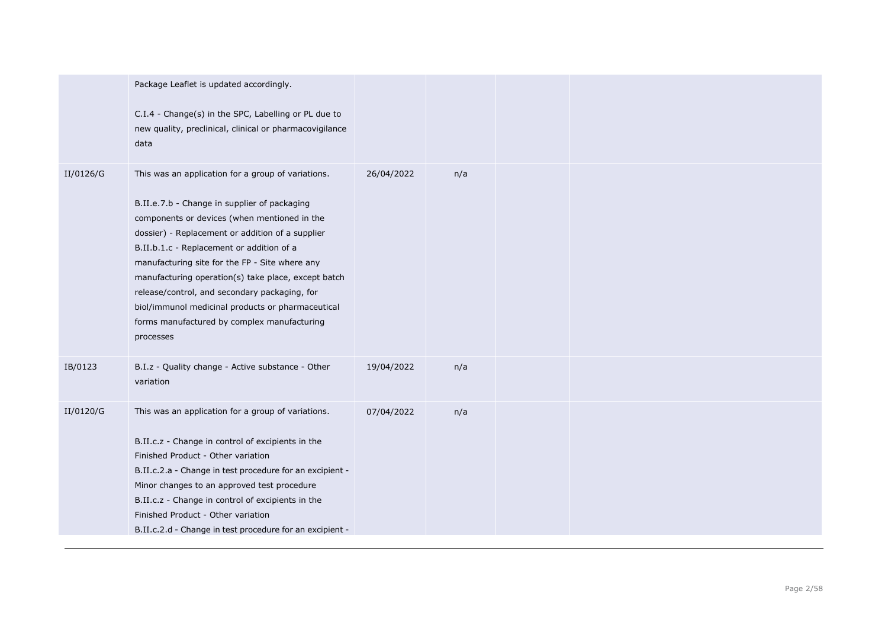|           | Package Leaflet is updated accordingly.<br>C.I.4 - Change(s) in the SPC, Labelling or PL due to<br>new quality, preclinical, clinical or pharmacovigilance<br>data                                                                                                                                                                                                                                                                                                                                                             |            |     |  |  |
|-----------|--------------------------------------------------------------------------------------------------------------------------------------------------------------------------------------------------------------------------------------------------------------------------------------------------------------------------------------------------------------------------------------------------------------------------------------------------------------------------------------------------------------------------------|------------|-----|--|--|
| II/0126/G | This was an application for a group of variations.<br>B.II.e.7.b - Change in supplier of packaging<br>components or devices (when mentioned in the<br>dossier) - Replacement or addition of a supplier<br>B.II.b.1.c - Replacement or addition of a<br>manufacturing site for the FP - Site where any<br>manufacturing operation(s) take place, except batch<br>release/control, and secondary packaging, for<br>biol/immunol medicinal products or pharmaceutical<br>forms manufactured by complex manufacturing<br>processes | 26/04/2022 | n/a |  |  |
| IB/0123   | B.I.z - Quality change - Active substance - Other<br>variation                                                                                                                                                                                                                                                                                                                                                                                                                                                                 | 19/04/2022 | n/a |  |  |
| II/0120/G | This was an application for a group of variations.<br>B.II.c.z - Change in control of excipients in the<br>Finished Product - Other variation<br>B.II.c.2.a - Change in test procedure for an excipient -<br>Minor changes to an approved test procedure<br>B.II.c.z - Change in control of excipients in the<br>Finished Product - Other variation<br>B.II.c.2.d - Change in test procedure for an excipient -                                                                                                                | 07/04/2022 | n/a |  |  |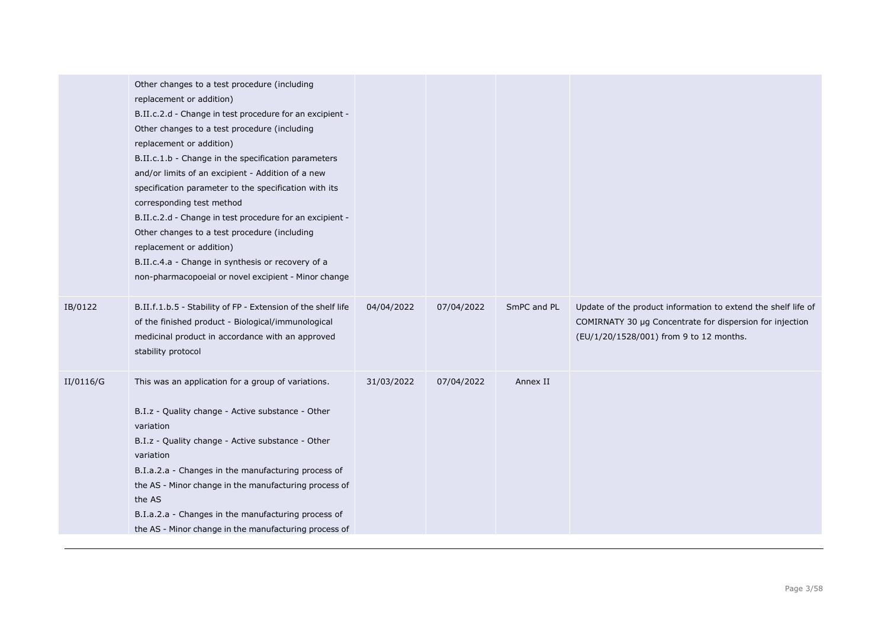|           | Other changes to a test procedure (including<br>replacement or addition)<br>B.II.c.2.d - Change in test procedure for an excipient -<br>Other changes to a test procedure (including<br>replacement or addition)<br>B.II.c.1.b - Change in the specification parameters<br>and/or limits of an excipient - Addition of a new<br>specification parameter to the specification with its<br>corresponding test method<br>B.II.c.2.d - Change in test procedure for an excipient -<br>Other changes to a test procedure (including<br>replacement or addition)<br>B.II.c.4.a - Change in synthesis or recovery of a<br>non-pharmacopoeial or novel excipient - Minor change |            |            |             |                                                                                                                                                                      |
|-----------|-------------------------------------------------------------------------------------------------------------------------------------------------------------------------------------------------------------------------------------------------------------------------------------------------------------------------------------------------------------------------------------------------------------------------------------------------------------------------------------------------------------------------------------------------------------------------------------------------------------------------------------------------------------------------|------------|------------|-------------|----------------------------------------------------------------------------------------------------------------------------------------------------------------------|
| IB/0122   | B.II.f.1.b.5 - Stability of FP - Extension of the shelf life<br>of the finished product - Biological/immunological<br>medicinal product in accordance with an approved<br>stability protocol                                                                                                                                                                                                                                                                                                                                                                                                                                                                            | 04/04/2022 | 07/04/2022 | SmPC and PL | Update of the product information to extend the shelf life of<br>COMIRNATY 30 µg Concentrate for dispersion for injection<br>(EU/1/20/1528/001) from 9 to 12 months. |
| II/0116/G | This was an application for a group of variations.<br>B.I.z - Quality change - Active substance - Other<br>variation<br>B.I.z - Quality change - Active substance - Other<br>variation<br>B.I.a.2.a - Changes in the manufacturing process of<br>the AS - Minor change in the manufacturing process of<br>the AS<br>B.I.a.2.a - Changes in the manufacturing process of<br>the AS - Minor change in the manufacturing process of                                                                                                                                                                                                                                        | 31/03/2022 | 07/04/2022 | Annex II    |                                                                                                                                                                      |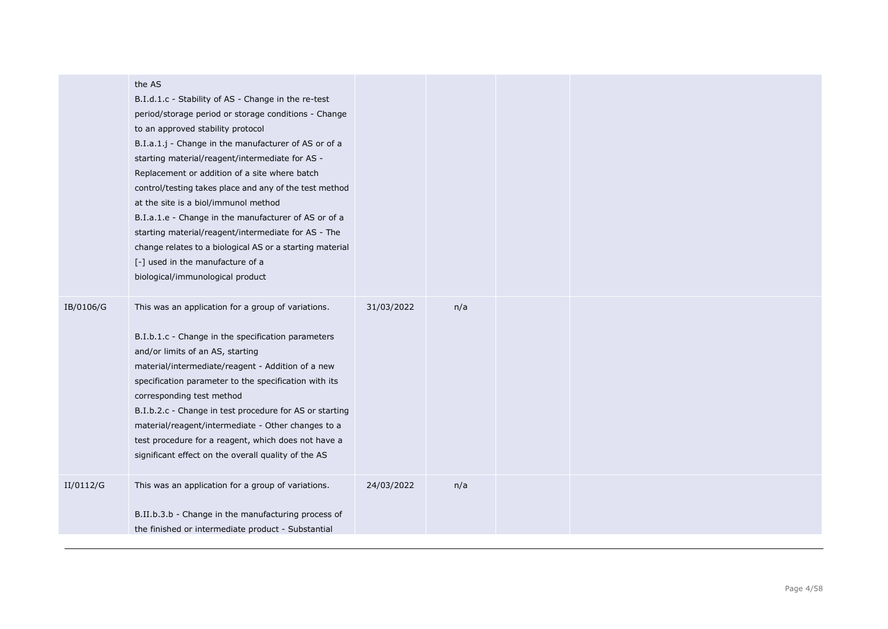|           | the AS<br>B.I.d.1.c - Stability of AS - Change in the re-test<br>period/storage period or storage conditions - Change<br>to an approved stability protocol<br>B.I.a.1.j - Change in the manufacturer of AS or of a<br>starting material/reagent/intermediate for AS -<br>Replacement or addition of a site where batch<br>control/testing takes place and any of the test method<br>at the site is a biol/immunol method<br>B.I.a.1.e - Change in the manufacturer of AS or of a<br>starting material/reagent/intermediate for AS - The<br>change relates to a biological AS or a starting material<br>[-] used in the manufacture of a<br>biological/immunological product |            |     |  |
|-----------|-----------------------------------------------------------------------------------------------------------------------------------------------------------------------------------------------------------------------------------------------------------------------------------------------------------------------------------------------------------------------------------------------------------------------------------------------------------------------------------------------------------------------------------------------------------------------------------------------------------------------------------------------------------------------------|------------|-----|--|
| IB/0106/G | This was an application for a group of variations.<br>B.I.b.1.c - Change in the specification parameters<br>and/or limits of an AS, starting<br>material/intermediate/reagent - Addition of a new<br>specification parameter to the specification with its<br>corresponding test method<br>B.I.b.2.c - Change in test procedure for AS or starting<br>material/reagent/intermediate - Other changes to a<br>test procedure for a reagent, which does not have a<br>significant effect on the overall quality of the AS                                                                                                                                                      | 31/03/2022 | n/a |  |
| II/0112/G | This was an application for a group of variations.<br>B.II.b.3.b - Change in the manufacturing process of<br>the finished or intermediate product - Substantial                                                                                                                                                                                                                                                                                                                                                                                                                                                                                                             | 24/03/2022 | n/a |  |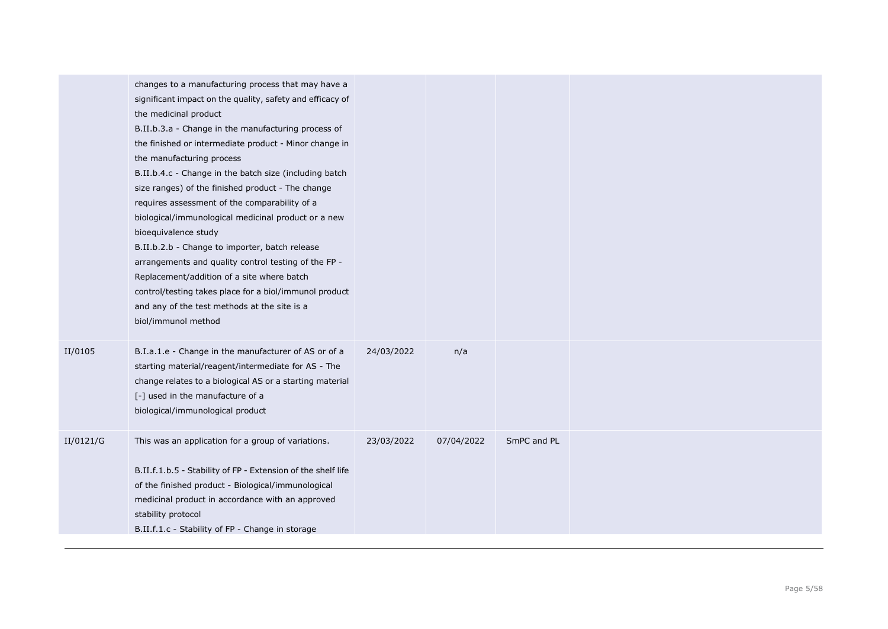|           | changes to a manufacturing process that may have a<br>significant impact on the quality, safety and efficacy of<br>the medicinal product<br>B.II.b.3.a - Change in the manufacturing process of<br>the finished or intermediate product - Minor change in<br>the manufacturing process<br>B.II.b.4.c - Change in the batch size (including batch<br>size ranges) of the finished product - The change<br>requires assessment of the comparability of a<br>biological/immunological medicinal product or a new<br>bioequivalence study<br>B.II.b.2.b - Change to importer, batch release<br>arrangements and quality control testing of the FP -<br>Replacement/addition of a site where batch<br>control/testing takes place for a biol/immunol product<br>and any of the test methods at the site is a<br>biol/immunol method |            |            |             |  |
|-----------|--------------------------------------------------------------------------------------------------------------------------------------------------------------------------------------------------------------------------------------------------------------------------------------------------------------------------------------------------------------------------------------------------------------------------------------------------------------------------------------------------------------------------------------------------------------------------------------------------------------------------------------------------------------------------------------------------------------------------------------------------------------------------------------------------------------------------------|------------|------------|-------------|--|
| II/0105   | B.I.a.1.e - Change in the manufacturer of AS or of a<br>starting material/reagent/intermediate for AS - The<br>change relates to a biological AS or a starting material<br>[-] used in the manufacture of a<br>biological/immunological product                                                                                                                                                                                                                                                                                                                                                                                                                                                                                                                                                                                | 24/03/2022 | n/a        |             |  |
| II/0121/G | This was an application for a group of variations.<br>B.II.f.1.b.5 - Stability of FP - Extension of the shelf life<br>of the finished product - Biological/immunological<br>medicinal product in accordance with an approved<br>stability protocol<br>B.II.f.1.c - Stability of FP - Change in storage                                                                                                                                                                                                                                                                                                                                                                                                                                                                                                                         | 23/03/2022 | 07/04/2022 | SmPC and PL |  |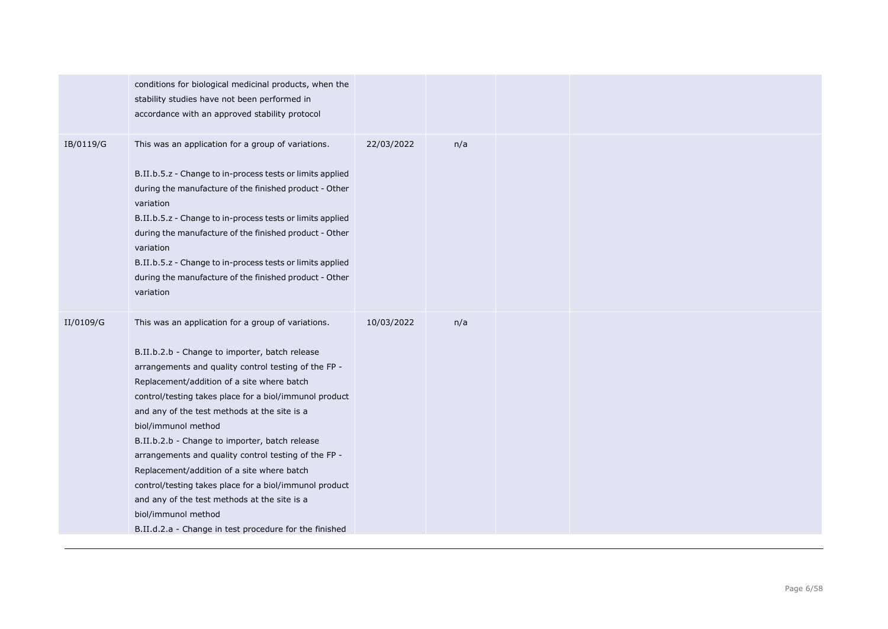|           | conditions for biological medicinal products, when the<br>stability studies have not been performed in<br>accordance with an approved stability protocol                                                                                                                                                                                                                                                                                                                                                                                                                                                                                                                                       |            |     |  |
|-----------|------------------------------------------------------------------------------------------------------------------------------------------------------------------------------------------------------------------------------------------------------------------------------------------------------------------------------------------------------------------------------------------------------------------------------------------------------------------------------------------------------------------------------------------------------------------------------------------------------------------------------------------------------------------------------------------------|------------|-----|--|
| IB/0119/G | This was an application for a group of variations.<br>B.II.b.5.z - Change to in-process tests or limits applied<br>during the manufacture of the finished product - Other<br>variation<br>B.II.b.5.z - Change to in-process tests or limits applied<br>during the manufacture of the finished product - Other<br>variation<br>B.II.b.5.z - Change to in-process tests or limits applied<br>during the manufacture of the finished product - Other<br>variation                                                                                                                                                                                                                                 | 22/03/2022 | n/a |  |
| II/0109/G | This was an application for a group of variations.<br>B.II.b.2.b - Change to importer, batch release<br>arrangements and quality control testing of the FP -<br>Replacement/addition of a site where batch<br>control/testing takes place for a biol/immunol product<br>and any of the test methods at the site is a<br>biol/immunol method<br>B.II.b.2.b - Change to importer, batch release<br>arrangements and quality control testing of the FP -<br>Replacement/addition of a site where batch<br>control/testing takes place for a biol/immunol product<br>and any of the test methods at the site is a<br>biol/immunol method<br>B.II.d.2.a - Change in test procedure for the finished | 10/03/2022 | n/a |  |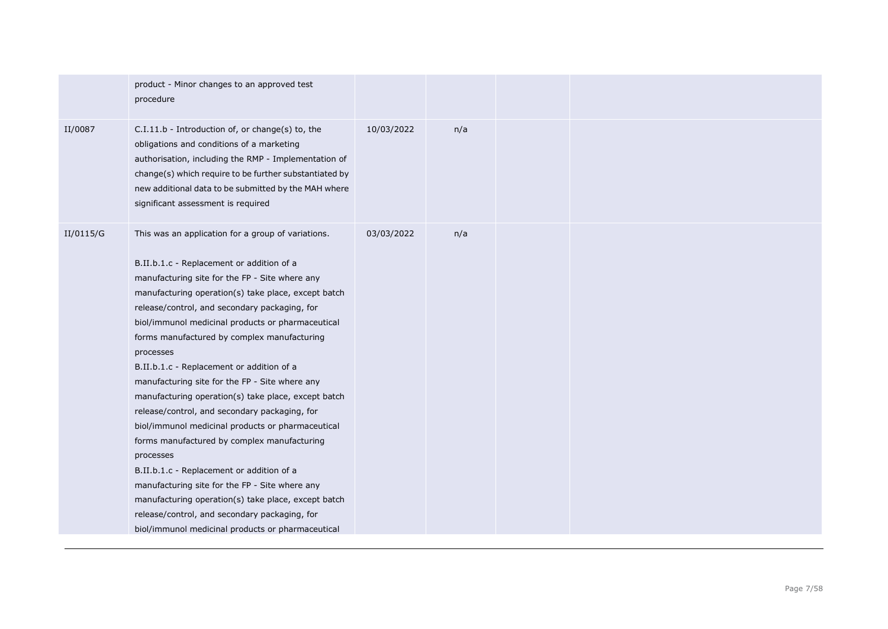|           | product - Minor changes to an approved test<br>procedure                                                                                                                                                                                                                                                                                                                                                                                                                                                                                                                                                                                                                                                                                                                                                                                                                                                                                                       |            |     |  |  |
|-----------|----------------------------------------------------------------------------------------------------------------------------------------------------------------------------------------------------------------------------------------------------------------------------------------------------------------------------------------------------------------------------------------------------------------------------------------------------------------------------------------------------------------------------------------------------------------------------------------------------------------------------------------------------------------------------------------------------------------------------------------------------------------------------------------------------------------------------------------------------------------------------------------------------------------------------------------------------------------|------------|-----|--|--|
| II/0087   | C.I.11.b - Introduction of, or change(s) to, the<br>obligations and conditions of a marketing<br>authorisation, including the RMP - Implementation of<br>change(s) which require to be further substantiated by<br>new additional data to be submitted by the MAH where<br>significant assessment is required                                                                                                                                                                                                                                                                                                                                                                                                                                                                                                                                                                                                                                                  | 10/03/2022 | n/a |  |  |
| II/0115/G | This was an application for a group of variations.<br>B.II.b.1.c - Replacement or addition of a<br>manufacturing site for the FP - Site where any<br>manufacturing operation(s) take place, except batch<br>release/control, and secondary packaging, for<br>biol/immunol medicinal products or pharmaceutical<br>forms manufactured by complex manufacturing<br>processes<br>B.II.b.1.c - Replacement or addition of a<br>manufacturing site for the FP - Site where any<br>manufacturing operation(s) take place, except batch<br>release/control, and secondary packaging, for<br>biol/immunol medicinal products or pharmaceutical<br>forms manufactured by complex manufacturing<br>processes<br>B.II.b.1.c - Replacement or addition of a<br>manufacturing site for the FP - Site where any<br>manufacturing operation(s) take place, except batch<br>release/control, and secondary packaging, for<br>biol/immunol medicinal products or pharmaceutical | 03/03/2022 | n/a |  |  |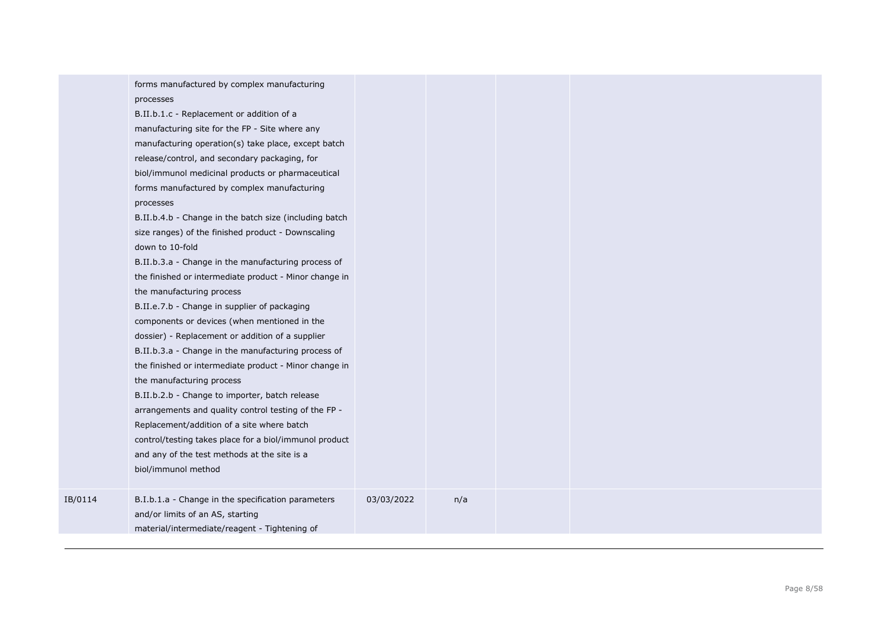|         | forms manufactured by complex manufacturing<br>processes<br>B.II.b.1.c - Replacement or addition of a<br>manufacturing site for the FP - Site where any<br>manufacturing operation(s) take place, except batch<br>release/control, and secondary packaging, for<br>biol/immunol medicinal products or pharmaceutical<br>forms manufactured by complex manufacturing<br>processes<br>B.II.b.4.b - Change in the batch size (including batch<br>size ranges) of the finished product - Downscaling<br>down to 10-fold<br>B.II.b.3.a - Change in the manufacturing process of<br>the finished or intermediate product - Minor change in<br>the manufacturing process<br>B.II.e.7.b - Change in supplier of packaging<br>components or devices (when mentioned in the<br>dossier) - Replacement or addition of a supplier<br>B.II.b.3.a - Change in the manufacturing process of<br>the finished or intermediate product - Minor change in<br>the manufacturing process<br>B.II.b.2.b - Change to importer, batch release<br>arrangements and quality control testing of the FP -<br>Replacement/addition of a site where batch<br>control/testing takes place for a biol/immunol product<br>and any of the test methods at the site is a<br>biol/immunol method |            |     |  |  |
|---------|--------------------------------------------------------------------------------------------------------------------------------------------------------------------------------------------------------------------------------------------------------------------------------------------------------------------------------------------------------------------------------------------------------------------------------------------------------------------------------------------------------------------------------------------------------------------------------------------------------------------------------------------------------------------------------------------------------------------------------------------------------------------------------------------------------------------------------------------------------------------------------------------------------------------------------------------------------------------------------------------------------------------------------------------------------------------------------------------------------------------------------------------------------------------------------------------------------------------------------------------------------------|------------|-----|--|--|
| IB/0114 | B.I.b.1.a - Change in the specification parameters<br>and/or limits of an AS, starting<br>material/intermediate/reagent - Tightening of                                                                                                                                                                                                                                                                                                                                                                                                                                                                                                                                                                                                                                                                                                                                                                                                                                                                                                                                                                                                                                                                                                                      | 03/03/2022 | n/a |  |  |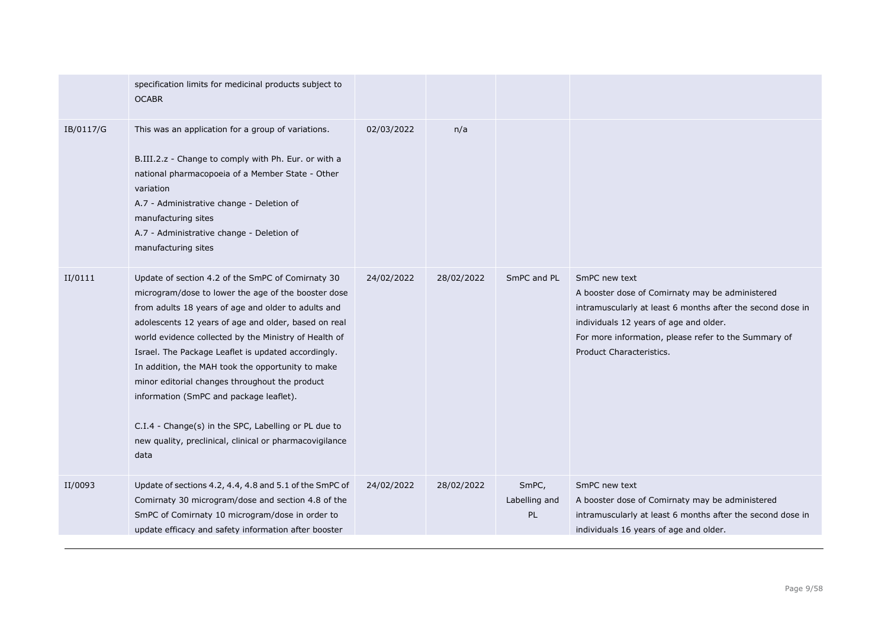|           | specification limits for medicinal products subject to<br><b>OCABR</b>                                                                                                                                                                                                                                                                                                                                                                                                                                                                                                                                               |            |            |                              |                                                                                                                                                                                                                                                              |
|-----------|----------------------------------------------------------------------------------------------------------------------------------------------------------------------------------------------------------------------------------------------------------------------------------------------------------------------------------------------------------------------------------------------------------------------------------------------------------------------------------------------------------------------------------------------------------------------------------------------------------------------|------------|------------|------------------------------|--------------------------------------------------------------------------------------------------------------------------------------------------------------------------------------------------------------------------------------------------------------|
| IB/0117/G | This was an application for a group of variations.<br>B.III.2.z - Change to comply with Ph. Eur. or with a<br>national pharmacopoeia of a Member State - Other<br>variation<br>A.7 - Administrative change - Deletion of<br>manufacturing sites<br>A.7 - Administrative change - Deletion of<br>manufacturing sites                                                                                                                                                                                                                                                                                                  | 02/03/2022 | n/a        |                              |                                                                                                                                                                                                                                                              |
| II/0111   | Update of section 4.2 of the SmPC of Comirnaty 30<br>microgram/dose to lower the age of the booster dose<br>from adults 18 years of age and older to adults and<br>adolescents 12 years of age and older, based on real<br>world evidence collected by the Ministry of Health of<br>Israel. The Package Leaflet is updated accordingly.<br>In addition, the MAH took the opportunity to make<br>minor editorial changes throughout the product<br>information (SmPC and package leaflet).<br>C.I.4 - Change(s) in the SPC, Labelling or PL due to<br>new quality, preclinical, clinical or pharmacovigilance<br>data | 24/02/2022 | 28/02/2022 | SmPC and PL                  | SmPC new text<br>A booster dose of Comirnaty may be administered<br>intramuscularly at least 6 months after the second dose in<br>individuals 12 years of age and older.<br>For more information, please refer to the Summary of<br>Product Characteristics. |
| II/0093   | Update of sections 4.2, 4.4, 4.8 and 5.1 of the SmPC of<br>Comirnaty 30 microgram/dose and section 4.8 of the<br>SmPC of Comirnaty 10 microgram/dose in order to<br>update efficacy and safety information after booster                                                                                                                                                                                                                                                                                                                                                                                             | 24/02/2022 | 28/02/2022 | SmPC,<br>Labelling and<br>PL | SmPC new text<br>A booster dose of Comirnaty may be administered<br>intramuscularly at least 6 months after the second dose in<br>individuals 16 years of age and older.                                                                                     |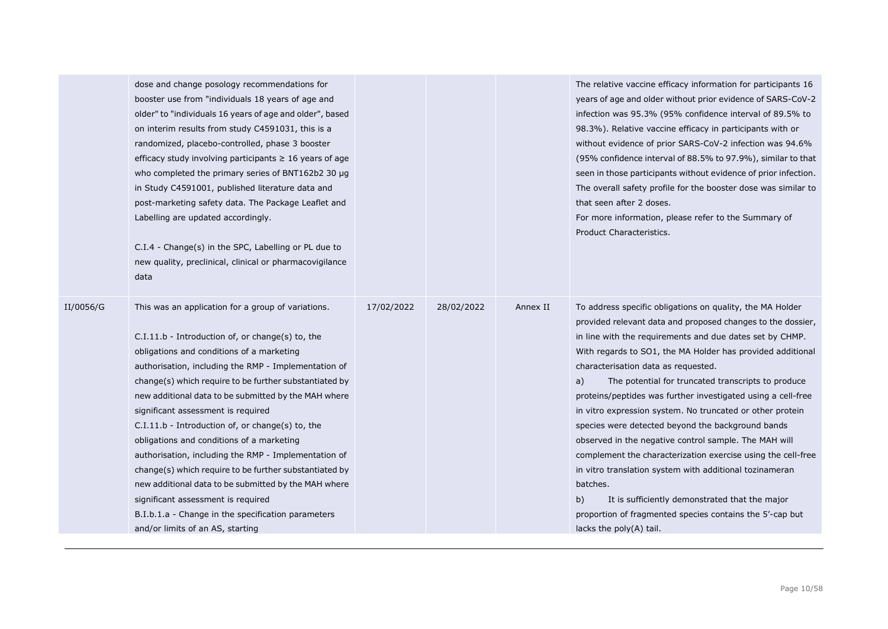|           | dose and change posology recommendations for<br>booster use from "individuals 18 years of age and<br>older" to "individuals 16 years of age and older", based<br>on interim results from study C4591031, this is a<br>randomized, placebo-controlled, phase 3 booster<br>efficacy study involving participants $\geq 16$ years of age<br>who completed the primary series of BNT162b2 30 µg<br>in Study C4591001, published literature data and<br>post-marketing safety data. The Package Leaflet and<br>Labelling are updated accordingly.<br>C.I.4 - Change(s) in the SPC, Labelling or PL due to<br>new quality, preclinical, clinical or pharmacovigilance<br>data                                                                                                          |            |            |          | The relative vaccine efficacy information for participants 16<br>years of age and older without prior evidence of SARS-CoV-2<br>infection was 95.3% (95% confidence interval of 89.5% to<br>98.3%). Relative vaccine efficacy in participants with or<br>without evidence of prior SARS-CoV-2 infection was 94.6%<br>(95% confidence interval of 88.5% to 97.9%), similar to that<br>seen in those participants without evidence of prior infection.<br>The overall safety profile for the booster dose was similar to<br>that seen after 2 doses.<br>For more information, please refer to the Summary of<br>Product Characteristics.                                                                                                                                                                                                                                                 |
|-----------|----------------------------------------------------------------------------------------------------------------------------------------------------------------------------------------------------------------------------------------------------------------------------------------------------------------------------------------------------------------------------------------------------------------------------------------------------------------------------------------------------------------------------------------------------------------------------------------------------------------------------------------------------------------------------------------------------------------------------------------------------------------------------------|------------|------------|----------|----------------------------------------------------------------------------------------------------------------------------------------------------------------------------------------------------------------------------------------------------------------------------------------------------------------------------------------------------------------------------------------------------------------------------------------------------------------------------------------------------------------------------------------------------------------------------------------------------------------------------------------------------------------------------------------------------------------------------------------------------------------------------------------------------------------------------------------------------------------------------------------|
| II/0056/G | This was an application for a group of variations.<br>$C.I.11.b$ - Introduction of, or change(s) to, the<br>obligations and conditions of a marketing<br>authorisation, including the RMP - Implementation of<br>change(s) which require to be further substantiated by<br>new additional data to be submitted by the MAH where<br>significant assessment is required<br>C.I.11.b - Introduction of, or change(s) to, the<br>obligations and conditions of a marketing<br>authorisation, including the RMP - Implementation of<br>change(s) which require to be further substantiated by<br>new additional data to be submitted by the MAH where<br>significant assessment is required<br>B.I.b.1.a - Change in the specification parameters<br>and/or limits of an AS, starting | 17/02/2022 | 28/02/2022 | Annex II | To address specific obligations on quality, the MA Holder<br>provided relevant data and proposed changes to the dossier,<br>in line with the requirements and due dates set by CHMP.<br>With regards to SO1, the MA Holder has provided additional<br>characterisation data as requested.<br>The potential for truncated transcripts to produce<br>a)<br>proteins/peptides was further investigated using a cell-free<br>in vitro expression system. No truncated or other protein<br>species were detected beyond the background bands<br>observed in the negative control sample. The MAH will<br>complement the characterization exercise using the cell-free<br>in vitro translation system with additional tozinameran<br>batches.<br>It is sufficiently demonstrated that the major<br>b)<br>proportion of fragmented species contains the 5'-cap but<br>lacks the poly(A) tail. |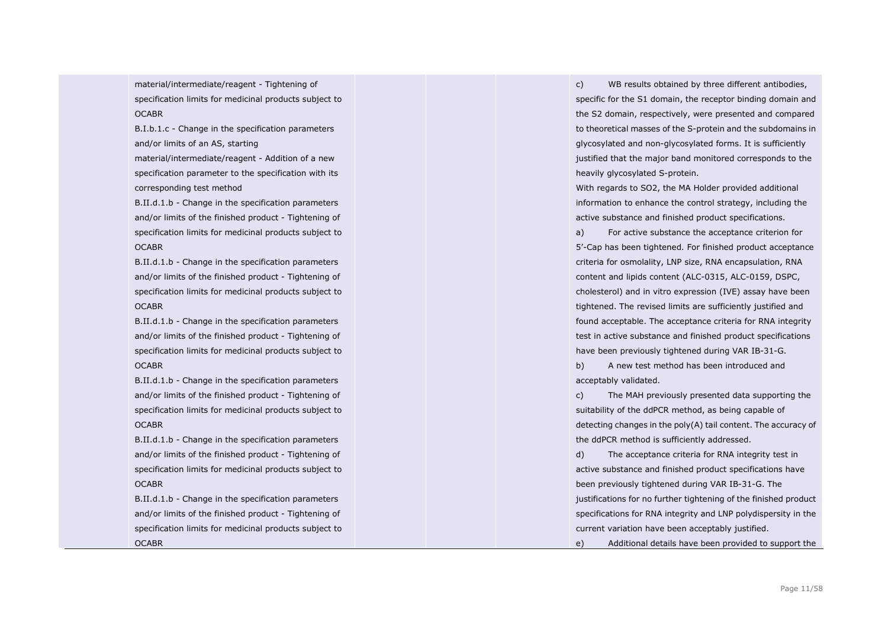material/intermediate/reagent - Tightening of specification limits for medicinal products subject to **OCABR** 

B.I.b.1.c - Change in the specification parameters and/or limits of an AS, starting

material/intermediate/reagent - Addition of a new specification parameter to the specification with its corresponding test method

B.II.d.1.b - Change in the specification parameters and/or limits of the finished product - Tightening of specification limits for medicinal products subject to **OCABR** 

B.II.d.1.b - Change in the specification parameters and/or limits of the finished product - Tightening of specification limits for medicinal products subject to **OCABR** 

B.II.d.1.b - Change in the specification parameters and/or limits of the finished product - Tightening of specification limits for medicinal products subject to OCABR

B.II.d.1.b - Change in the specification parameters and/or limits of the finished product - Tightening of specification limits for medicinal products subject to OCABR

B.II.d.1.b - Change in the specification parameters and/or limits of the finished product - Tightening of specification limits for medicinal products subject to **OCABR** 

B.II.d.1.b - Change in the specification parameters and/or limits of the finished product - Tightening of specification limits for medicinal products subject to

**OCABR** 

c) WB results obtained by three different antibodies, specific for the S1 domain, the receptor binding domain and the S2 domain, respectively, were presented and compared to theoretical masses of the S-protein and the subdomains in glycosylated and non-glycosylated forms. It is sufficiently justified that the major band monitored corresponds to the heavily glycosylated S-protein.

With regards to SO2, the MA Holder provided additional information to enhance the control strategy, including the active substance and finished product specifications.

a) For active substance the acceptance criterion for 5'-Cap has been tightened. For finished product acceptance criteria for osmolality, LNP size, RNA encapsulation, RNA content and lipids content (ALC-0315, ALC-0159, DSPC, cholesterol) and in vitro expression (IVE) assay have been tightened. The revised limits are sufficiently justified and found acceptable. The acceptance criteria for RNA integrity test in active substance and finished product specifications have been previously tightened during VAR IB-31-G.

b) A new test method has been introduced and acceptably validated.

c) The MAH previously presented data supporting the suitability of the ddPCR method, as being capable of detecting changes in the poly(A) tail content. The accuracy of the ddPCR method is sufficiently addressed.

d) The acceptance criteria for RNA integrity test in active substance and finished product specifications have been previously tightened during VAR IB-31-G. The justifications for no further tightening of the finished product specifications for RNA integrity and LNP polydispersity in the current variation have been acceptably justified.

e) Additional details have been provided to support the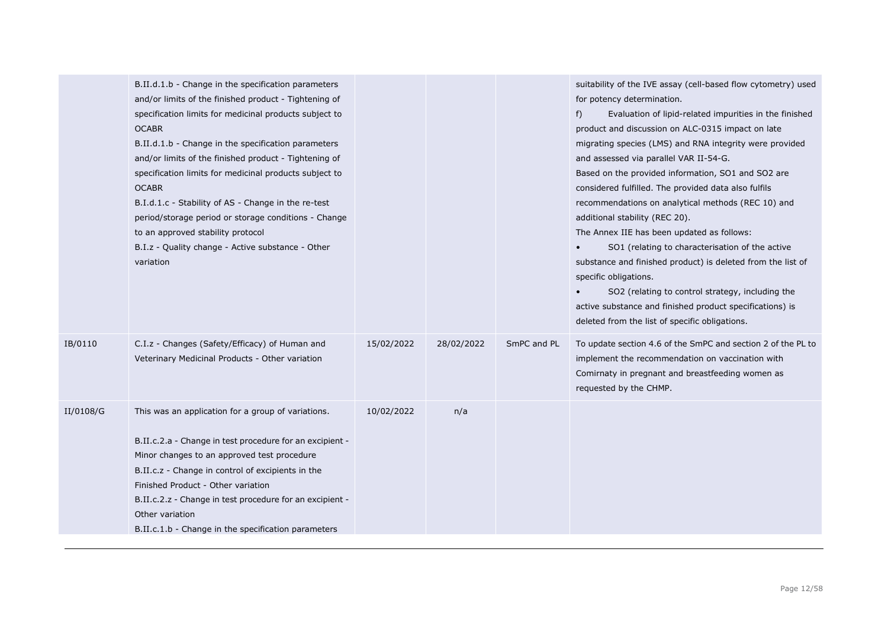|           | B.II.d.1.b - Change in the specification parameters      |            |            |             | suitability of the IVE assay (cell-based flow cytometry) used |
|-----------|----------------------------------------------------------|------------|------------|-------------|---------------------------------------------------------------|
|           | and/or limits of the finished product - Tightening of    |            |            |             | for potency determination.                                    |
|           | specification limits for medicinal products subject to   |            |            |             | Evaluation of lipid-related impurities in the finished<br>f)  |
|           | <b>OCABR</b>                                             |            |            |             | product and discussion on ALC-0315 impact on late             |
|           | B.II.d.1.b - Change in the specification parameters      |            |            |             | migrating species (LMS) and RNA integrity were provided       |
|           | and/or limits of the finished product - Tightening of    |            |            |             | and assessed via parallel VAR II-54-G.                        |
|           | specification limits for medicinal products subject to   |            |            |             | Based on the provided information, SO1 and SO2 are            |
|           | <b>OCABR</b>                                             |            |            |             | considered fulfilled. The provided data also fulfils          |
|           | B.I.d.1.c - Stability of AS - Change in the re-test      |            |            |             | recommendations on analytical methods (REC 10) and            |
|           | period/storage period or storage conditions - Change     |            |            |             | additional stability (REC 20).                                |
|           | to an approved stability protocol                        |            |            |             | The Annex IIE has been updated as follows:                    |
|           | B.I.z - Quality change - Active substance - Other        |            |            |             | SO1 (relating to characterisation of the active               |
|           | variation                                                |            |            |             | substance and finished product) is deleted from the list of   |
|           |                                                          |            |            |             | specific obligations.                                         |
|           |                                                          |            |            |             | SO2 (relating to control strategy, including the              |
|           |                                                          |            |            |             | active substance and finished product specifications) is      |
|           |                                                          |            |            |             | deleted from the list of specific obligations.                |
| IB/0110   | C.I.z - Changes (Safety/Efficacy) of Human and           | 15/02/2022 | 28/02/2022 | SmPC and PL | To update section 4.6 of the SmPC and section 2 of the PL to  |
|           | Veterinary Medicinal Products - Other variation          |            |            |             | implement the recommendation on vaccination with              |
|           |                                                          |            |            |             | Comirnaty in pregnant and breastfeeding women as              |
|           |                                                          |            |            |             | requested by the CHMP.                                        |
| II/0108/G | This was an application for a group of variations.       | 10/02/2022 | n/a        |             |                                                               |
|           |                                                          |            |            |             |                                                               |
|           | B.II.c.2.a - Change in test procedure for an excipient - |            |            |             |                                                               |
|           | Minor changes to an approved test procedure              |            |            |             |                                                               |
|           | B.II.c.z - Change in control of excipients in the        |            |            |             |                                                               |
|           | Finished Product - Other variation                       |            |            |             |                                                               |
|           | B.II.c.2.z - Change in test procedure for an excipient - |            |            |             |                                                               |
|           | Other variation                                          |            |            |             |                                                               |
|           | B.II.c.1.b - Change in the specification parameters      |            |            |             |                                                               |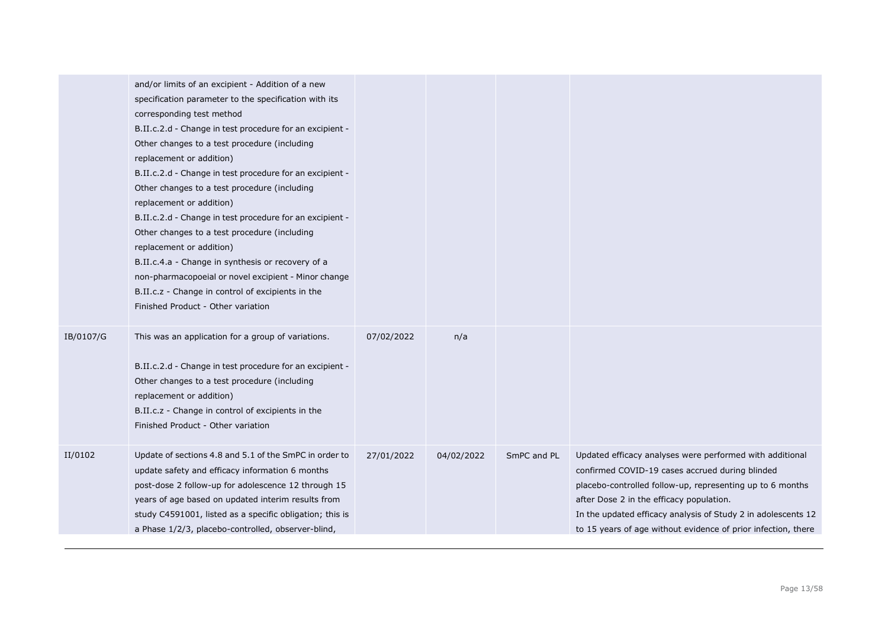|           | and/or limits of an excipient - Addition of a new<br>specification parameter to the specification with its<br>corresponding test method<br>B.II.c.2.d - Change in test procedure for an excipient -<br>Other changes to a test procedure (including<br>replacement or addition)<br>B.II.c.2.d - Change in test procedure for an excipient -<br>Other changes to a test procedure (including<br>replacement or addition)<br>B.II.c.2.d - Change in test procedure for an excipient -<br>Other changes to a test procedure (including<br>replacement or addition)<br>B.II.c.4.a - Change in synthesis or recovery of a<br>non-pharmacopoeial or novel excipient - Minor change<br>B.II.c.z - Change in control of excipients in the<br>Finished Product - Other variation |            |            |             |                                                                                                                                                                                                                                                                                                                                                        |
|-----------|-------------------------------------------------------------------------------------------------------------------------------------------------------------------------------------------------------------------------------------------------------------------------------------------------------------------------------------------------------------------------------------------------------------------------------------------------------------------------------------------------------------------------------------------------------------------------------------------------------------------------------------------------------------------------------------------------------------------------------------------------------------------------|------------|------------|-------------|--------------------------------------------------------------------------------------------------------------------------------------------------------------------------------------------------------------------------------------------------------------------------------------------------------------------------------------------------------|
| IB/0107/G | This was an application for a group of variations.<br>B.II.c.2.d - Change in test procedure for an excipient -<br>Other changes to a test procedure (including<br>replacement or addition)<br>B.II.c.z - Change in control of excipients in the<br>Finished Product - Other variation                                                                                                                                                                                                                                                                                                                                                                                                                                                                                   | 07/02/2022 | n/a        |             |                                                                                                                                                                                                                                                                                                                                                        |
| II/0102   | Update of sections 4.8 and 5.1 of the SmPC in order to<br>update safety and efficacy information 6 months<br>post-dose 2 follow-up for adolescence 12 through 15<br>years of age based on updated interim results from<br>study C4591001, listed as a specific obligation; this is<br>a Phase 1/2/3, placebo-controlled, observer-blind,                                                                                                                                                                                                                                                                                                                                                                                                                                | 27/01/2022 | 04/02/2022 | SmPC and PL | Updated efficacy analyses were performed with additional<br>confirmed COVID-19 cases accrued during blinded<br>placebo-controlled follow-up, representing up to 6 months<br>after Dose 2 in the efficacy population.<br>In the updated efficacy analysis of Study 2 in adolescents 12<br>to 15 years of age without evidence of prior infection, there |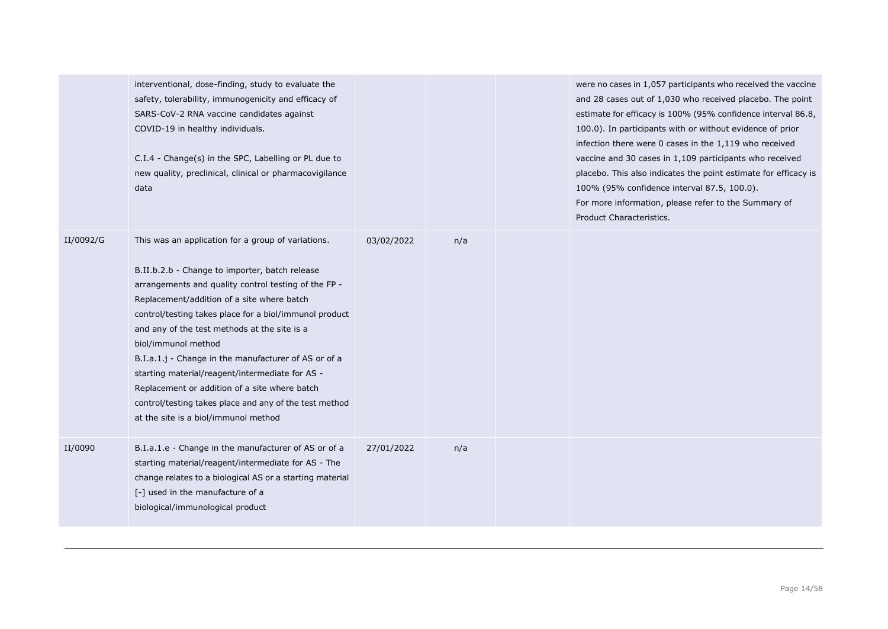|           | interventional, dose-finding, study to evaluate the<br>safety, tolerability, immunogenicity and efficacy of<br>SARS-CoV-2 RNA vaccine candidates against<br>COVID-19 in healthy individuals.<br>C.I.4 - Change(s) in the SPC, Labelling or PL due to<br>new quality, preclinical, clinical or pharmacovigilance<br>data                                                                                                                                                                                                                                                                                   |            |     | were no cases in 1,057 participants who received the vaccine<br>and 28 cases out of 1,030 who received placebo. The point<br>estimate for efficacy is 100% (95% confidence interval 86.8,<br>100.0). In participants with or without evidence of prior<br>infection there were 0 cases in the 1,119 who received<br>vaccine and 30 cases in 1,109 participants who received<br>placebo. This also indicates the point estimate for efficacy is<br>100% (95% confidence interval 87.5, 100.0).<br>For more information, please refer to the Summary of<br>Product Characteristics. |
|-----------|-----------------------------------------------------------------------------------------------------------------------------------------------------------------------------------------------------------------------------------------------------------------------------------------------------------------------------------------------------------------------------------------------------------------------------------------------------------------------------------------------------------------------------------------------------------------------------------------------------------|------------|-----|-----------------------------------------------------------------------------------------------------------------------------------------------------------------------------------------------------------------------------------------------------------------------------------------------------------------------------------------------------------------------------------------------------------------------------------------------------------------------------------------------------------------------------------------------------------------------------------|
| II/0092/G | This was an application for a group of variations.<br>B.II.b.2.b - Change to importer, batch release<br>arrangements and quality control testing of the FP -<br>Replacement/addition of a site where batch<br>control/testing takes place for a biol/immunol product<br>and any of the test methods at the site is a<br>biol/immunol method<br>B.I.a.1.j - Change in the manufacturer of AS or of a<br>starting material/reagent/intermediate for AS -<br>Replacement or addition of a site where batch<br>control/testing takes place and any of the test method<br>at the site is a biol/immunol method | 03/02/2022 | n/a |                                                                                                                                                                                                                                                                                                                                                                                                                                                                                                                                                                                   |
| II/0090   | B.I.a.1.e - Change in the manufacturer of AS or of a<br>starting material/reagent/intermediate for AS - The<br>change relates to a biological AS or a starting material<br>[-] used in the manufacture of a<br>biological/immunological product                                                                                                                                                                                                                                                                                                                                                           | 27/01/2022 | n/a |                                                                                                                                                                                                                                                                                                                                                                                                                                                                                                                                                                                   |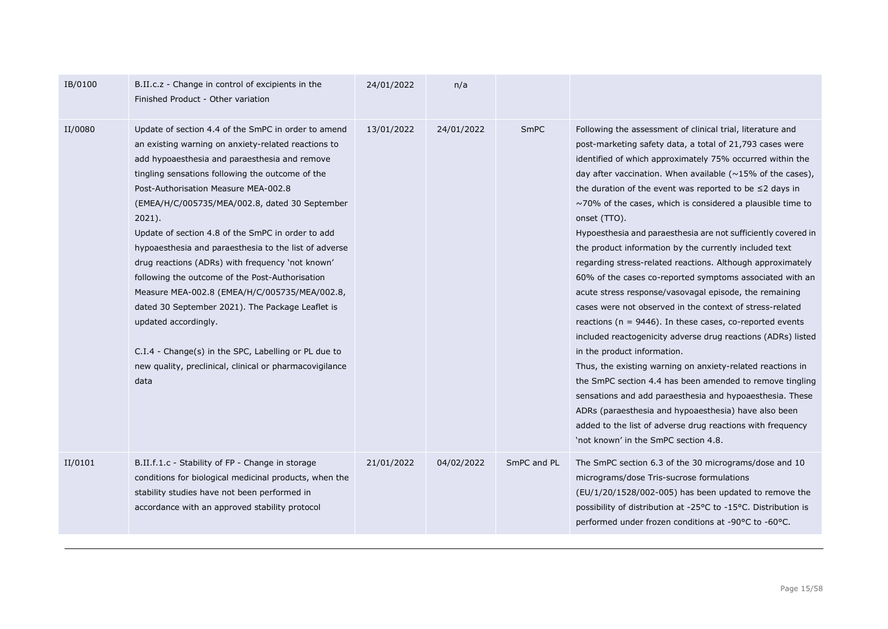| IB/0100 | B.II.c.z - Change in control of excipients in the<br>Finished Product - Other variation                                                                                                                                                                                                                                                                                                                                                                                                                                                                                                                                                                                                                                                                                                             | 24/01/2022 | n/a        |             |                                                                                                                                                                                                                                                                                                                                                                                                                                                                                                                                                                                                                                                                                                                                                                                                                                                                                                                                                                                                                                                                                                                                                                                                                                                                                                             |
|---------|-----------------------------------------------------------------------------------------------------------------------------------------------------------------------------------------------------------------------------------------------------------------------------------------------------------------------------------------------------------------------------------------------------------------------------------------------------------------------------------------------------------------------------------------------------------------------------------------------------------------------------------------------------------------------------------------------------------------------------------------------------------------------------------------------------|------------|------------|-------------|-------------------------------------------------------------------------------------------------------------------------------------------------------------------------------------------------------------------------------------------------------------------------------------------------------------------------------------------------------------------------------------------------------------------------------------------------------------------------------------------------------------------------------------------------------------------------------------------------------------------------------------------------------------------------------------------------------------------------------------------------------------------------------------------------------------------------------------------------------------------------------------------------------------------------------------------------------------------------------------------------------------------------------------------------------------------------------------------------------------------------------------------------------------------------------------------------------------------------------------------------------------------------------------------------------------|
| II/0080 | Update of section 4.4 of the SmPC in order to amend<br>an existing warning on anxiety-related reactions to<br>add hypoaesthesia and paraesthesia and remove<br>tingling sensations following the outcome of the<br>Post-Authorisation Measure MEA-002.8<br>(EMEA/H/C/005735/MEA/002.8, dated 30 September<br>$2021$ ).<br>Update of section 4.8 of the SmPC in order to add<br>hypoaesthesia and paraesthesia to the list of adverse<br>drug reactions (ADRs) with frequency 'not known'<br>following the outcome of the Post-Authorisation<br>Measure MEA-002.8 (EMEA/H/C/005735/MEA/002.8,<br>dated 30 September 2021). The Package Leaflet is<br>updated accordingly.<br>C.I.4 - Change(s) in the SPC, Labelling or PL due to<br>new quality, preclinical, clinical or pharmacovigilance<br>data | 13/01/2022 | 24/01/2022 | <b>SmPC</b> | Following the assessment of clinical trial, literature and<br>post-marketing safety data, a total of 21,793 cases were<br>identified of which approximately 75% occurred within the<br>day after vaccination. When available ( $\sim$ 15% of the cases),<br>the duration of the event was reported to be $\leq 2$ days in<br>$\sim$ 70% of the cases, which is considered a plausible time to<br>onset (TTO).<br>Hypoesthesia and paraesthesia are not sufficiently covered in<br>the product information by the currently included text<br>regarding stress-related reactions. Although approximately<br>60% of the cases co-reported symptoms associated with an<br>acute stress response/vasovagal episode, the remaining<br>cases were not observed in the context of stress-related<br>reactions ( $n = 9446$ ). In these cases, co-reported events<br>included reactogenicity adverse drug reactions (ADRs) listed<br>in the product information.<br>Thus, the existing warning on anxiety-related reactions in<br>the SmPC section 4.4 has been amended to remove tingling<br>sensations and add paraesthesia and hypoaesthesia. These<br>ADRs (paraesthesia and hypoaesthesia) have also been<br>added to the list of adverse drug reactions with frequency<br>'not known' in the SmPC section 4.8. |
| II/0101 | B.II.f.1.c - Stability of FP - Change in storage<br>conditions for biological medicinal products, when the<br>stability studies have not been performed in<br>accordance with an approved stability protocol                                                                                                                                                                                                                                                                                                                                                                                                                                                                                                                                                                                        | 21/01/2022 | 04/02/2022 | SmPC and PL | The SmPC section 6.3 of the 30 micrograms/dose and 10<br>micrograms/dose Tris-sucrose formulations<br>(EU/1/20/1528/002-005) has been updated to remove the<br>possibility of distribution at -25°C to -15°C. Distribution is<br>performed under frozen conditions at -90°C to -60°C.                                                                                                                                                                                                                                                                                                                                                                                                                                                                                                                                                                                                                                                                                                                                                                                                                                                                                                                                                                                                                       |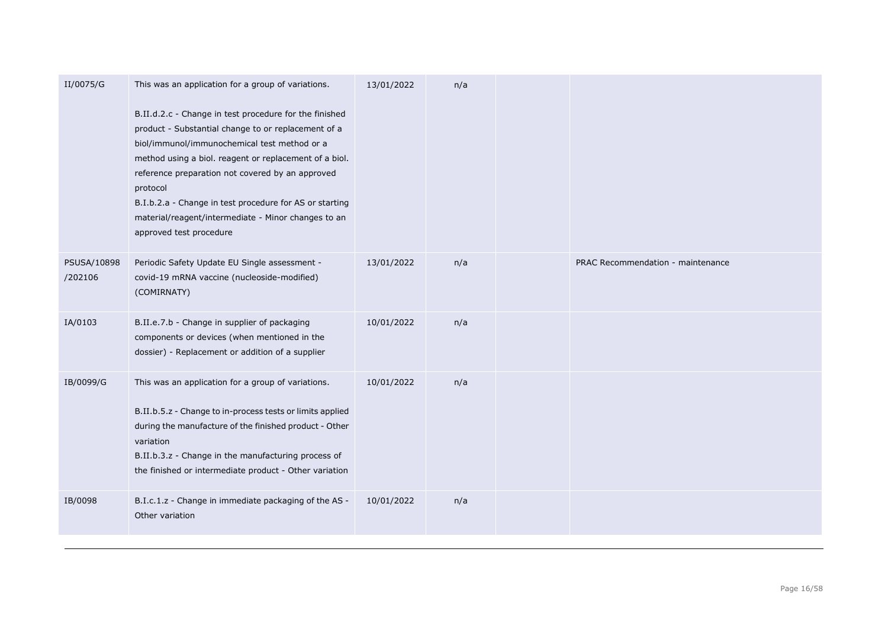| II/0075/G              | This was an application for a group of variations.                                                                                                                                                                                                                                                                                                                                                                                   | 13/01/2022 | n/a |                                   |
|------------------------|--------------------------------------------------------------------------------------------------------------------------------------------------------------------------------------------------------------------------------------------------------------------------------------------------------------------------------------------------------------------------------------------------------------------------------------|------------|-----|-----------------------------------|
|                        | B.II.d.2.c - Change in test procedure for the finished<br>product - Substantial change to or replacement of a<br>biol/immunol/immunochemical test method or a<br>method using a biol. reagent or replacement of a biol.<br>reference preparation not covered by an approved<br>protocol<br>B.I.b.2.a - Change in test procedure for AS or starting<br>material/reagent/intermediate - Minor changes to an<br>approved test procedure |            |     |                                   |
| PSUSA/10898<br>/202106 | Periodic Safety Update EU Single assessment -<br>covid-19 mRNA vaccine (nucleoside-modified)<br>(COMIRNATY)                                                                                                                                                                                                                                                                                                                          | 13/01/2022 | n/a | PRAC Recommendation - maintenance |
| IA/0103                | B.II.e.7.b - Change in supplier of packaging<br>components or devices (when mentioned in the<br>dossier) - Replacement or addition of a supplier                                                                                                                                                                                                                                                                                     | 10/01/2022 | n/a |                                   |
| IB/0099/G              | This was an application for a group of variations.<br>B.II.b.5.z - Change to in-process tests or limits applied<br>during the manufacture of the finished product - Other<br>variation<br>B.II.b.3.z - Change in the manufacturing process of<br>the finished or intermediate product - Other variation                                                                                                                              | 10/01/2022 | n/a |                                   |
| IB/0098                | B.I.c.1.z - Change in immediate packaging of the AS -<br>Other variation                                                                                                                                                                                                                                                                                                                                                             | 10/01/2022 | n/a |                                   |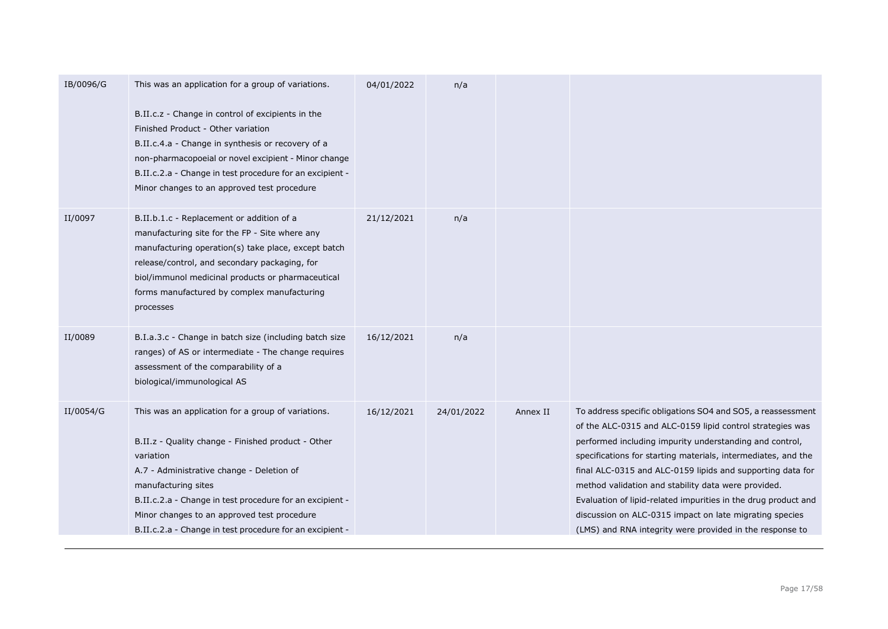| IB/0096/G | This was an application for a group of variations.<br>B.II.c.z - Change in control of excipients in the<br>Finished Product - Other variation<br>B.II.c.4.a - Change in synthesis or recovery of a<br>non-pharmacopoeial or novel excipient - Minor change<br>B.II.c.2.a - Change in test procedure for an excipient -<br>Minor changes to an approved test procedure | 04/01/2022 | n/a        |          |                                                                                                                                                                                                                                                                                                                                                                                                                                                                                                                                                                    |
|-----------|-----------------------------------------------------------------------------------------------------------------------------------------------------------------------------------------------------------------------------------------------------------------------------------------------------------------------------------------------------------------------|------------|------------|----------|--------------------------------------------------------------------------------------------------------------------------------------------------------------------------------------------------------------------------------------------------------------------------------------------------------------------------------------------------------------------------------------------------------------------------------------------------------------------------------------------------------------------------------------------------------------------|
| II/0097   | B.II.b.1.c - Replacement or addition of a<br>manufacturing site for the FP - Site where any<br>manufacturing operation(s) take place, except batch<br>release/control, and secondary packaging, for<br>biol/immunol medicinal products or pharmaceutical<br>forms manufactured by complex manufacturing<br>processes                                                  | 21/12/2021 | n/a        |          |                                                                                                                                                                                                                                                                                                                                                                                                                                                                                                                                                                    |
| II/0089   | B.I.a.3.c - Change in batch size (including batch size<br>ranges) of AS or intermediate - The change requires<br>assessment of the comparability of a<br>biological/immunological AS                                                                                                                                                                                  | 16/12/2021 | n/a        |          |                                                                                                                                                                                                                                                                                                                                                                                                                                                                                                                                                                    |
| II/0054/G | This was an application for a group of variations.<br>B.II.z - Quality change - Finished product - Other<br>variation<br>A.7 - Administrative change - Deletion of<br>manufacturing sites<br>B.II.c.2.a - Change in test procedure for an excipient -<br>Minor changes to an approved test procedure<br>B.II.c.2.a - Change in test procedure for an excipient -      | 16/12/2021 | 24/01/2022 | Annex II | To address specific obligations SO4 and SO5, a reassessment<br>of the ALC-0315 and ALC-0159 lipid control strategies was<br>performed including impurity understanding and control,<br>specifications for starting materials, intermediates, and the<br>final ALC-0315 and ALC-0159 lipids and supporting data for<br>method validation and stability data were provided.<br>Evaluation of lipid-related impurities in the drug product and<br>discussion on ALC-0315 impact on late migrating species<br>(LMS) and RNA integrity were provided in the response to |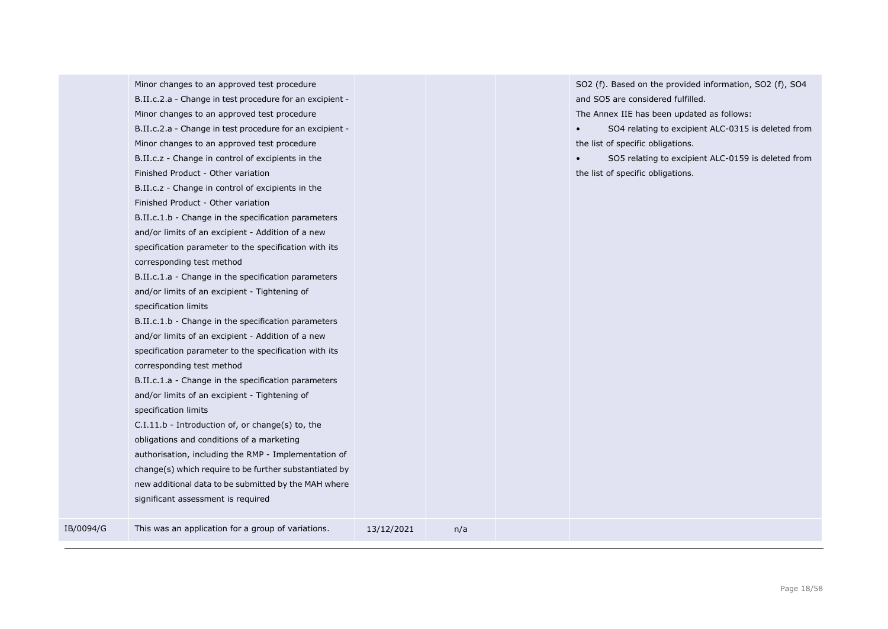|           | B.II.c.2.a - Change in test procedure for an excipient - |            |     | and SO5 are considered fulfilled.                  |
|-----------|----------------------------------------------------------|------------|-----|----------------------------------------------------|
|           | Minor changes to an approved test procedure              |            |     | The Annex IIE has been updated as follows:         |
|           | B.II.c.2.a - Change in test procedure for an excipient - |            |     | SO4 relating to excipient ALC-0315 is deleted from |
|           | Minor changes to an approved test procedure              |            |     | the list of specific obligations.                  |
|           | B.II.c.z - Change in control of excipients in the        |            |     | SO5 relating to excipient ALC-0159 is deleted from |
|           | Finished Product - Other variation                       |            |     | the list of specific obligations.                  |
|           | B.II.c.z - Change in control of excipients in the        |            |     |                                                    |
|           | Finished Product - Other variation                       |            |     |                                                    |
|           | B.II.c.1.b - Change in the specification parameters      |            |     |                                                    |
|           | and/or limits of an excipient - Addition of a new        |            |     |                                                    |
|           | specification parameter to the specification with its    |            |     |                                                    |
|           | corresponding test method                                |            |     |                                                    |
|           | B.II.c.1.a - Change in the specification parameters      |            |     |                                                    |
|           | and/or limits of an excipient - Tightening of            |            |     |                                                    |
|           | specification limits                                     |            |     |                                                    |
|           | B.II.c.1.b - Change in the specification parameters      |            |     |                                                    |
|           | and/or limits of an excipient - Addition of a new        |            |     |                                                    |
|           | specification parameter to the specification with its    |            |     |                                                    |
|           | corresponding test method                                |            |     |                                                    |
|           | B.II.c.1.a - Change in the specification parameters      |            |     |                                                    |
|           | and/or limits of an excipient - Tightening of            |            |     |                                                    |
|           | specification limits                                     |            |     |                                                    |
|           | C.I.11.b - Introduction of, or change(s) to, the         |            |     |                                                    |
|           | obligations and conditions of a marketing                |            |     |                                                    |
|           | authorisation, including the RMP - Implementation of     |            |     |                                                    |
|           | change(s) which require to be further substantiated by   |            |     |                                                    |
|           | new additional data to be submitted by the MAH where     |            |     |                                                    |
|           | significant assessment is required                       |            |     |                                                    |
| IB/0094/G | This was an application for a group of variations.       | 13/12/2021 | n/a |                                                    |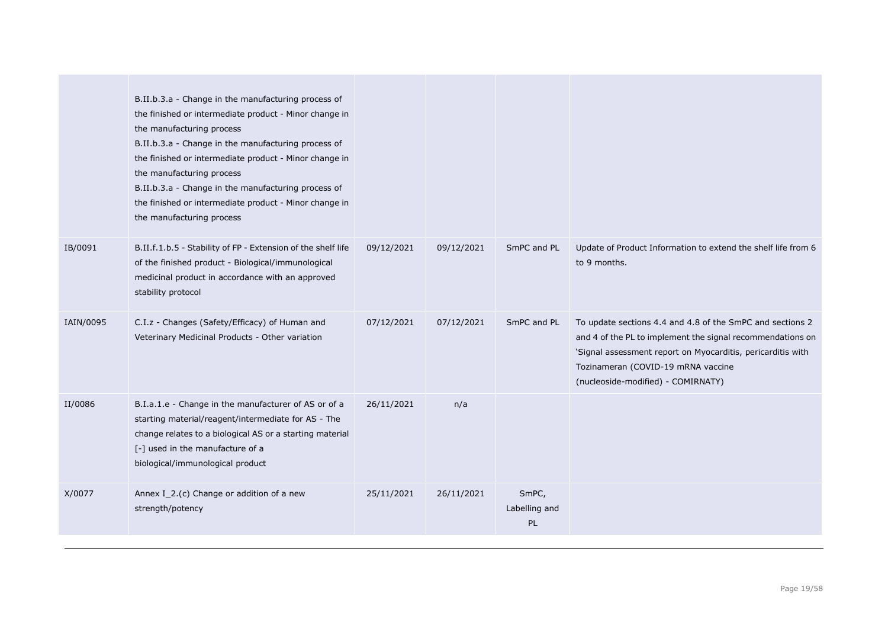|           | B.II.b.3.a - Change in the manufacturing process of<br>the finished or intermediate product - Minor change in<br>the manufacturing process<br>B.II.b.3.a - Change in the manufacturing process of<br>the finished or intermediate product - Minor change in<br>the manufacturing process<br>B.II.b.3.a - Change in the manufacturing process of<br>the finished or intermediate product - Minor change in<br>the manufacturing process |            |            |                                     |                                                                                                                                                                                                                                                                    |
|-----------|----------------------------------------------------------------------------------------------------------------------------------------------------------------------------------------------------------------------------------------------------------------------------------------------------------------------------------------------------------------------------------------------------------------------------------------|------------|------------|-------------------------------------|--------------------------------------------------------------------------------------------------------------------------------------------------------------------------------------------------------------------------------------------------------------------|
| IB/0091   | B.II.f.1.b.5 - Stability of FP - Extension of the shelf life<br>of the finished product - Biological/immunological<br>medicinal product in accordance with an approved<br>stability protocol                                                                                                                                                                                                                                           | 09/12/2021 | 09/12/2021 | SmPC and PL                         | Update of Product Information to extend the shelf life from 6<br>to 9 months.                                                                                                                                                                                      |
| IAIN/0095 | C.I.z - Changes (Safety/Efficacy) of Human and<br>Veterinary Medicinal Products - Other variation                                                                                                                                                                                                                                                                                                                                      | 07/12/2021 | 07/12/2021 | SmPC and PL                         | To update sections 4.4 and 4.8 of the SmPC and sections 2<br>and 4 of the PL to implement the signal recommendations on<br>'Signal assessment report on Myocarditis, pericarditis with<br>Tozinameran (COVID-19 mRNA vaccine<br>(nucleoside-modified) - COMIRNATY) |
| II/0086   | B.I.a.1.e - Change in the manufacturer of AS or of a<br>starting material/reagent/intermediate for AS - The<br>change relates to a biological AS or a starting material<br>[-] used in the manufacture of a<br>biological/immunological product                                                                                                                                                                                        | 26/11/2021 | n/a        |                                     |                                                                                                                                                                                                                                                                    |
| X/0077    | Annex I_2.(c) Change or addition of a new<br>strength/potency                                                                                                                                                                                                                                                                                                                                                                          | 25/11/2021 | 26/11/2021 | SmPC,<br>Labelling and<br><b>PL</b> |                                                                                                                                                                                                                                                                    |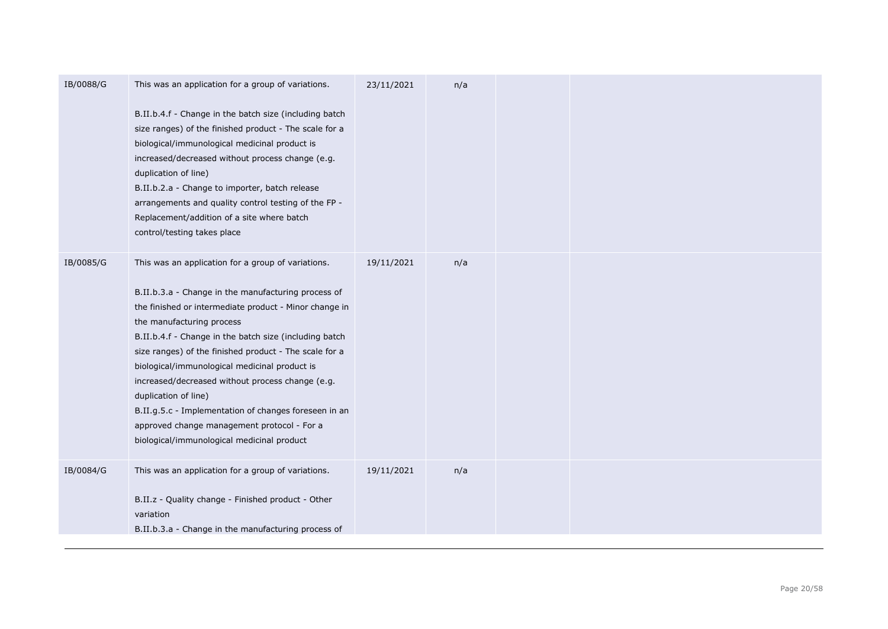| IB/0088/G | This was an application for a group of variations.<br>B.II.b.4.f - Change in the batch size (including batch<br>size ranges) of the finished product - The scale for a<br>biological/immunological medicinal product is<br>increased/decreased without process change (e.g.<br>duplication of line)<br>B.II.b.2.a - Change to importer, batch release<br>arrangements and quality control testing of the FP -<br>Replacement/addition of a site where batch<br>control/testing takes place                                                                                                              | 23/11/2021 | n/a |  |
|-----------|---------------------------------------------------------------------------------------------------------------------------------------------------------------------------------------------------------------------------------------------------------------------------------------------------------------------------------------------------------------------------------------------------------------------------------------------------------------------------------------------------------------------------------------------------------------------------------------------------------|------------|-----|--|
| IB/0085/G | This was an application for a group of variations.<br>B.II.b.3.a - Change in the manufacturing process of<br>the finished or intermediate product - Minor change in<br>the manufacturing process<br>B.II.b.4.f - Change in the batch size (including batch<br>size ranges) of the finished product - The scale for a<br>biological/immunological medicinal product is<br>increased/decreased without process change (e.g.<br>duplication of line)<br>B.II.g.5.c - Implementation of changes foreseen in an<br>approved change management protocol - For a<br>biological/immunological medicinal product | 19/11/2021 | n/a |  |
| IB/0084/G | This was an application for a group of variations.<br>B.II.z - Quality change - Finished product - Other<br>variation<br>B.II.b.3.a - Change in the manufacturing process of                                                                                                                                                                                                                                                                                                                                                                                                                            | 19/11/2021 | n/a |  |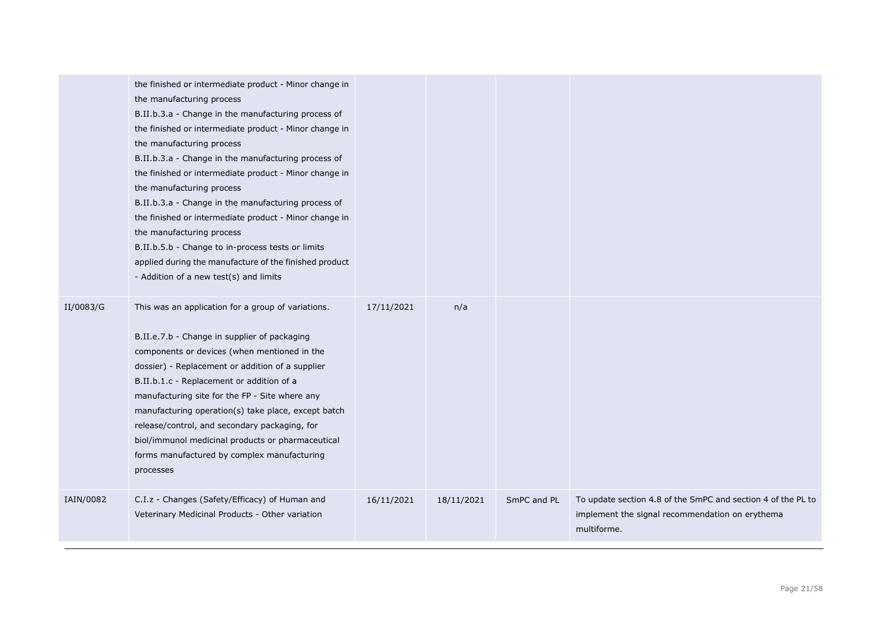|           | the finished or intermediate product - Minor change in<br>the manufacturing process<br>B.II.b.3.a - Change in the manufacturing process of<br>the finished or intermediate product - Minor change in<br>the manufacturing process<br>B.II.b.3.a - Change in the manufacturing process of<br>the finished or intermediate product - Minor change in<br>the manufacturing process<br>B.II.b.3.a - Change in the manufacturing process of<br>the finished or intermediate product - Minor change in<br>the manufacturing process<br>B.II.b.5.b - Change to in-process tests or limits<br>applied during the manufacture of the finished product<br>- Addition of a new test(s) and limits |            |            |             |                                                                                                                                |
|-----------|----------------------------------------------------------------------------------------------------------------------------------------------------------------------------------------------------------------------------------------------------------------------------------------------------------------------------------------------------------------------------------------------------------------------------------------------------------------------------------------------------------------------------------------------------------------------------------------------------------------------------------------------------------------------------------------|------------|------------|-------------|--------------------------------------------------------------------------------------------------------------------------------|
| II/0083/G | This was an application for a group of variations.<br>B.II.e.7.b - Change in supplier of packaging<br>components or devices (when mentioned in the<br>dossier) - Replacement or addition of a supplier<br>B.II.b.1.c - Replacement or addition of a<br>manufacturing site for the FP - Site where any<br>manufacturing operation(s) take place, except batch<br>release/control, and secondary packaging, for<br>biol/immunol medicinal products or pharmaceutical<br>forms manufactured by complex manufacturing<br>processes                                                                                                                                                         | 17/11/2021 | n/a        |             |                                                                                                                                |
| IAIN/0082 | C.I.z - Changes (Safety/Efficacy) of Human and<br>Veterinary Medicinal Products - Other variation                                                                                                                                                                                                                                                                                                                                                                                                                                                                                                                                                                                      | 16/11/2021 | 18/11/2021 | SmPC and PL | To update section 4.8 of the SmPC and section 4 of the PL to<br>implement the signal recommendation on erythema<br>multiforme. |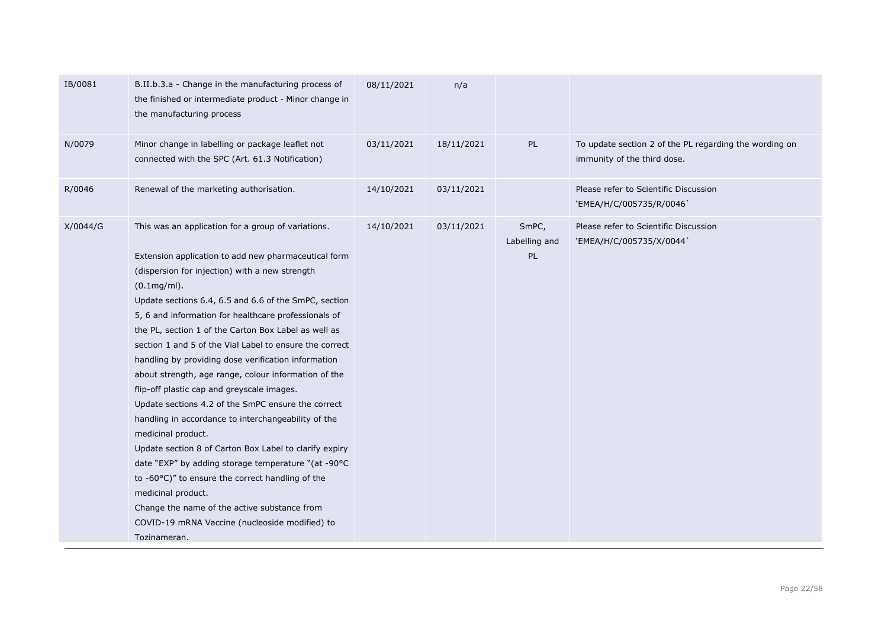| IB/0081  | B.II.b.3.a - Change in the manufacturing process of<br>the finished or intermediate product - Minor change in<br>the manufacturing process                                                                                                                                                                                                                                                                                                                                                                                                                                                                                                                                                                                                                                                                                                                                                                                                                                                                                      | 08/11/2021 | n/a        |                              |                                                                                       |
|----------|---------------------------------------------------------------------------------------------------------------------------------------------------------------------------------------------------------------------------------------------------------------------------------------------------------------------------------------------------------------------------------------------------------------------------------------------------------------------------------------------------------------------------------------------------------------------------------------------------------------------------------------------------------------------------------------------------------------------------------------------------------------------------------------------------------------------------------------------------------------------------------------------------------------------------------------------------------------------------------------------------------------------------------|------------|------------|------------------------------|---------------------------------------------------------------------------------------|
| N/0079   | Minor change in labelling or package leaflet not<br>connected with the SPC (Art. 61.3 Notification)                                                                                                                                                                                                                                                                                                                                                                                                                                                                                                                                                                                                                                                                                                                                                                                                                                                                                                                             | 03/11/2021 | 18/11/2021 | PL                           | To update section 2 of the PL regarding the wording on<br>immunity of the third dose. |
| R/0046   | Renewal of the marketing authorisation.                                                                                                                                                                                                                                                                                                                                                                                                                                                                                                                                                                                                                                                                                                                                                                                                                                                                                                                                                                                         | 14/10/2021 | 03/11/2021 |                              | Please refer to Scientific Discussion<br>'EMEA/H/C/005735/R/0046'                     |
| X/0044/G | This was an application for a group of variations.<br>Extension application to add new pharmaceutical form<br>(dispersion for injection) with a new strength<br>$(0.1mg/ml)$ .<br>Update sections 6.4, 6.5 and 6.6 of the SmPC, section<br>5, 6 and information for healthcare professionals of<br>the PL, section 1 of the Carton Box Label as well as<br>section 1 and 5 of the Vial Label to ensure the correct<br>handling by providing dose verification information<br>about strength, age range, colour information of the<br>flip-off plastic cap and greyscale images.<br>Update sections 4.2 of the SmPC ensure the correct<br>handling in accordance to interchangeability of the<br>medicinal product.<br>Update section 8 of Carton Box Label to clarify expiry<br>date "EXP" by adding storage temperature "(at -90°C<br>to -60°C)" to ensure the correct handling of the<br>medicinal product.<br>Change the name of the active substance from<br>COVID-19 mRNA Vaccine (nucleoside modified) to<br>Tozinameran. | 14/10/2021 | 03/11/2021 | SmPC,<br>Labelling and<br>PL | Please refer to Scientific Discussion<br>`EMEA/H/C/005735/X/0044`                     |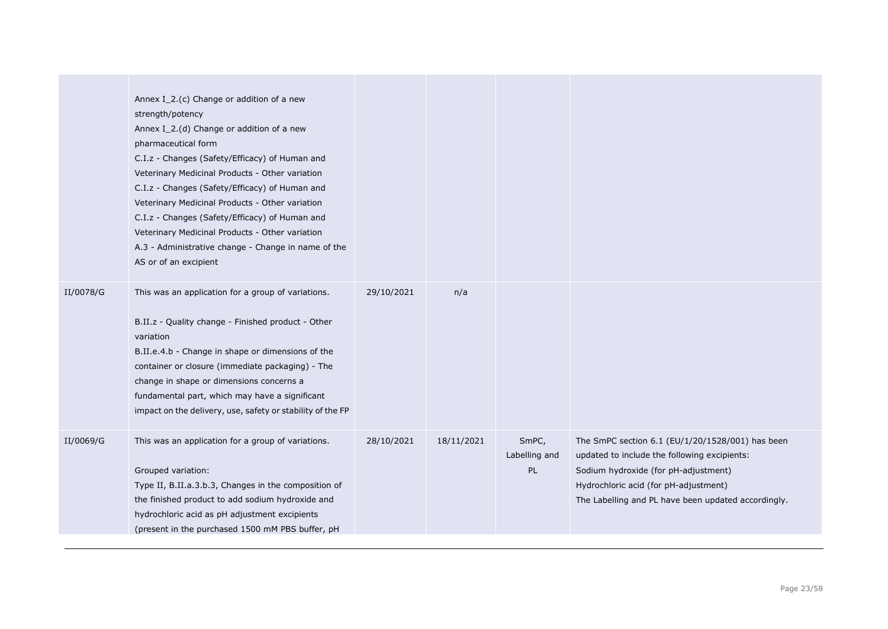|           | Annex I 2.(c) Change or addition of a new<br>strength/potency<br>Annex I_2.(d) Change or addition of a new<br>pharmaceutical form<br>C.I.z - Changes (Safety/Efficacy) of Human and<br>Veterinary Medicinal Products - Other variation<br>C.I.z - Changes (Safety/Efficacy) of Human and<br>Veterinary Medicinal Products - Other variation<br>C.I.z - Changes (Safety/Efficacy) of Human and<br>Veterinary Medicinal Products - Other variation<br>A.3 - Administrative change - Change in name of the<br>AS or of an excipient |            |            |                              |                                                                                                                                                                                                                                          |
|-----------|----------------------------------------------------------------------------------------------------------------------------------------------------------------------------------------------------------------------------------------------------------------------------------------------------------------------------------------------------------------------------------------------------------------------------------------------------------------------------------------------------------------------------------|------------|------------|------------------------------|------------------------------------------------------------------------------------------------------------------------------------------------------------------------------------------------------------------------------------------|
| II/0078/G | This was an application for a group of variations.<br>B.II.z - Quality change - Finished product - Other<br>variation<br>B.II.e.4.b - Change in shape or dimensions of the<br>container or closure (immediate packaging) - The<br>change in shape or dimensions concerns a<br>fundamental part, which may have a significant<br>impact on the delivery, use, safety or stability of the FP                                                                                                                                       | 29/10/2021 | n/a        |                              |                                                                                                                                                                                                                                          |
| II/0069/G | This was an application for a group of variations.<br>Grouped variation:<br>Type II, B.II.a.3.b.3, Changes in the composition of<br>the finished product to add sodium hydroxide and<br>hydrochloric acid as pH adjustment excipients<br>(present in the purchased 1500 mM PBS buffer, pH                                                                                                                                                                                                                                        | 28/10/2021 | 18/11/2021 | SmPC,<br>Labelling and<br>PL | The SmPC section 6.1 (EU/1/20/1528/001) has been<br>updated to include the following excipients:<br>Sodium hydroxide (for pH-adjustment)<br>Hydrochloric acid (for pH-adjustment)<br>The Labelling and PL have been updated accordingly. |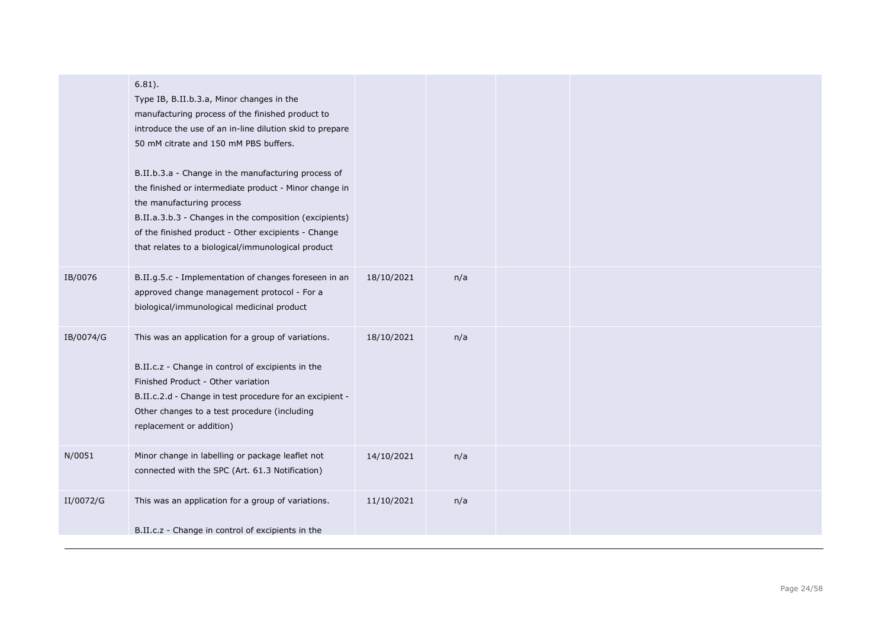|           | $6.81$ ).<br>Type IB, B.II.b.3.a, Minor changes in the<br>manufacturing process of the finished product to<br>introduce the use of an in-line dilution skid to prepare<br>50 mM citrate and 150 mM PBS buffers.<br>B.II.b.3.a - Change in the manufacturing process of<br>the finished or intermediate product - Minor change in<br>the manufacturing process<br>B.II.a.3.b.3 - Changes in the composition (excipients)<br>of the finished product - Other excipients - Change<br>that relates to a biological/immunological product |            |     |  |
|-----------|--------------------------------------------------------------------------------------------------------------------------------------------------------------------------------------------------------------------------------------------------------------------------------------------------------------------------------------------------------------------------------------------------------------------------------------------------------------------------------------------------------------------------------------|------------|-----|--|
| IB/0076   | B.II.g.5.c - Implementation of changes foreseen in an<br>approved change management protocol - For a<br>biological/immunological medicinal product                                                                                                                                                                                                                                                                                                                                                                                   | 18/10/2021 | n/a |  |
| IB/0074/G | This was an application for a group of variations.<br>B.II.c.z - Change in control of excipients in the<br>Finished Product - Other variation<br>B.II.c.2.d - Change in test procedure for an excipient -<br>Other changes to a test procedure (including<br>replacement or addition)                                                                                                                                                                                                                                                | 18/10/2021 | n/a |  |
| N/0051    | Minor change in labelling or package leaflet not<br>connected with the SPC (Art. 61.3 Notification)                                                                                                                                                                                                                                                                                                                                                                                                                                  | 14/10/2021 | n/a |  |
| II/0072/G | This was an application for a group of variations.<br>B.II.c.z - Change in control of excipients in the                                                                                                                                                                                                                                                                                                                                                                                                                              | 11/10/2021 | n/a |  |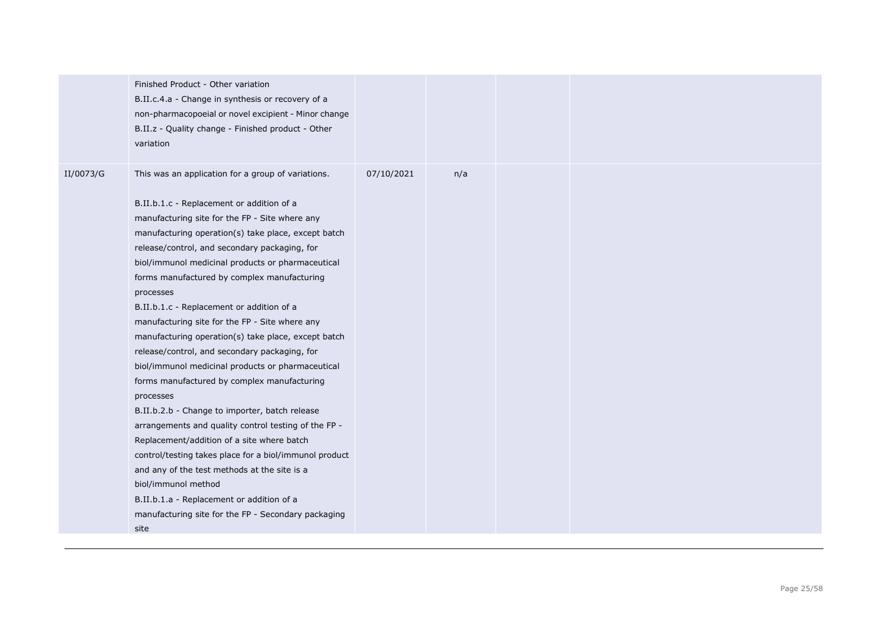|           | Finished Product - Other variation<br>B.II.c.4.a - Change in synthesis or recovery of a<br>non-pharmacopoeial or novel excipient - Minor change<br>B.II.z - Quality change - Finished product - Other<br>variation                                                                                                                                                                                                                                                                                                                                                                                                                                                                                                                                                                                                                                                                                                                                                                                                                                                                                      |            |     |  |  |
|-----------|---------------------------------------------------------------------------------------------------------------------------------------------------------------------------------------------------------------------------------------------------------------------------------------------------------------------------------------------------------------------------------------------------------------------------------------------------------------------------------------------------------------------------------------------------------------------------------------------------------------------------------------------------------------------------------------------------------------------------------------------------------------------------------------------------------------------------------------------------------------------------------------------------------------------------------------------------------------------------------------------------------------------------------------------------------------------------------------------------------|------------|-----|--|--|
| II/0073/G | This was an application for a group of variations.<br>B.II.b.1.c - Replacement or addition of a<br>manufacturing site for the FP - Site where any<br>manufacturing operation(s) take place, except batch<br>release/control, and secondary packaging, for<br>biol/immunol medicinal products or pharmaceutical<br>forms manufactured by complex manufacturing<br>processes<br>B.II.b.1.c - Replacement or addition of a<br>manufacturing site for the FP - Site where any<br>manufacturing operation(s) take place, except batch<br>release/control, and secondary packaging, for<br>biol/immunol medicinal products or pharmaceutical<br>forms manufactured by complex manufacturing<br>processes<br>B.II.b.2.b - Change to importer, batch release<br>arrangements and quality control testing of the FP -<br>Replacement/addition of a site where batch<br>control/testing takes place for a biol/immunol product<br>and any of the test methods at the site is a<br>biol/immunol method<br>B.II.b.1.a - Replacement or addition of a<br>manufacturing site for the FP - Secondary packaging<br>site | 07/10/2021 | n/a |  |  |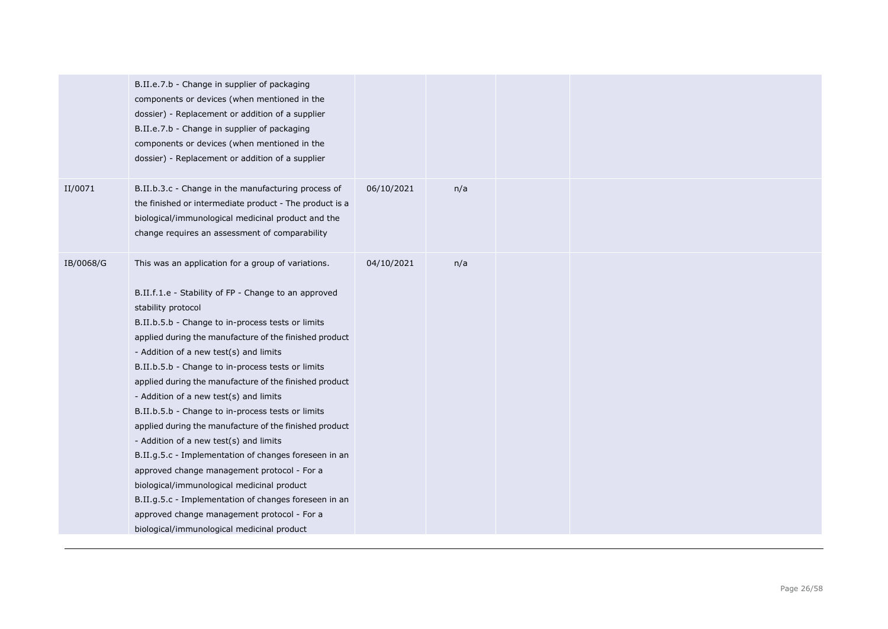|           | B.II.e.7.b - Change in supplier of packaging<br>components or devices (when mentioned in the<br>dossier) - Replacement or addition of a supplier<br>B.II.e.7.b - Change in supplier of packaging<br>components or devices (when mentioned in the<br>dossier) - Replacement or addition of a supplier                                                                                                                                                                                                                                                                                                                                                                                                                                                                                                                                                                                                                    |            |     |  |  |
|-----------|-------------------------------------------------------------------------------------------------------------------------------------------------------------------------------------------------------------------------------------------------------------------------------------------------------------------------------------------------------------------------------------------------------------------------------------------------------------------------------------------------------------------------------------------------------------------------------------------------------------------------------------------------------------------------------------------------------------------------------------------------------------------------------------------------------------------------------------------------------------------------------------------------------------------------|------------|-----|--|--|
| II/0071   | B.II.b.3.c - Change in the manufacturing process of<br>the finished or intermediate product - The product is a<br>biological/immunological medicinal product and the<br>change requires an assessment of comparability                                                                                                                                                                                                                                                                                                                                                                                                                                                                                                                                                                                                                                                                                                  | 06/10/2021 | n/a |  |  |
| IB/0068/G | This was an application for a group of variations.<br>B.II.f.1.e - Stability of FP - Change to an approved<br>stability protocol<br>B.II.b.5.b - Change to in-process tests or limits<br>applied during the manufacture of the finished product<br>- Addition of a new test(s) and limits<br>B.II.b.5.b - Change to in-process tests or limits<br>applied during the manufacture of the finished product<br>- Addition of a new test(s) and limits<br>B.II.b.5.b - Change to in-process tests or limits<br>applied during the manufacture of the finished product<br>- Addition of a new test(s) and limits<br>B.II.g.5.c - Implementation of changes foreseen in an<br>approved change management protocol - For a<br>biological/immunological medicinal product<br>B.II.g.5.c - Implementation of changes foreseen in an<br>approved change management protocol - For a<br>biological/immunological medicinal product | 04/10/2021 | n/a |  |  |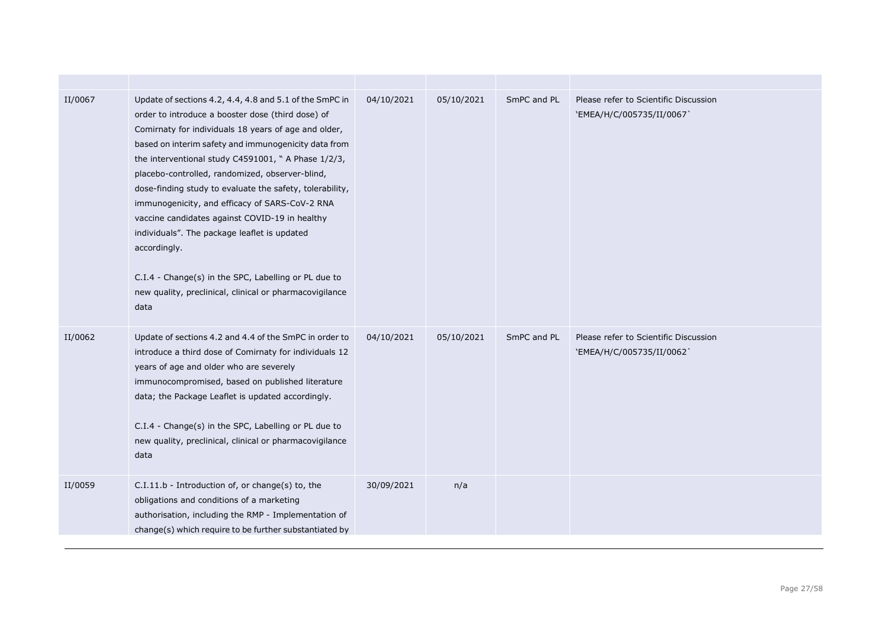| II/0067 | Update of sections 4.2, 4.4, 4.8 and 5.1 of the SmPC in<br>order to introduce a booster dose (third dose) of<br>Comirnaty for individuals 18 years of age and older,<br>based on interim safety and immunogenicity data from<br>the interventional study C4591001, " A Phase 1/2/3,<br>placebo-controlled, randomized, observer-blind,<br>dose-finding study to evaluate the safety, tolerability,<br>immunogenicity, and efficacy of SARS-CoV-2 RNA<br>vaccine candidates against COVID-19 in healthy<br>individuals". The package leaflet is updated<br>accordingly.<br>C.I.4 - Change(s) in the SPC, Labelling or PL due to<br>new quality, preclinical, clinical or pharmacovigilance<br>data | 04/10/2021 | 05/10/2021 | SmPC and PL | Please refer to Scientific Discussion<br>'EMEA/H/C/005735/II/0067  |
|---------|---------------------------------------------------------------------------------------------------------------------------------------------------------------------------------------------------------------------------------------------------------------------------------------------------------------------------------------------------------------------------------------------------------------------------------------------------------------------------------------------------------------------------------------------------------------------------------------------------------------------------------------------------------------------------------------------------|------------|------------|-------------|--------------------------------------------------------------------|
| II/0062 | Update of sections 4.2 and 4.4 of the SmPC in order to<br>introduce a third dose of Comirnaty for individuals 12<br>years of age and older who are severely<br>immunocompromised, based on published literature<br>data; the Package Leaflet is updated accordingly.<br>C.I.4 - Change(s) in the SPC, Labelling or PL due to<br>new quality, preclinical, clinical or pharmacovigilance<br>data                                                                                                                                                                                                                                                                                                   | 04/10/2021 | 05/10/2021 | SmPC and PL | Please refer to Scientific Discussion<br>`EMEA/H/C/005735/II/0062` |
| II/0059 | C.I.11.b - Introduction of, or change(s) to, the<br>obligations and conditions of a marketing<br>authorisation, including the RMP - Implementation of<br>change(s) which require to be further substantiated by                                                                                                                                                                                                                                                                                                                                                                                                                                                                                   | 30/09/2021 | n/a        |             |                                                                    |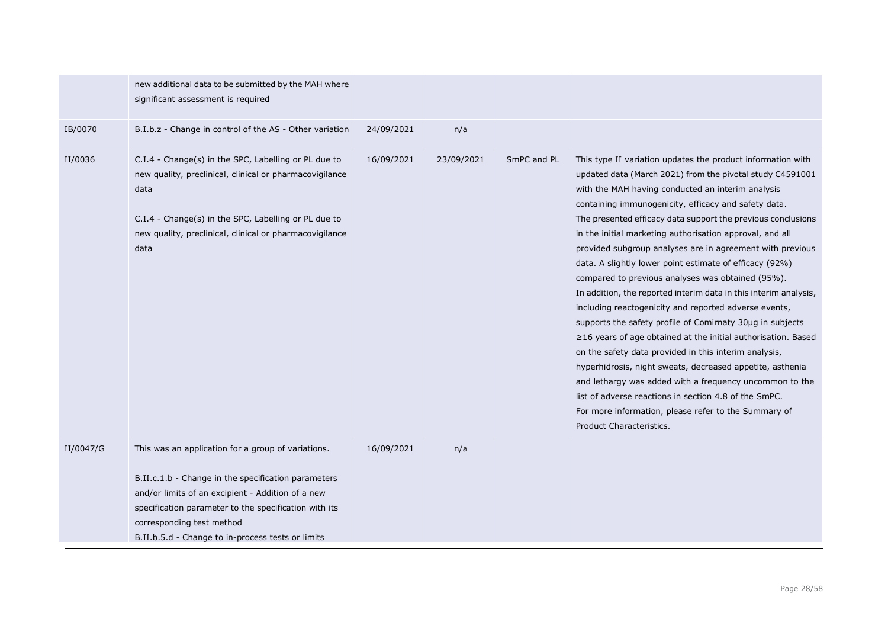|           | new additional data to be submitted by the MAH where<br>significant assessment is required                                                                                                                                                                                                                |            |            |             |                                                                                                                                                                                                                                                                                                                                                                                                                                                                                                                                                                                                                                                                                                                                                                                                                                                                                                                                                                                                                                                                                                                                               |
|-----------|-----------------------------------------------------------------------------------------------------------------------------------------------------------------------------------------------------------------------------------------------------------------------------------------------------------|------------|------------|-------------|-----------------------------------------------------------------------------------------------------------------------------------------------------------------------------------------------------------------------------------------------------------------------------------------------------------------------------------------------------------------------------------------------------------------------------------------------------------------------------------------------------------------------------------------------------------------------------------------------------------------------------------------------------------------------------------------------------------------------------------------------------------------------------------------------------------------------------------------------------------------------------------------------------------------------------------------------------------------------------------------------------------------------------------------------------------------------------------------------------------------------------------------------|
| IB/0070   | B.I.b.z - Change in control of the AS - Other variation                                                                                                                                                                                                                                                   | 24/09/2021 | n/a        |             |                                                                                                                                                                                                                                                                                                                                                                                                                                                                                                                                                                                                                                                                                                                                                                                                                                                                                                                                                                                                                                                                                                                                               |
| II/0036   | C.I.4 - Change(s) in the SPC, Labelling or PL due to<br>new quality, preclinical, clinical or pharmacovigilance<br>data<br>C.I.4 - Change(s) in the SPC, Labelling or PL due to<br>new quality, preclinical, clinical or pharmacovigilance<br>data                                                        | 16/09/2021 | 23/09/2021 | SmPC and PL | This type II variation updates the product information with<br>updated data (March 2021) from the pivotal study C4591001<br>with the MAH having conducted an interim analysis<br>containing immunogenicity, efficacy and safety data.<br>The presented efficacy data support the previous conclusions<br>in the initial marketing authorisation approval, and all<br>provided subgroup analyses are in agreement with previous<br>data. A slightly lower point estimate of efficacy (92%)<br>compared to previous analyses was obtained (95%).<br>In addition, the reported interim data in this interim analysis,<br>including reactogenicity and reported adverse events,<br>supports the safety profile of Comirnaty 30µq in subjects<br>$\geq$ 16 years of age obtained at the initial authorisation. Based<br>on the safety data provided in this interim analysis,<br>hyperhidrosis, night sweats, decreased appetite, asthenia<br>and lethargy was added with a frequency uncommon to the<br>list of adverse reactions in section 4.8 of the SmPC.<br>For more information, please refer to the Summary of<br>Product Characteristics. |
| II/0047/G | This was an application for a group of variations.<br>B.II.c.1.b - Change in the specification parameters<br>and/or limits of an excipient - Addition of a new<br>specification parameter to the specification with its<br>corresponding test method<br>B.II.b.5.d - Change to in-process tests or limits | 16/09/2021 | n/a        |             |                                                                                                                                                                                                                                                                                                                                                                                                                                                                                                                                                                                                                                                                                                                                                                                                                                                                                                                                                                                                                                                                                                                                               |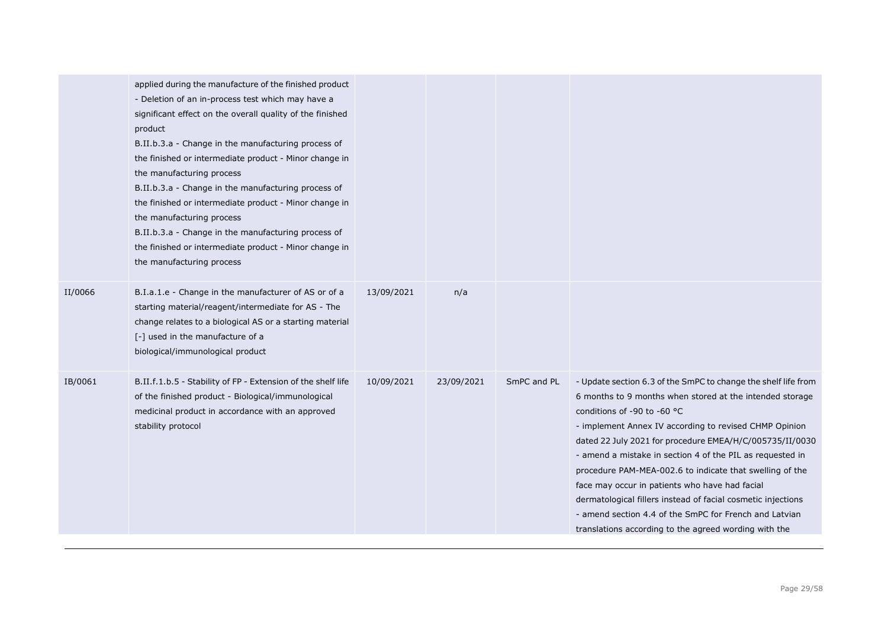|         | applied during the manufacture of the finished product<br>- Deletion of an in-process test which may have a<br>significant effect on the overall quality of the finished<br>product<br>B.II.b.3.a - Change in the manufacturing process of<br>the finished or intermediate product - Minor change in<br>the manufacturing process<br>B.II.b.3.a - Change in the manufacturing process of<br>the finished or intermediate product - Minor change in<br>the manufacturing process<br>B.II.b.3.a - Change in the manufacturing process of<br>the finished or intermediate product - Minor change in<br>the manufacturing process |            |            |             |                                                                                                                                                                                                                                                                                                                                                                                                                                                                                                                                                                                                                                                         |
|---------|-------------------------------------------------------------------------------------------------------------------------------------------------------------------------------------------------------------------------------------------------------------------------------------------------------------------------------------------------------------------------------------------------------------------------------------------------------------------------------------------------------------------------------------------------------------------------------------------------------------------------------|------------|------------|-------------|---------------------------------------------------------------------------------------------------------------------------------------------------------------------------------------------------------------------------------------------------------------------------------------------------------------------------------------------------------------------------------------------------------------------------------------------------------------------------------------------------------------------------------------------------------------------------------------------------------------------------------------------------------|
| II/0066 | B.I.a.1.e - Change in the manufacturer of AS or of a<br>starting material/reagent/intermediate for AS - The<br>change relates to a biological AS or a starting material<br>[-] used in the manufacture of a<br>biological/immunological product                                                                                                                                                                                                                                                                                                                                                                               | 13/09/2021 | n/a        |             |                                                                                                                                                                                                                                                                                                                                                                                                                                                                                                                                                                                                                                                         |
| IB/0061 | B.II.f.1.b.5 - Stability of FP - Extension of the shelf life<br>of the finished product - Biological/immunological<br>medicinal product in accordance with an approved<br>stability protocol                                                                                                                                                                                                                                                                                                                                                                                                                                  | 10/09/2021 | 23/09/2021 | SmPC and PL | - Update section 6.3 of the SmPC to change the shelf life from<br>6 months to 9 months when stored at the intended storage<br>conditions of -90 to -60 $^{\circ}$ C<br>- implement Annex IV according to revised CHMP Opinion<br>dated 22 July 2021 for procedure EMEA/H/C/005735/II/0030<br>- amend a mistake in section 4 of the PIL as requested in<br>procedure PAM-MEA-002.6 to indicate that swelling of the<br>face may occur in patients who have had facial<br>dermatological fillers instead of facial cosmetic injections<br>- amend section 4.4 of the SmPC for French and Latvian<br>translations according to the agreed wording with the |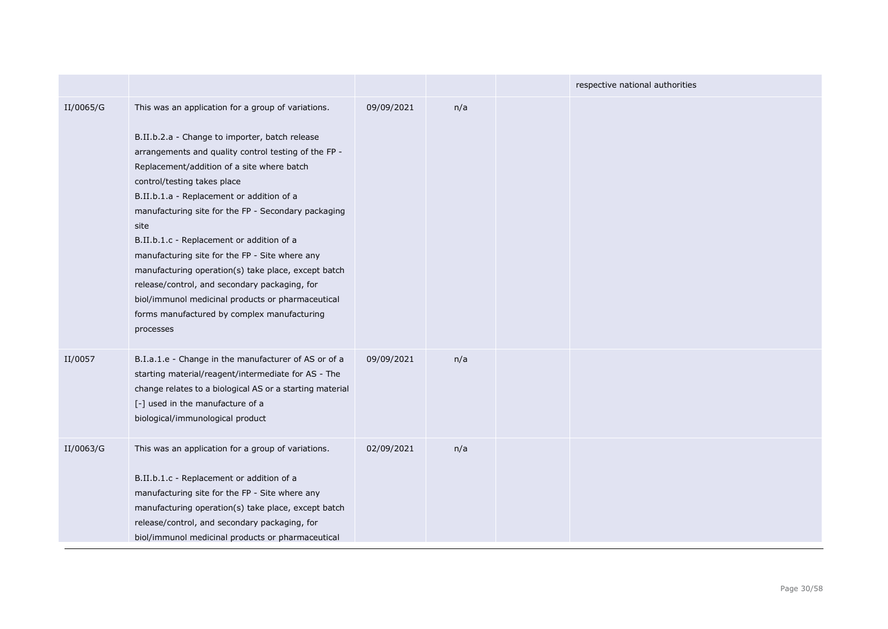|           |                                                                                                                                                                                                                                                                                                                                                                                                                                                                                                                                                                                                                                                                               |            |     | respective national authorities |
|-----------|-------------------------------------------------------------------------------------------------------------------------------------------------------------------------------------------------------------------------------------------------------------------------------------------------------------------------------------------------------------------------------------------------------------------------------------------------------------------------------------------------------------------------------------------------------------------------------------------------------------------------------------------------------------------------------|------------|-----|---------------------------------|
| II/0065/G | This was an application for a group of variations.<br>B.II.b.2.a - Change to importer, batch release<br>arrangements and quality control testing of the FP -<br>Replacement/addition of a site where batch<br>control/testing takes place<br>B.II.b.1.a - Replacement or addition of a<br>manufacturing site for the FP - Secondary packaging<br>site<br>B.II.b.1.c - Replacement or addition of a<br>manufacturing site for the FP - Site where any<br>manufacturing operation(s) take place, except batch<br>release/control, and secondary packaging, for<br>biol/immunol medicinal products or pharmaceutical<br>forms manufactured by complex manufacturing<br>processes | 09/09/2021 | n/a |                                 |
| II/0057   | B.I.a.1.e - Change in the manufacturer of AS or of a<br>starting material/reagent/intermediate for AS - The<br>change relates to a biological AS or a starting material<br>[-] used in the manufacture of a<br>biological/immunological product                                                                                                                                                                                                                                                                                                                                                                                                                               | 09/09/2021 | n/a |                                 |
| II/0063/G | This was an application for a group of variations.<br>B.II.b.1.c - Replacement or addition of a<br>manufacturing site for the FP - Site where any<br>manufacturing operation(s) take place, except batch<br>release/control, and secondary packaging, for<br>biol/immunol medicinal products or pharmaceutical                                                                                                                                                                                                                                                                                                                                                                | 02/09/2021 | n/a |                                 |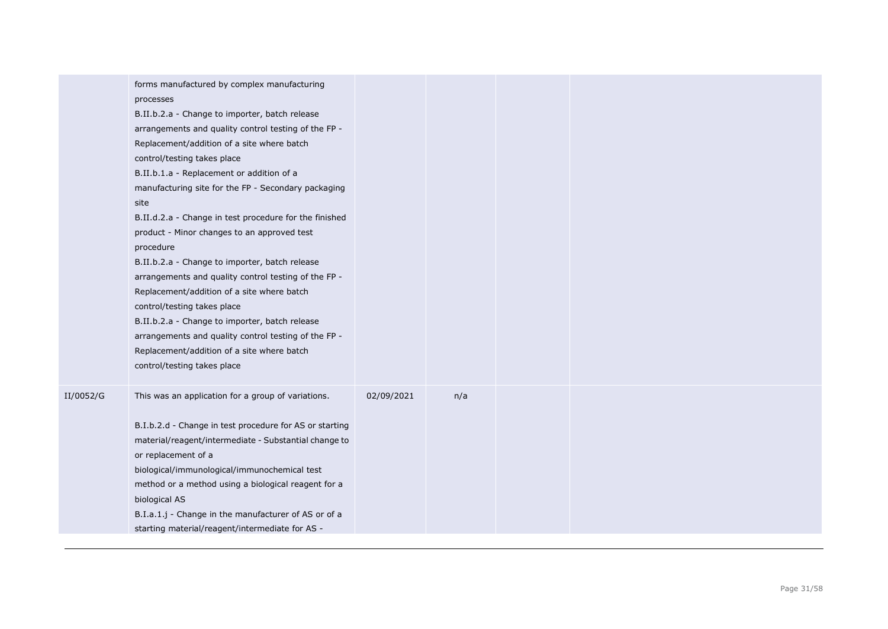|           | forms manufactured by complex manufacturing<br>processes<br>B.II.b.2.a - Change to importer, batch release<br>arrangements and quality control testing of the FP -<br>Replacement/addition of a site where batch<br>control/testing takes place<br>B.II.b.1.a - Replacement or addition of a<br>manufacturing site for the FP - Secondary packaging<br>site<br>B.II.d.2.a - Change in test procedure for the finished<br>product - Minor changes to an approved test<br>procedure<br>B.II.b.2.a - Change to importer, batch release<br>arrangements and quality control testing of the FP -<br>Replacement/addition of a site where batch<br>control/testing takes place<br>B.II.b.2.a - Change to importer, batch release<br>arrangements and quality control testing of the FP -<br>Replacement/addition of a site where batch<br>control/testing takes place |            |     |  |  |
|-----------|-----------------------------------------------------------------------------------------------------------------------------------------------------------------------------------------------------------------------------------------------------------------------------------------------------------------------------------------------------------------------------------------------------------------------------------------------------------------------------------------------------------------------------------------------------------------------------------------------------------------------------------------------------------------------------------------------------------------------------------------------------------------------------------------------------------------------------------------------------------------|------------|-----|--|--|
| II/0052/G | This was an application for a group of variations.<br>B.I.b.2.d - Change in test procedure for AS or starting<br>material/reagent/intermediate - Substantial change to<br>or replacement of a<br>biological/immunological/immunochemical test<br>method or a method using a biological reagent for a<br>biological AS<br>B.I.a.1.j - Change in the manufacturer of AS or of a<br>starting material/reagent/intermediate for AS -                                                                                                                                                                                                                                                                                                                                                                                                                                | 02/09/2021 | n/a |  |  |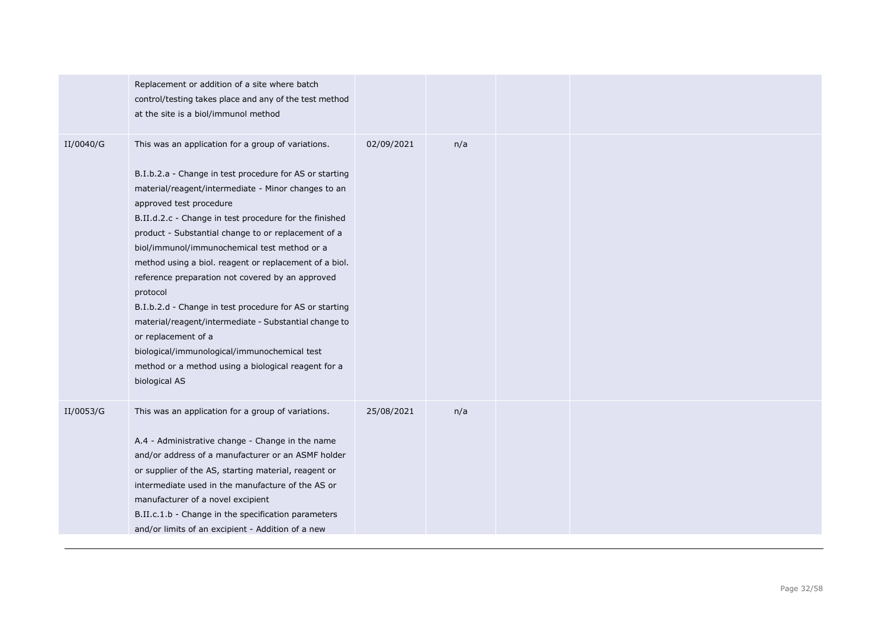|           | Replacement or addition of a site where batch<br>control/testing takes place and any of the test method<br>at the site is a biol/immunol method                                                                                                                                                                                                                                                                                                                                                                                                                                                                                                                                                                                                               |            |     |  |  |
|-----------|---------------------------------------------------------------------------------------------------------------------------------------------------------------------------------------------------------------------------------------------------------------------------------------------------------------------------------------------------------------------------------------------------------------------------------------------------------------------------------------------------------------------------------------------------------------------------------------------------------------------------------------------------------------------------------------------------------------------------------------------------------------|------------|-----|--|--|
| II/0040/G | This was an application for a group of variations.<br>B.I.b.2.a - Change in test procedure for AS or starting<br>material/reagent/intermediate - Minor changes to an<br>approved test procedure<br>B.II.d.2.c - Change in test procedure for the finished<br>product - Substantial change to or replacement of a<br>biol/immunol/immunochemical test method or a<br>method using a biol. reagent or replacement of a biol.<br>reference preparation not covered by an approved<br>protocol<br>B.I.b.2.d - Change in test procedure for AS or starting<br>material/reagent/intermediate - Substantial change to<br>or replacement of a<br>biological/immunological/immunochemical test<br>method or a method using a biological reagent for a<br>biological AS | 02/09/2021 | n/a |  |  |
| II/0053/G | This was an application for a group of variations.<br>A.4 - Administrative change - Change in the name<br>and/or address of a manufacturer or an ASMF holder<br>or supplier of the AS, starting material, reagent or<br>intermediate used in the manufacture of the AS or<br>manufacturer of a novel excipient<br>B.II.c.1.b - Change in the specification parameters<br>and/or limits of an excipient - Addition of a new                                                                                                                                                                                                                                                                                                                                    | 25/08/2021 | n/a |  |  |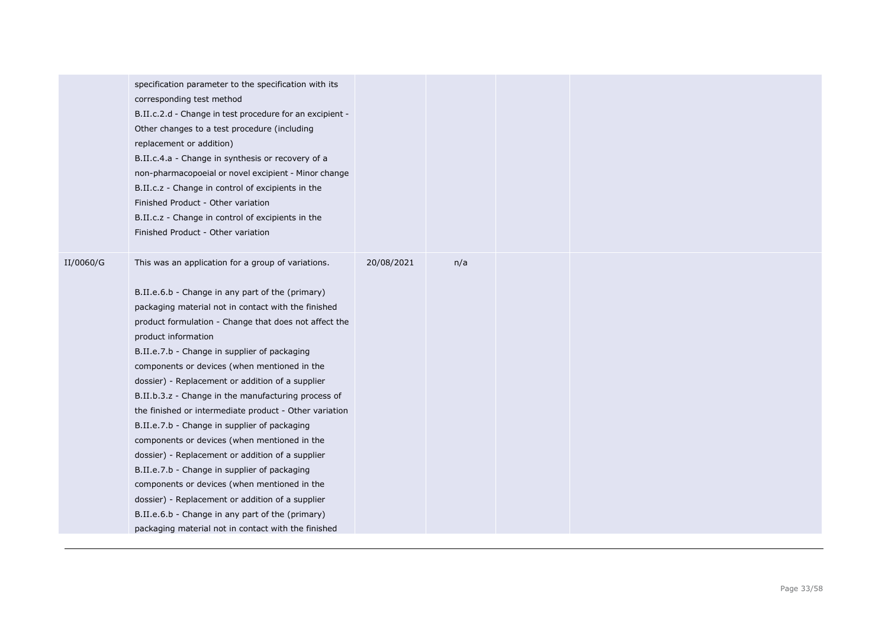|           | specification parameter to the specification with its<br>corresponding test method<br>B.II.c.2.d - Change in test procedure for an excipient -<br>Other changes to a test procedure (including<br>replacement or addition)<br>B.II.c.4.a - Change in synthesis or recovery of a<br>non-pharmacopoeial or novel excipient - Minor change<br>B.II.c.z - Change in control of excipients in the<br>Finished Product - Other variation<br>B.II.c.z - Change in control of excipients in the<br>Finished Product - Other variation                                                                                                                                                                                                                                                                                                                                                                                                         |            |     |  |  |
|-----------|---------------------------------------------------------------------------------------------------------------------------------------------------------------------------------------------------------------------------------------------------------------------------------------------------------------------------------------------------------------------------------------------------------------------------------------------------------------------------------------------------------------------------------------------------------------------------------------------------------------------------------------------------------------------------------------------------------------------------------------------------------------------------------------------------------------------------------------------------------------------------------------------------------------------------------------|------------|-----|--|--|
| II/0060/G | This was an application for a group of variations.<br>B.II.e.6.b - Change in any part of the (primary)<br>packaging material not in contact with the finished<br>product formulation - Change that does not affect the<br>product information<br>B.II.e.7.b - Change in supplier of packaging<br>components or devices (when mentioned in the<br>dossier) - Replacement or addition of a supplier<br>B.II.b.3.z - Change in the manufacturing process of<br>the finished or intermediate product - Other variation<br>B.II.e.7.b - Change in supplier of packaging<br>components or devices (when mentioned in the<br>dossier) - Replacement or addition of a supplier<br>B.II.e.7.b - Change in supplier of packaging<br>components or devices (when mentioned in the<br>dossier) - Replacement or addition of a supplier<br>B.II.e.6.b - Change in any part of the (primary)<br>packaging material not in contact with the finished | 20/08/2021 | n/a |  |  |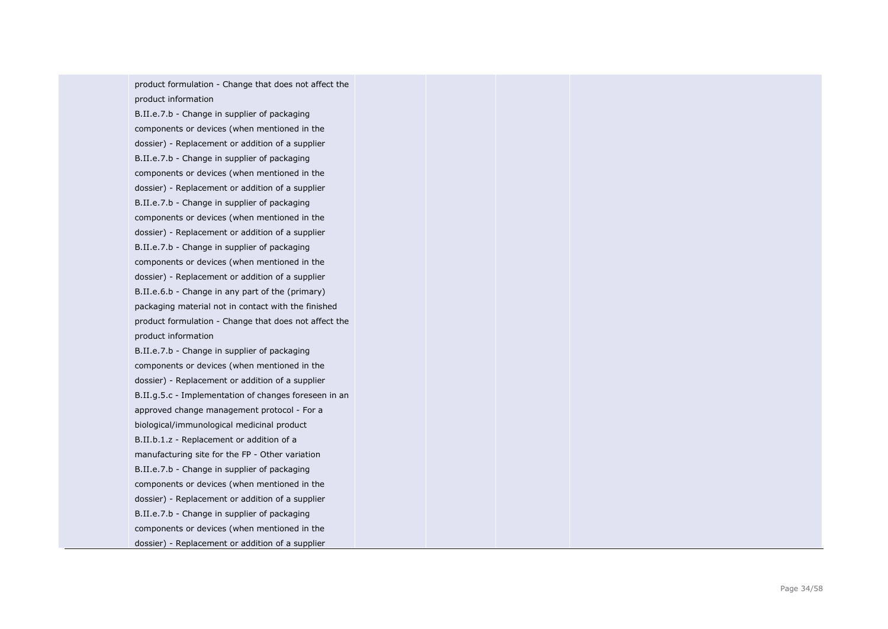product formulation - Change that does not affect the product information

B.II.e.7.b - Change in supplier of packaging components or devices (when mentioned in the dossier) - Replacement or addition of a supplier B.II.e.7.b - Change in supplier of packaging components or devices (when mentioned in the dossier) - Replacement or addition of a supplier B.II.e.7.b - Change in supplier of packaging components or devices (when mentioned in the dossier) - Replacement or addition of a supplier B.II.e.7.b - Change in supplier of packaging components or devices (when mentioned in the dossier) - Replacement or addition of a supplier B.II.e.6.b - Change in any part of the (primary) packaging material not in contact with the finished product formulation - Change that does not affect the product information

B.II.e.7.b - Change in supplier of packaging components or devices (when mentioned in the dossier) - Replacement or addition of a supplier B.II.g.5.c - Implementation of changes foreseen in an approved change management protocol - For a biological/immunological medicinal product B.II.b.1.z - Replacement or addition of a manufacturing site for the FP - Other variation B.II.e.7.b - Change in supplier of packaging components or devices (when mentioned in the dossier) - Replacement or addition of a supplier B.II.e.7.b - Change in supplier of packaging components or devices (when mentioned in the dossier) - Replacement or addition of a supplier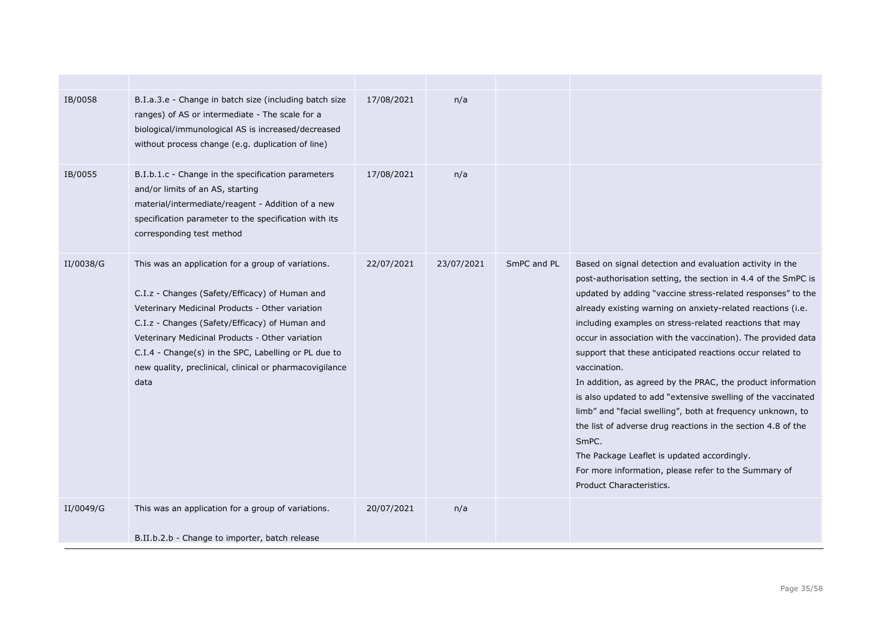| IB/0058   | B.I.a.3.e - Change in batch size (including batch size<br>ranges) of AS or intermediate - The scale for a<br>biological/immunological AS is increased/decreased<br>without process change (e.g. duplication of line)                                                                                                                                                                    | 17/08/2021 | n/a        |             |                                                                                                                                                                                                                                                                                                                                                                                                                                                                                                                                                                                                                                                                                                                                                                                                                                                                           |
|-----------|-----------------------------------------------------------------------------------------------------------------------------------------------------------------------------------------------------------------------------------------------------------------------------------------------------------------------------------------------------------------------------------------|------------|------------|-------------|---------------------------------------------------------------------------------------------------------------------------------------------------------------------------------------------------------------------------------------------------------------------------------------------------------------------------------------------------------------------------------------------------------------------------------------------------------------------------------------------------------------------------------------------------------------------------------------------------------------------------------------------------------------------------------------------------------------------------------------------------------------------------------------------------------------------------------------------------------------------------|
| IB/0055   | B.I.b.1.c - Change in the specification parameters<br>and/or limits of an AS, starting<br>material/intermediate/reagent - Addition of a new<br>specification parameter to the specification with its<br>corresponding test method                                                                                                                                                       | 17/08/2021 | n/a        |             |                                                                                                                                                                                                                                                                                                                                                                                                                                                                                                                                                                                                                                                                                                                                                                                                                                                                           |
| II/0038/G | This was an application for a group of variations.<br>C.I.z - Changes (Safety/Efficacy) of Human and<br>Veterinary Medicinal Products - Other variation<br>C.I.z - Changes (Safety/Efficacy) of Human and<br>Veterinary Medicinal Products - Other variation<br>C.I.4 - Change(s) in the SPC, Labelling or PL due to<br>new quality, preclinical, clinical or pharmacovigilance<br>data | 22/07/2021 | 23/07/2021 | SmPC and PL | Based on signal detection and evaluation activity in the<br>post-authorisation setting, the section in 4.4 of the SmPC is<br>updated by adding "vaccine stress-related responses" to the<br>already existing warning on anxiety-related reactions (i.e.<br>including examples on stress-related reactions that may<br>occur in association with the vaccination). The provided data<br>support that these anticipated reactions occur related to<br>vaccination.<br>In addition, as agreed by the PRAC, the product information<br>is also updated to add "extensive swelling of the vaccinated<br>limb" and "facial swelling", both at frequency unknown, to<br>the list of adverse drug reactions in the section 4.8 of the<br>SmPC.<br>The Package Leaflet is updated accordingly.<br>For more information, please refer to the Summary of<br>Product Characteristics. |
| II/0049/G | This was an application for a group of variations.                                                                                                                                                                                                                                                                                                                                      | 20/07/2021 | n/a        |             |                                                                                                                                                                                                                                                                                                                                                                                                                                                                                                                                                                                                                                                                                                                                                                                                                                                                           |
|           | B.II.b.2.b - Change to importer, batch release                                                                                                                                                                                                                                                                                                                                          |            |            |             |                                                                                                                                                                                                                                                                                                                                                                                                                                                                                                                                                                                                                                                                                                                                                                                                                                                                           |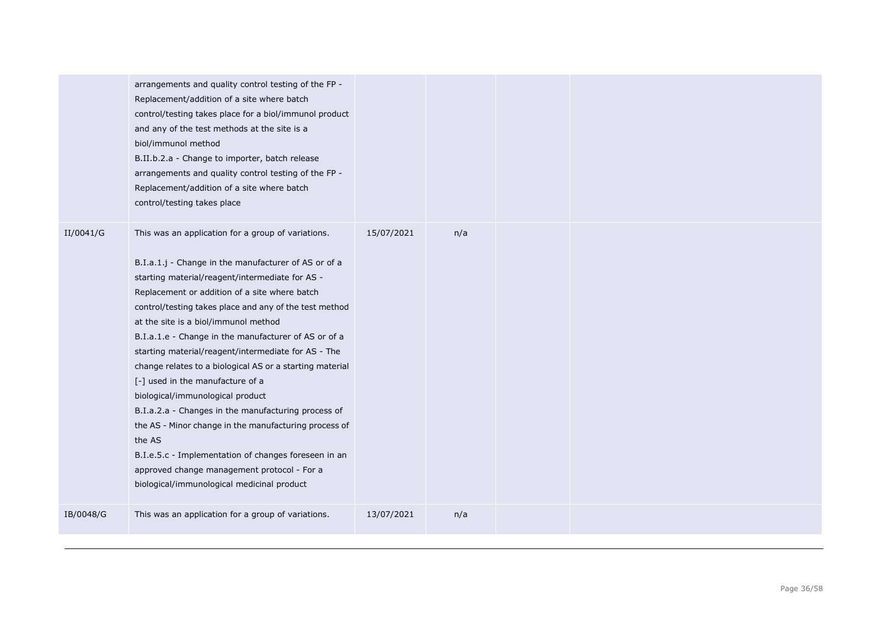|           | arrangements and quality control testing of the FP -<br>Replacement/addition of a site where batch<br>control/testing takes place for a biol/immunol product<br>and any of the test methods at the site is a<br>biol/immunol method<br>B.II.b.2.a - Change to importer, batch release<br>arrangements and quality control testing of the FP -<br>Replacement/addition of a site where batch<br>control/testing takes place                                                                                                                                                                                                                                                                                                                                                                                                                         |            |     |  |  |
|-----------|----------------------------------------------------------------------------------------------------------------------------------------------------------------------------------------------------------------------------------------------------------------------------------------------------------------------------------------------------------------------------------------------------------------------------------------------------------------------------------------------------------------------------------------------------------------------------------------------------------------------------------------------------------------------------------------------------------------------------------------------------------------------------------------------------------------------------------------------------|------------|-----|--|--|
| II/0041/G | This was an application for a group of variations.<br>B.I.a.1.j - Change in the manufacturer of AS or of a<br>starting material/reagent/intermediate for AS -<br>Replacement or addition of a site where batch<br>control/testing takes place and any of the test method<br>at the site is a biol/immunol method<br>B.I.a.1.e - Change in the manufacturer of AS or of a<br>starting material/reagent/intermediate for AS - The<br>change relates to a biological AS or a starting material<br>[-] used in the manufacture of a<br>biological/immunological product<br>B.I.a.2.a - Changes in the manufacturing process of<br>the AS - Minor change in the manufacturing process of<br>the AS<br>B.I.e.5.c - Implementation of changes foreseen in an<br>approved change management protocol - For a<br>biological/immunological medicinal product | 15/07/2021 | n/a |  |  |
| IB/0048/G | This was an application for a group of variations.                                                                                                                                                                                                                                                                                                                                                                                                                                                                                                                                                                                                                                                                                                                                                                                                 | 13/07/2021 | n/a |  |  |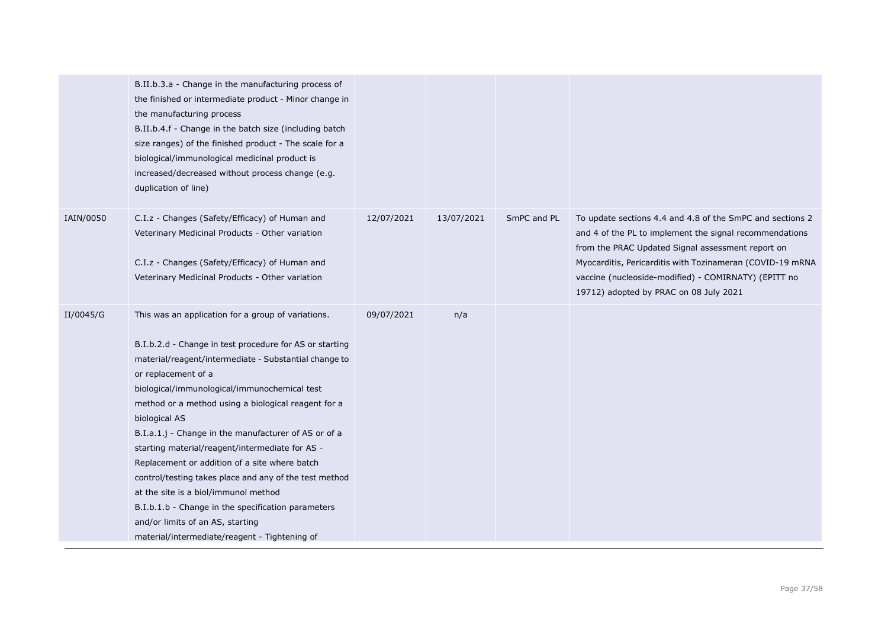|           | B.II.b.3.a - Change in the manufacturing process of<br>the finished or intermediate product - Minor change in<br>the manufacturing process<br>B.II.b.4.f - Change in the batch size (including batch<br>size ranges) of the finished product - The scale for a<br>biological/immunological medicinal product is<br>increased/decreased without process change (e.g.<br>duplication of line)                                                                                                                                                                                                                                                                                                                                    |            |            |             |                                                                                                                                                                                                                                                                                                                                          |
|-----------|--------------------------------------------------------------------------------------------------------------------------------------------------------------------------------------------------------------------------------------------------------------------------------------------------------------------------------------------------------------------------------------------------------------------------------------------------------------------------------------------------------------------------------------------------------------------------------------------------------------------------------------------------------------------------------------------------------------------------------|------------|------------|-------------|------------------------------------------------------------------------------------------------------------------------------------------------------------------------------------------------------------------------------------------------------------------------------------------------------------------------------------------|
| IAIN/0050 | C.I.z - Changes (Safety/Efficacy) of Human and<br>Veterinary Medicinal Products - Other variation<br>C.I.z - Changes (Safety/Efficacy) of Human and<br>Veterinary Medicinal Products - Other variation                                                                                                                                                                                                                                                                                                                                                                                                                                                                                                                         | 12/07/2021 | 13/07/2021 | SmPC and PL | To update sections 4.4 and 4.8 of the SmPC and sections 2<br>and 4 of the PL to implement the signal recommendations<br>from the PRAC Updated Signal assessment report on<br>Myocarditis, Pericarditis with Tozinameran (COVID-19 mRNA<br>vaccine (nucleoside-modified) - COMIRNATY) (EPITT no<br>19712) adopted by PRAC on 08 July 2021 |
| II/0045/G | This was an application for a group of variations.<br>B.I.b.2.d - Change in test procedure for AS or starting<br>material/reagent/intermediate - Substantial change to<br>or replacement of a<br>biological/immunological/immunochemical test<br>method or a method using a biological reagent for a<br>biological AS<br>B.I.a.1.j - Change in the manufacturer of AS or of a<br>starting material/reagent/intermediate for AS -<br>Replacement or addition of a site where batch<br>control/testing takes place and any of the test method<br>at the site is a biol/immunol method<br>B.I.b.1.b - Change in the specification parameters<br>and/or limits of an AS, starting<br>material/intermediate/reagent - Tightening of | 09/07/2021 | n/a        |             |                                                                                                                                                                                                                                                                                                                                          |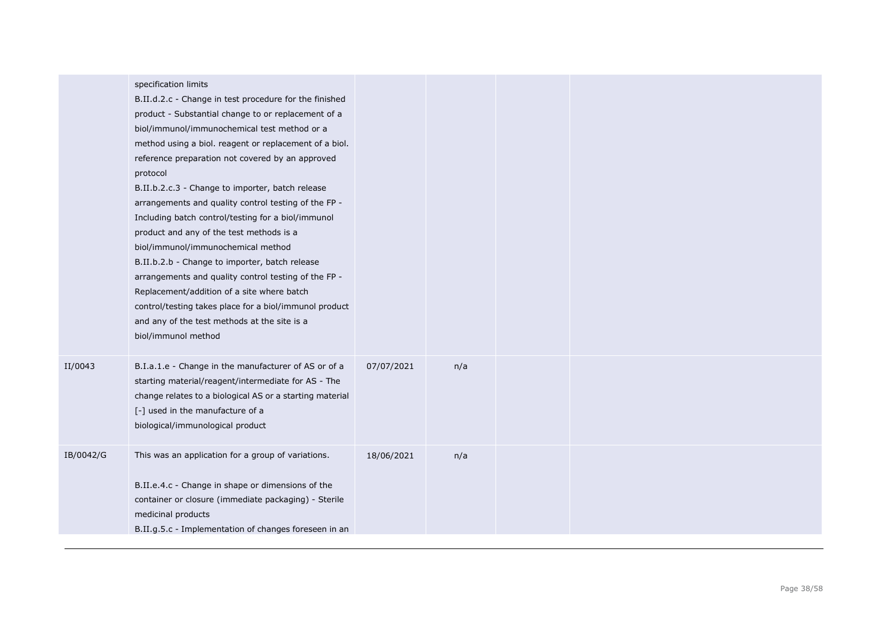|           | specification limits<br>B.II.d.2.c - Change in test procedure for the finished<br>product - Substantial change to or replacement of a<br>biol/immunol/immunochemical test method or a<br>method using a biol. reagent or replacement of a biol.<br>reference preparation not covered by an approved<br>protocol<br>B.II.b.2.c.3 - Change to importer, batch release<br>arrangements and quality control testing of the FP -<br>Including batch control/testing for a biol/immunol<br>product and any of the test methods is a<br>biol/immunol/immunochemical method<br>B.II.b.2.b - Change to importer, batch release<br>arrangements and quality control testing of the FP -<br>Replacement/addition of a site where batch<br>control/testing takes place for a biol/immunol product<br>and any of the test methods at the site is a<br>biol/immunol method |            |     |  |  |
|-----------|--------------------------------------------------------------------------------------------------------------------------------------------------------------------------------------------------------------------------------------------------------------------------------------------------------------------------------------------------------------------------------------------------------------------------------------------------------------------------------------------------------------------------------------------------------------------------------------------------------------------------------------------------------------------------------------------------------------------------------------------------------------------------------------------------------------------------------------------------------------|------------|-----|--|--|
| II/0043   | B.I.a.1.e - Change in the manufacturer of AS or of a<br>starting material/reagent/intermediate for AS - The<br>change relates to a biological AS or a starting material<br>[-] used in the manufacture of a<br>biological/immunological product                                                                                                                                                                                                                                                                                                                                                                                                                                                                                                                                                                                                              | 07/07/2021 | n/a |  |  |
| IB/0042/G | This was an application for a group of variations.<br>B.II.e.4.c - Change in shape or dimensions of the<br>container or closure (immediate packaging) - Sterile<br>medicinal products<br>B.II.g.5.c - Implementation of changes foreseen in an                                                                                                                                                                                                                                                                                                                                                                                                                                                                                                                                                                                                               | 18/06/2021 | n/a |  |  |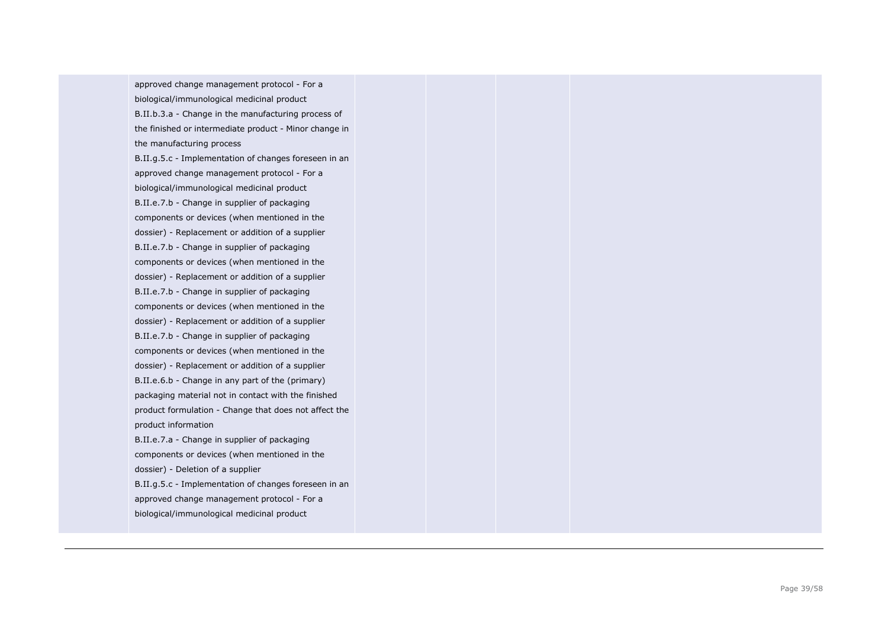approved change management protocol - For a biological/immunological medicinal product B.II.b.3.a - Change in the manufacturing process of the finished or intermediate product - Minor change in the manufacturing process

B.II.g.5.c - Implementation of changes foreseen in an approved change management protocol - For a biological/immunological medicinal product B.II.e.7.b - Change in supplier of packaging components or devices (when mentioned in the dossier) - Replacement or addition of a supplier B.II.e.7.b - Change in supplier of packaging components or devices (when mentioned in the dossier) - Replacement or addition of a supplier B.II.e.7.b - Change in supplier of packaging components or devices (when mentioned in the dossier) - Replacement or addition of a supplier B.II.e.7.b - Change in supplier of packaging components or devices (when mentioned in the dossier) - Replacement or addition of a supplier B.II.e.6.b - Change in any part of the (primary) packaging material not in contact with the finished product formulation - Change that does not affect the product information

B.II.e.7.a - Change in supplier of packaging components or devices (when mentioned in the dossier) - Deletion of a supplier B.II.g.5.c - Implementation of changes foreseen in an approved change management protocol - For a biological/immunological medicinal product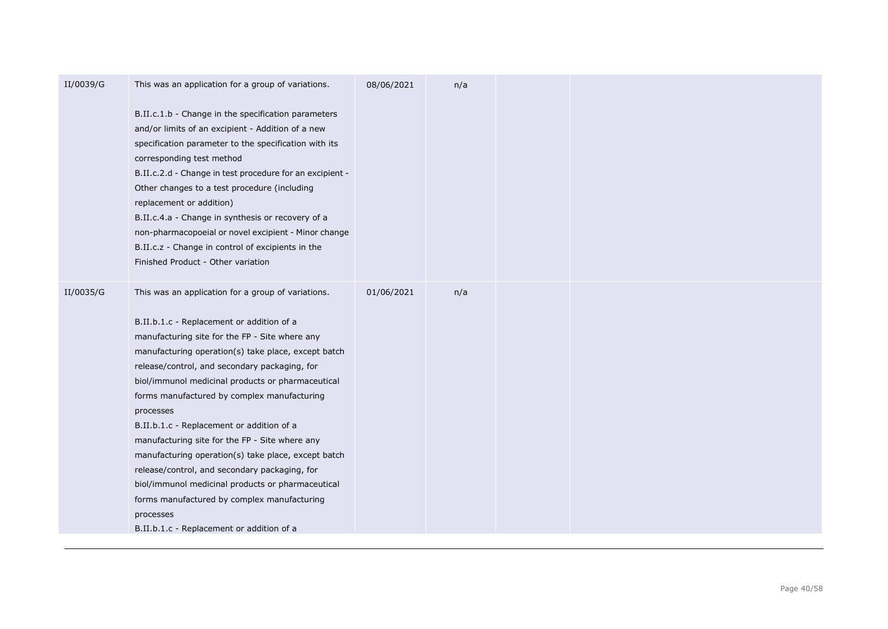|           | B.II.c.1.b - Change in the specification parameters<br>and/or limits of an excipient - Addition of a new<br>specification parameter to the specification with its<br>corresponding test method<br>B.II.c.2.d - Change in test procedure for an excipient -<br>Other changes to a test procedure (including<br>replacement or addition)<br>B.II.c.4.a - Change in synthesis or recovery of a                                                                                                                                                                                                                                                                                                                                                     |            |     |  |
|-----------|-------------------------------------------------------------------------------------------------------------------------------------------------------------------------------------------------------------------------------------------------------------------------------------------------------------------------------------------------------------------------------------------------------------------------------------------------------------------------------------------------------------------------------------------------------------------------------------------------------------------------------------------------------------------------------------------------------------------------------------------------|------------|-----|--|
|           | non-pharmacopoeial or novel excipient - Minor change<br>B.II.c.z - Change in control of excipients in the<br>Finished Product - Other variation                                                                                                                                                                                                                                                                                                                                                                                                                                                                                                                                                                                                 |            |     |  |
| II/0035/G | This was an application for a group of variations.<br>B.II.b.1.c - Replacement or addition of a<br>manufacturing site for the FP - Site where any<br>manufacturing operation(s) take place, except batch<br>release/control, and secondary packaging, for<br>biol/immunol medicinal products or pharmaceutical<br>forms manufactured by complex manufacturing<br>processes<br>B.II.b.1.c - Replacement or addition of a<br>manufacturing site for the FP - Site where any<br>manufacturing operation(s) take place, except batch<br>release/control, and secondary packaging, for<br>biol/immunol medicinal products or pharmaceutical<br>forms manufactured by complex manufacturing<br>processes<br>B.II.b.1.c - Replacement or addition of a | 01/06/2021 | n/a |  |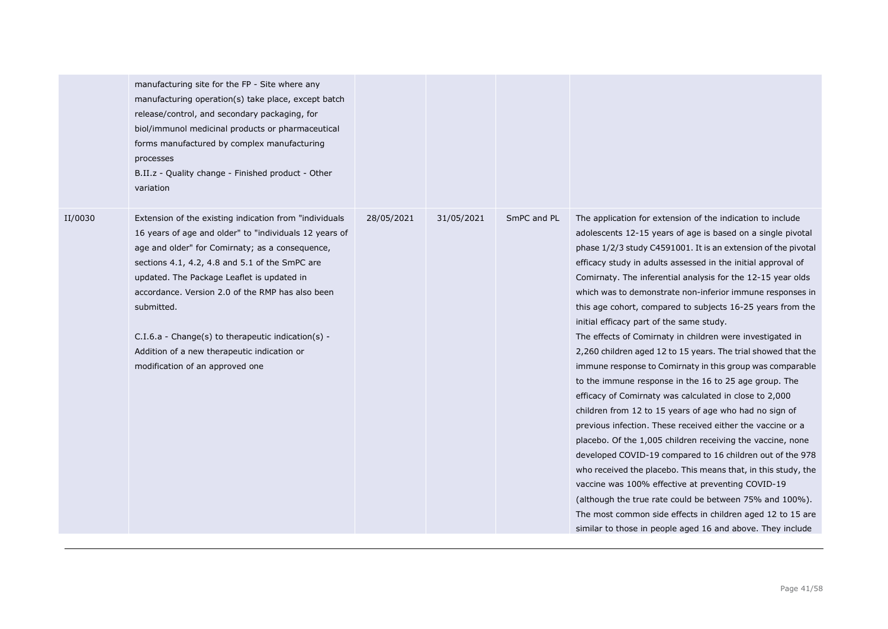|         | manufacturing site for the FP - Site where any<br>manufacturing operation(s) take place, except batch<br>release/control, and secondary packaging, for<br>biol/immunol medicinal products or pharmaceutical<br>forms manufactured by complex manufacturing<br>processes<br>B.II.z - Quality change - Finished product - Other<br>variation                                                                                                                                       |            |            |             |                                                                                                                                                                                                                                                                                                                                                                                                                                                                                                                                                                                                                                                                                                                                                                                                                                                                                                                                                                                                                                                                                                                                                                                                                                                                                                                                                                                |
|---------|----------------------------------------------------------------------------------------------------------------------------------------------------------------------------------------------------------------------------------------------------------------------------------------------------------------------------------------------------------------------------------------------------------------------------------------------------------------------------------|------------|------------|-------------|--------------------------------------------------------------------------------------------------------------------------------------------------------------------------------------------------------------------------------------------------------------------------------------------------------------------------------------------------------------------------------------------------------------------------------------------------------------------------------------------------------------------------------------------------------------------------------------------------------------------------------------------------------------------------------------------------------------------------------------------------------------------------------------------------------------------------------------------------------------------------------------------------------------------------------------------------------------------------------------------------------------------------------------------------------------------------------------------------------------------------------------------------------------------------------------------------------------------------------------------------------------------------------------------------------------------------------------------------------------------------------|
| II/0030 | Extension of the existing indication from "individuals"<br>16 years of age and older" to "individuals 12 years of<br>age and older" for Comirnaty; as a consequence,<br>sections 4.1, 4.2, 4.8 and 5.1 of the SmPC are<br>updated. The Package Leaflet is updated in<br>accordance. Version 2.0 of the RMP has also been<br>submitted.<br>$C.I.6.a - Change(s)$ to therapeutic indication(s) -<br>Addition of a new therapeutic indication or<br>modification of an approved one | 28/05/2021 | 31/05/2021 | SmPC and PL | The application for extension of the indication to include<br>adolescents 12-15 years of age is based on a single pivotal<br>phase 1/2/3 study C4591001. It is an extension of the pivotal<br>efficacy study in adults assessed in the initial approval of<br>Comirnaty. The inferential analysis for the 12-15 year olds<br>which was to demonstrate non-inferior immune responses in<br>this age cohort, compared to subjects 16-25 years from the<br>initial efficacy part of the same study.<br>The effects of Comirnaty in children were investigated in<br>2,260 children aged 12 to 15 years. The trial showed that the<br>immune response to Comirnaty in this group was comparable<br>to the immune response in the 16 to 25 age group. The<br>efficacy of Comirnaty was calculated in close to 2,000<br>children from 12 to 15 years of age who had no sign of<br>previous infection. These received either the vaccine or a<br>placebo. Of the 1,005 children receiving the vaccine, none<br>developed COVID-19 compared to 16 children out of the 978<br>who received the placebo. This means that, in this study, the<br>vaccine was 100% effective at preventing COVID-19<br>(although the true rate could be between 75% and 100%).<br>The most common side effects in children aged 12 to 15 are<br>similar to those in people aged 16 and above. They include |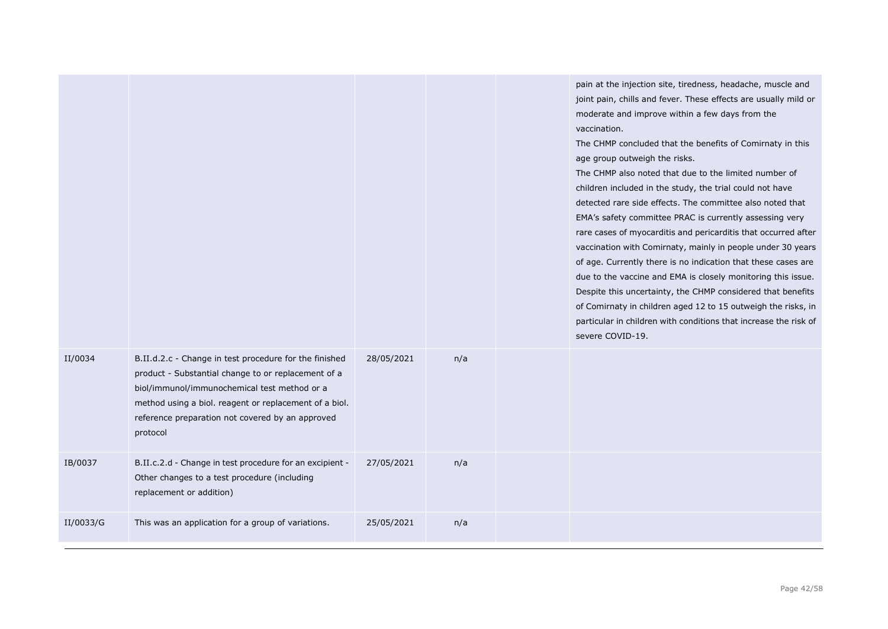|           |                                                                                                                                                                                                                                                                                         |            |     | pain at the injection site, tiredness, headache, muscle and<br>joint pain, chills and fever. These effects are usually mild or<br>moderate and improve within a few days from the<br>vaccination.<br>The CHMP concluded that the benefits of Comirnaty in this<br>age group outweigh the risks.<br>The CHMP also noted that due to the limited number of<br>children included in the study, the trial could not have<br>detected rare side effects. The committee also noted that<br>EMA's safety committee PRAC is currently assessing very<br>rare cases of myocarditis and pericarditis that occurred after<br>vaccination with Comirnaty, mainly in people under 30 years<br>of age. Currently there is no indication that these cases are<br>due to the vaccine and EMA is closely monitoring this issue.<br>Despite this uncertainty, the CHMP considered that benefits<br>of Comirnaty in children aged 12 to 15 outweigh the risks, in<br>particular in children with conditions that increase the risk of<br>severe COVID-19. |
|-----------|-----------------------------------------------------------------------------------------------------------------------------------------------------------------------------------------------------------------------------------------------------------------------------------------|------------|-----|----------------------------------------------------------------------------------------------------------------------------------------------------------------------------------------------------------------------------------------------------------------------------------------------------------------------------------------------------------------------------------------------------------------------------------------------------------------------------------------------------------------------------------------------------------------------------------------------------------------------------------------------------------------------------------------------------------------------------------------------------------------------------------------------------------------------------------------------------------------------------------------------------------------------------------------------------------------------------------------------------------------------------------------|
| II/0034   | B.II.d.2.c - Change in test procedure for the finished<br>product - Substantial change to or replacement of a<br>biol/immunol/immunochemical test method or a<br>method using a biol. reagent or replacement of a biol.<br>reference preparation not covered by an approved<br>protocol | 28/05/2021 | n/a |                                                                                                                                                                                                                                                                                                                                                                                                                                                                                                                                                                                                                                                                                                                                                                                                                                                                                                                                                                                                                                        |
| IB/0037   | B.II.c.2.d - Change in test procedure for an excipient -<br>Other changes to a test procedure (including<br>replacement or addition)                                                                                                                                                    | 27/05/2021 | n/a |                                                                                                                                                                                                                                                                                                                                                                                                                                                                                                                                                                                                                                                                                                                                                                                                                                                                                                                                                                                                                                        |
| II/0033/G | This was an application for a group of variations.                                                                                                                                                                                                                                      | 25/05/2021 | n/a |                                                                                                                                                                                                                                                                                                                                                                                                                                                                                                                                                                                                                                                                                                                                                                                                                                                                                                                                                                                                                                        |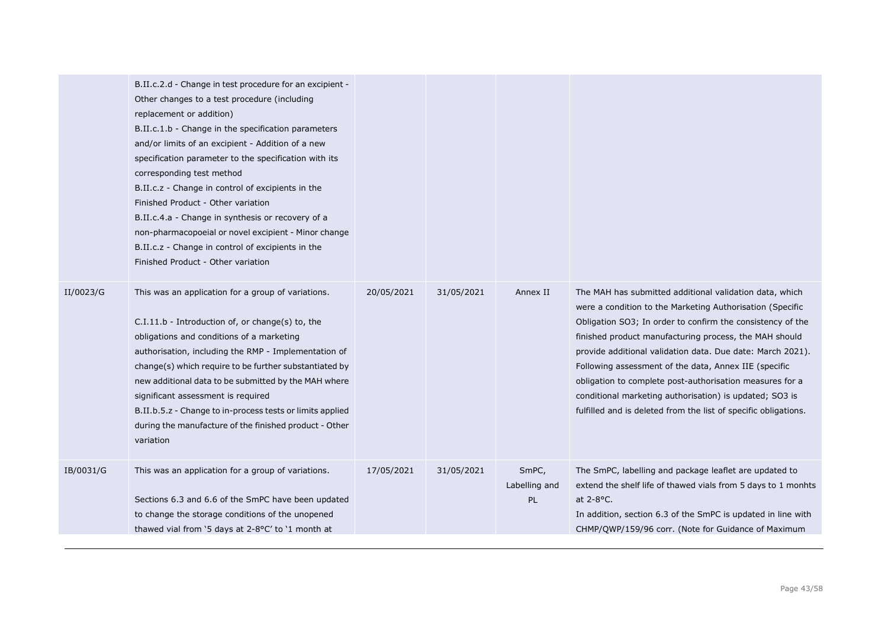|           | B.II.c.2.d - Change in test procedure for an excipient -<br>Other changes to a test procedure (including<br>replacement or addition)<br>B.II.c.1.b - Change in the specification parameters<br>and/or limits of an excipient - Addition of a new<br>specification parameter to the specification with its<br>corresponding test method<br>B.II.c.z - Change in control of excipients in the<br>Finished Product - Other variation<br>B.II.c.4.a - Change in synthesis or recovery of a<br>non-pharmacopoeial or novel excipient - Minor change<br>B.II.c.z - Change in control of excipients in the<br>Finished Product - Other variation |            |            |                                     |                                                                                                                                                                                                                                                                                                                                                                                                                                                                                                                                                               |
|-----------|-------------------------------------------------------------------------------------------------------------------------------------------------------------------------------------------------------------------------------------------------------------------------------------------------------------------------------------------------------------------------------------------------------------------------------------------------------------------------------------------------------------------------------------------------------------------------------------------------------------------------------------------|------------|------------|-------------------------------------|---------------------------------------------------------------------------------------------------------------------------------------------------------------------------------------------------------------------------------------------------------------------------------------------------------------------------------------------------------------------------------------------------------------------------------------------------------------------------------------------------------------------------------------------------------------|
| II/0023/G | This was an application for a group of variations.<br>C.I.11.b - Introduction of, or change(s) to, the<br>obligations and conditions of a marketing<br>authorisation, including the RMP - Implementation of<br>change(s) which require to be further substantiated by<br>new additional data to be submitted by the MAH where<br>significant assessment is required<br>B.II.b.5.z - Change to in-process tests or limits applied<br>during the manufacture of the finished product - Other<br>variation                                                                                                                                   | 20/05/2021 | 31/05/2021 | Annex II                            | The MAH has submitted additional validation data, which<br>were a condition to the Marketing Authorisation (Specific<br>Obligation SO3; In order to confirm the consistency of the<br>finished product manufacturing process, the MAH should<br>provide additional validation data. Due date: March 2021).<br>Following assessment of the data, Annex IIE (specific<br>obligation to complete post-authorisation measures for a<br>conditional marketing authorisation) is updated; SO3 is<br>fulfilled and is deleted from the list of specific obligations. |
| IB/0031/G | This was an application for a group of variations.<br>Sections 6.3 and 6.6 of the SmPC have been updated<br>to change the storage conditions of the unopened<br>thawed vial from '5 days at 2-8°C' to '1 month at                                                                                                                                                                                                                                                                                                                                                                                                                         | 17/05/2021 | 31/05/2021 | SmPC,<br>Labelling and<br><b>PL</b> | The SmPC, labelling and package leaflet are updated to<br>extend the shelf life of thawed vials from 5 days to 1 monhts<br>at $2-8$ °C.<br>In addition, section 6.3 of the SmPC is updated in line with<br>CHMP/QWP/159/96 corr. (Note for Guidance of Maximum                                                                                                                                                                                                                                                                                                |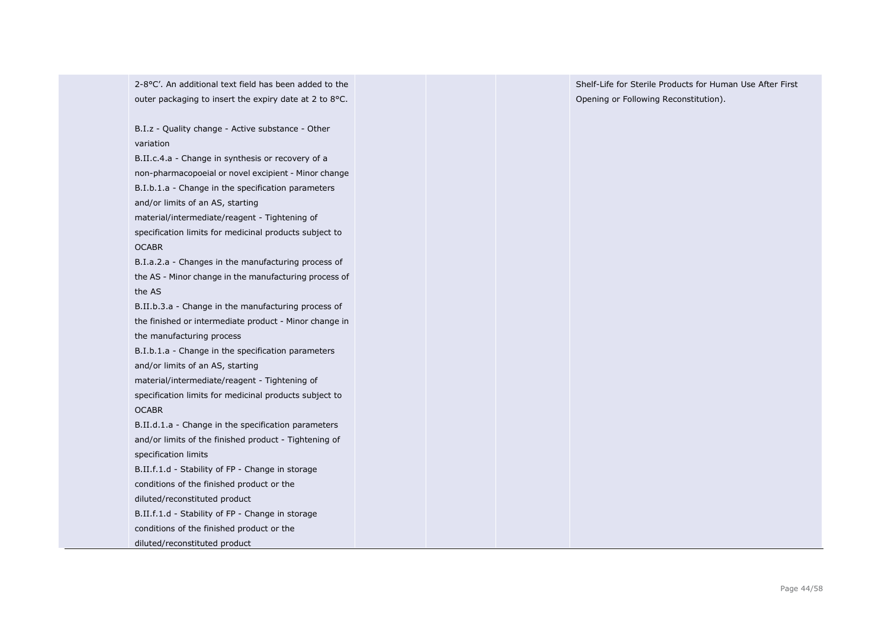2-8°C'. An additional text field has been added to the outer packaging to insert the expiry date at 2 to 8°C.

B.I.z - Quality change - Active substance - Other variation

B.II.c.4.a - Change in synthesis or recovery of a non-pharmacopoeial or novel excipient - Minor change B.I.b.1.a - Change in the specification parameters and/or limits of an AS, starting material/intermediate/reagent - Tightening of specification limits for medicinal products subject to

**OCABR** 

B.I.a.2.a - Changes in the manufacturing process of the AS - Minor change in the manufacturing process of the AS

B.II.b.3.a - Change in the manufacturing process of the finished or intermediate product - Minor change in the manufacturing process

B.I.b.1.a - Change in the specification parameters and/or limits of an AS, starting

material/intermediate/reagent - Tightening of specification limits for medicinal products subject to OCABR

B.II.d.1.a - Change in the specification parameters and/or limits of the finished product - Tightening of specification limits

B.II.f.1.d - Stability of FP - Change in storage conditions of the finished product or the diluted/reconstituted product

B.II.f.1.d - Stability of FP - Change in storage

conditions of the finished product or the

diluted/reconstituted product

Shelf-Life for Sterile Products for Human Use After First Opening or Following Reconstitution).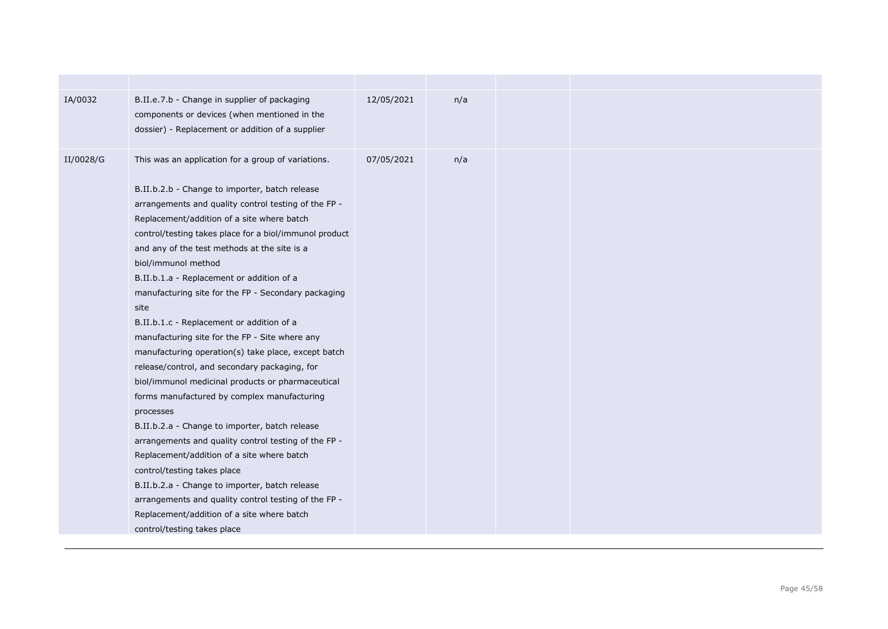| IA/0032   | B.II.e.7.b - Change in supplier of packaging<br>components or devices (when mentioned in the<br>dossier) - Replacement or addition of a supplier                                                                                                                                                                                                                                                                                                                                                                                                                                                                                                                                                                                                                                                                                                                                                                                                                                                                                                                                                                                                              | 12/05/2021 | n/a |  |  |
|-----------|---------------------------------------------------------------------------------------------------------------------------------------------------------------------------------------------------------------------------------------------------------------------------------------------------------------------------------------------------------------------------------------------------------------------------------------------------------------------------------------------------------------------------------------------------------------------------------------------------------------------------------------------------------------------------------------------------------------------------------------------------------------------------------------------------------------------------------------------------------------------------------------------------------------------------------------------------------------------------------------------------------------------------------------------------------------------------------------------------------------------------------------------------------------|------------|-----|--|--|
| II/0028/G | This was an application for a group of variations.<br>B.II.b.2.b - Change to importer, batch release<br>arrangements and quality control testing of the FP -<br>Replacement/addition of a site where batch<br>control/testing takes place for a biol/immunol product<br>and any of the test methods at the site is a<br>biol/immunol method<br>B.II.b.1.a - Replacement or addition of a<br>manufacturing site for the FP - Secondary packaging<br>site<br>B.II.b.1.c - Replacement or addition of a<br>manufacturing site for the FP - Site where any<br>manufacturing operation(s) take place, except batch<br>release/control, and secondary packaging, for<br>biol/immunol medicinal products or pharmaceutical<br>forms manufactured by complex manufacturing<br>processes<br>B.II.b.2.a - Change to importer, batch release<br>arrangements and quality control testing of the FP -<br>Replacement/addition of a site where batch<br>control/testing takes place<br>B.II.b.2.a - Change to importer, batch release<br>arrangements and quality control testing of the FP -<br>Replacement/addition of a site where batch<br>control/testing takes place | 07/05/2021 | n/a |  |  |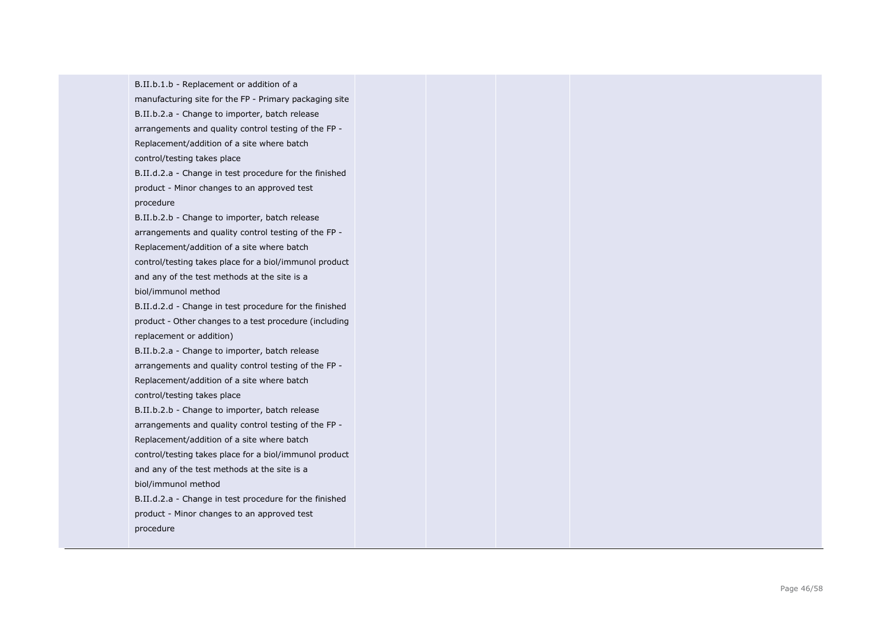B.II.b.1.b - Replacement or addition of a manufacturing site for the FP - Primary packaging site B.II.b.2.a - Change to importer, batch release arrangements and quality control testing of the FP - Replacement/addition of a site where batch control/testing takes place B.II.d.2.a - Change in test procedure for the finished product - Minor changes to an approved test procedure B.II.b.2.b - Change to importer, batch release arrangements and quality control testing of the FP - Replacement/addition of a site where batch control/testing takes place for a biol/immunol product and any of the test methods at the site is a biol/immunol method B.II.d.2.d - Change in test procedure for the finished product - Other changes to a test procedure (including replacement or addition) B.II.b.2.a - Change to importer, batch release arrangements and quality control testing of the FP - Replacement/addition of a site where batch control/testing takes place B.II.b.2.b - Change to importer, batch release arrangements and quality control testing of the FP - Replacement/addition of a site where batch control/testing takes place for a biol/immunol product and any of the test methods at the site is a biol/immunol method B.II.d.2.a - Change in test procedure for the finished product - Minor changes to an approved test procedure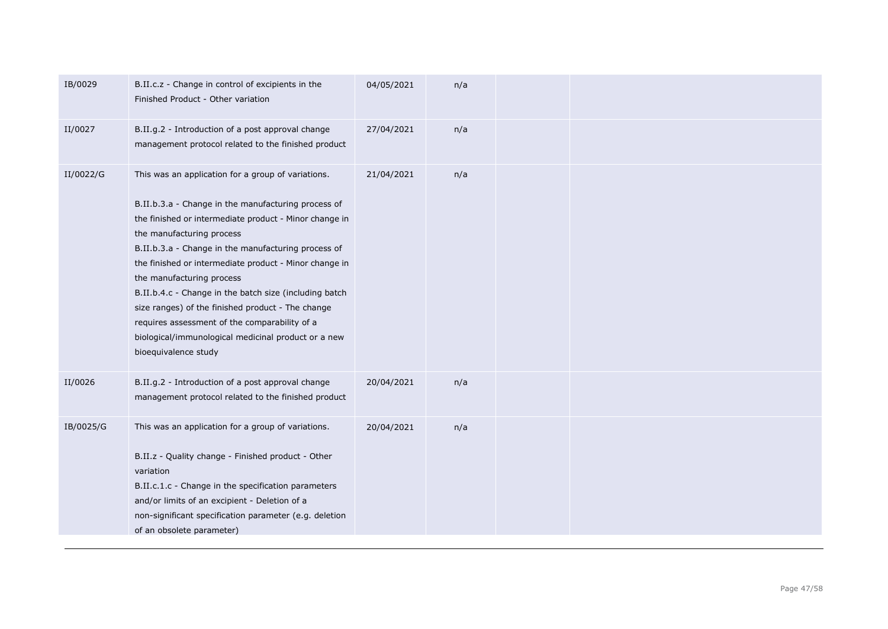| IB/0029   | B.II.c.z - Change in control of excipients in the<br>Finished Product - Other variation                                                                                                                                                                                                                                                                                                                                                                                                                                                                                                       | 04/05/2021 | n/a |  |
|-----------|-----------------------------------------------------------------------------------------------------------------------------------------------------------------------------------------------------------------------------------------------------------------------------------------------------------------------------------------------------------------------------------------------------------------------------------------------------------------------------------------------------------------------------------------------------------------------------------------------|------------|-----|--|
| II/0027   | B.II.g.2 - Introduction of a post approval change<br>management protocol related to the finished product                                                                                                                                                                                                                                                                                                                                                                                                                                                                                      | 27/04/2021 | n/a |  |
| II/0022/G | This was an application for a group of variations.<br>B.II.b.3.a - Change in the manufacturing process of<br>the finished or intermediate product - Minor change in<br>the manufacturing process<br>B.II.b.3.a - Change in the manufacturing process of<br>the finished or intermediate product - Minor change in<br>the manufacturing process<br>B.II.b.4.c - Change in the batch size (including batch<br>size ranges) of the finished product - The change<br>requires assessment of the comparability of a<br>biological/immunological medicinal product or a new<br>bioequivalence study | 21/04/2021 | n/a |  |
| II/0026   | B.II.g.2 - Introduction of a post approval change<br>management protocol related to the finished product                                                                                                                                                                                                                                                                                                                                                                                                                                                                                      | 20/04/2021 | n/a |  |
| IB/0025/G | This was an application for a group of variations.<br>B.II.z - Quality change - Finished product - Other<br>variation<br>B.II.c.1.c - Change in the specification parameters<br>and/or limits of an excipient - Deletion of a<br>non-significant specification parameter (e.g. deletion<br>of an obsolete parameter)                                                                                                                                                                                                                                                                          | 20/04/2021 | n/a |  |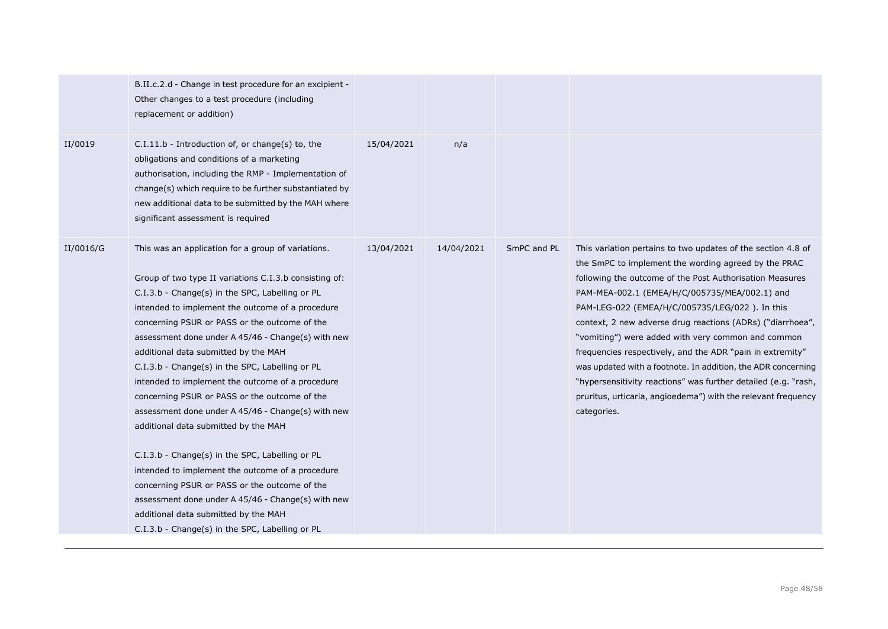|           | B.II.c.2.d - Change in test procedure for an excipient -<br>Other changes to a test procedure (including<br>replacement or addition)                                                                                                                                                                                                                                                                                                                                                                                                                                                                                                                                                                                                                                                                                                                                                                                              |            |            |             |                                                                                                                                                                                                                                                                                                                                                                                                                                                                                                                                                                                                                                                                                        |
|-----------|-----------------------------------------------------------------------------------------------------------------------------------------------------------------------------------------------------------------------------------------------------------------------------------------------------------------------------------------------------------------------------------------------------------------------------------------------------------------------------------------------------------------------------------------------------------------------------------------------------------------------------------------------------------------------------------------------------------------------------------------------------------------------------------------------------------------------------------------------------------------------------------------------------------------------------------|------------|------------|-------------|----------------------------------------------------------------------------------------------------------------------------------------------------------------------------------------------------------------------------------------------------------------------------------------------------------------------------------------------------------------------------------------------------------------------------------------------------------------------------------------------------------------------------------------------------------------------------------------------------------------------------------------------------------------------------------------|
| II/0019   | C.I.11.b - Introduction of, or change(s) to, the<br>obligations and conditions of a marketing<br>authorisation, including the RMP - Implementation of<br>change(s) which require to be further substantiated by<br>new additional data to be submitted by the MAH where<br>significant assessment is required                                                                                                                                                                                                                                                                                                                                                                                                                                                                                                                                                                                                                     | 15/04/2021 | n/a        |             |                                                                                                                                                                                                                                                                                                                                                                                                                                                                                                                                                                                                                                                                                        |
| II/0016/G | This was an application for a group of variations.<br>Group of two type II variations C.I.3.b consisting of:<br>C.I.3.b - Change(s) in the SPC, Labelling or PL<br>intended to implement the outcome of a procedure<br>concerning PSUR or PASS or the outcome of the<br>assessment done under A 45/46 - Change(s) with new<br>additional data submitted by the MAH<br>C.I.3.b - Change(s) in the SPC, Labelling or PL<br>intended to implement the outcome of a procedure<br>concerning PSUR or PASS or the outcome of the<br>assessment done under A 45/46 - Change(s) with new<br>additional data submitted by the MAH<br>C.I.3.b - Change(s) in the SPC, Labelling or PL<br>intended to implement the outcome of a procedure<br>concerning PSUR or PASS or the outcome of the<br>assessment done under A 45/46 - Change(s) with new<br>additional data submitted by the MAH<br>C.I.3.b - Change(s) in the SPC, Labelling or PL | 13/04/2021 | 14/04/2021 | SmPC and PL | This variation pertains to two updates of the section 4.8 of<br>the SmPC to implement the wording agreed by the PRAC<br>following the outcome of the Post Authorisation Measures<br>PAM-MEA-002.1 (EMEA/H/C/005735/MEA/002.1) and<br>PAM-LEG-022 (EMEA/H/C/005735/LEG/022). In this<br>context, 2 new adverse drug reactions (ADRs) ("diarrhoea",<br>"vomiting") were added with very common and common<br>frequencies respectively, and the ADR "pain in extremity"<br>was updated with a footnote. In addition, the ADR concerning<br>"hypersensitivity reactions" was further detailed (e.g. "rash,<br>pruritus, urticaria, angioedema") with the relevant frequency<br>categories. |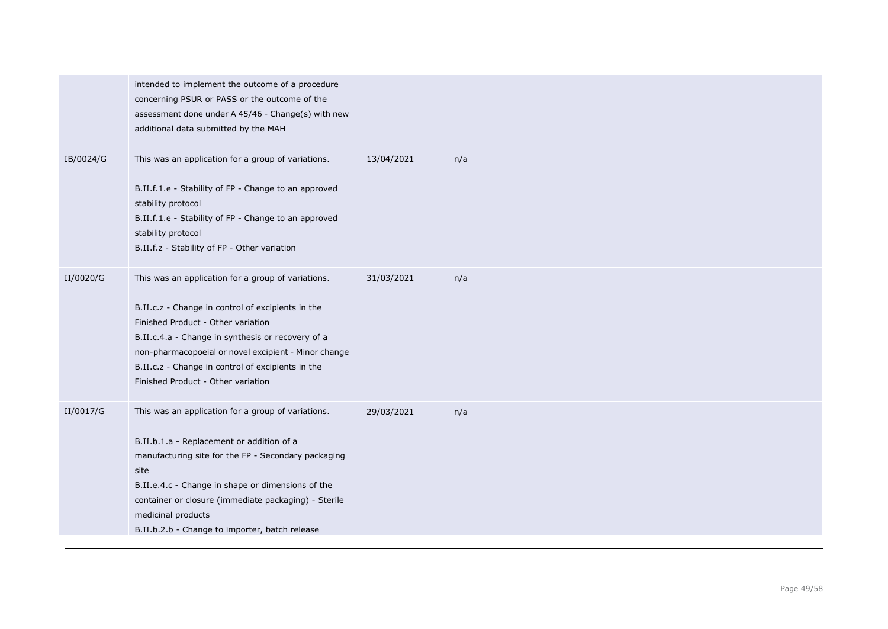|           | intended to implement the outcome of a procedure<br>concerning PSUR or PASS or the outcome of the<br>assessment done under A 45/46 - Change(s) with new<br>additional data submitted by the MAH                                                                                                                                                       |            |     |  |
|-----------|-------------------------------------------------------------------------------------------------------------------------------------------------------------------------------------------------------------------------------------------------------------------------------------------------------------------------------------------------------|------------|-----|--|
| IB/0024/G | This was an application for a group of variations.<br>B.II.f.1.e - Stability of FP - Change to an approved<br>stability protocol<br>B.II.f.1.e - Stability of FP - Change to an approved<br>stability protocol<br>B.II.f.z - Stability of FP - Other variation                                                                                        | 13/04/2021 | n/a |  |
| II/0020/G | This was an application for a group of variations.<br>B.II.c.z - Change in control of excipients in the<br>Finished Product - Other variation<br>B.II.c.4.a - Change in synthesis or recovery of a<br>non-pharmacopoeial or novel excipient - Minor change<br>B.II.c.z - Change in control of excipients in the<br>Finished Product - Other variation | 31/03/2021 | n/a |  |
| II/0017/G | This was an application for a group of variations.<br>B.II.b.1.a - Replacement or addition of a<br>manufacturing site for the FP - Secondary packaging<br>site<br>B.II.e.4.c - Change in shape or dimensions of the<br>container or closure (immediate packaging) - Sterile<br>medicinal products<br>B.II.b.2.b - Change to importer, batch release   | 29/03/2021 | n/a |  |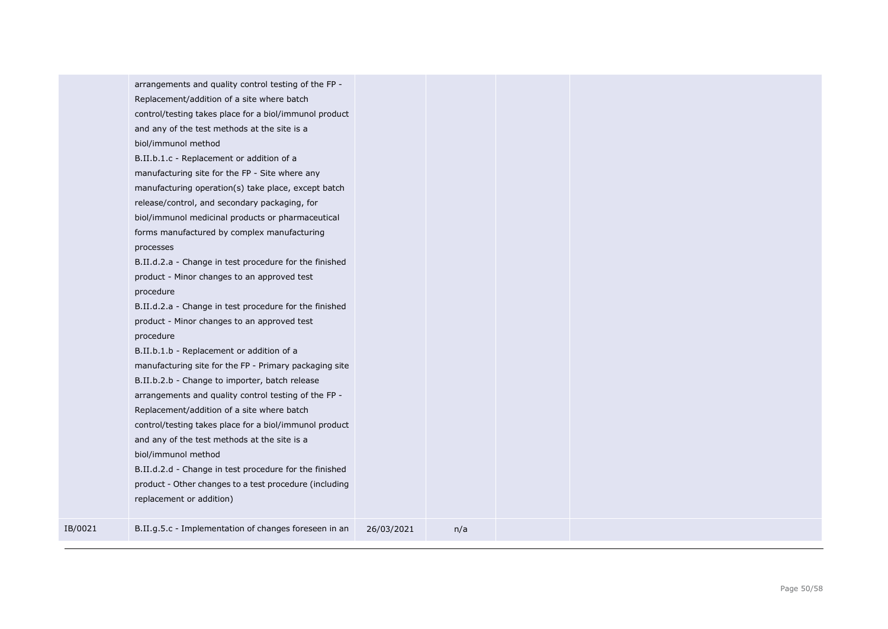|         | arrangements and quality control testing of the FP -<br>Replacement/addition of a site where batch<br>control/testing takes place for a biol/immunol product<br>and any of the test methods at the site is a<br>biol/immunol method<br>B.II.b.1.c - Replacement or addition of a<br>manufacturing site for the FP - Site where any<br>manufacturing operation(s) take place, except batch<br>release/control, and secondary packaging, for<br>biol/immunol medicinal products or pharmaceutical<br>forms manufactured by complex manufacturing<br>processes<br>B.II.d.2.a - Change in test procedure for the finished<br>product - Minor changes to an approved test<br>procedure<br>B.II.d.2.a - Change in test procedure for the finished<br>product - Minor changes to an approved test<br>procedure<br>B.II.b.1.b - Replacement or addition of a<br>manufacturing site for the FP - Primary packaging site<br>B.II.b.2.b - Change to importer, batch release<br>arrangements and quality control testing of the FP -<br>Replacement/addition of a site where batch<br>control/testing takes place for a biol/immunol product<br>and any of the test methods at the site is a<br>biol/immunol method |            |     |  |  |
|---------|---------------------------------------------------------------------------------------------------------------------------------------------------------------------------------------------------------------------------------------------------------------------------------------------------------------------------------------------------------------------------------------------------------------------------------------------------------------------------------------------------------------------------------------------------------------------------------------------------------------------------------------------------------------------------------------------------------------------------------------------------------------------------------------------------------------------------------------------------------------------------------------------------------------------------------------------------------------------------------------------------------------------------------------------------------------------------------------------------------------------------------------------------------------------------------------------------------|------------|-----|--|--|
|         | B.II.d.2.d - Change in test procedure for the finished<br>product - Other changes to a test procedure (including<br>replacement or addition)                                                                                                                                                                                                                                                                                                                                                                                                                                                                                                                                                                                                                                                                                                                                                                                                                                                                                                                                                                                                                                                            |            |     |  |  |
| IB/0021 | B.II.g.5.c - Implementation of changes foreseen in an                                                                                                                                                                                                                                                                                                                                                                                                                                                                                                                                                                                                                                                                                                                                                                                                                                                                                                                                                                                                                                                                                                                                                   | 26/03/2021 | n/a |  |  |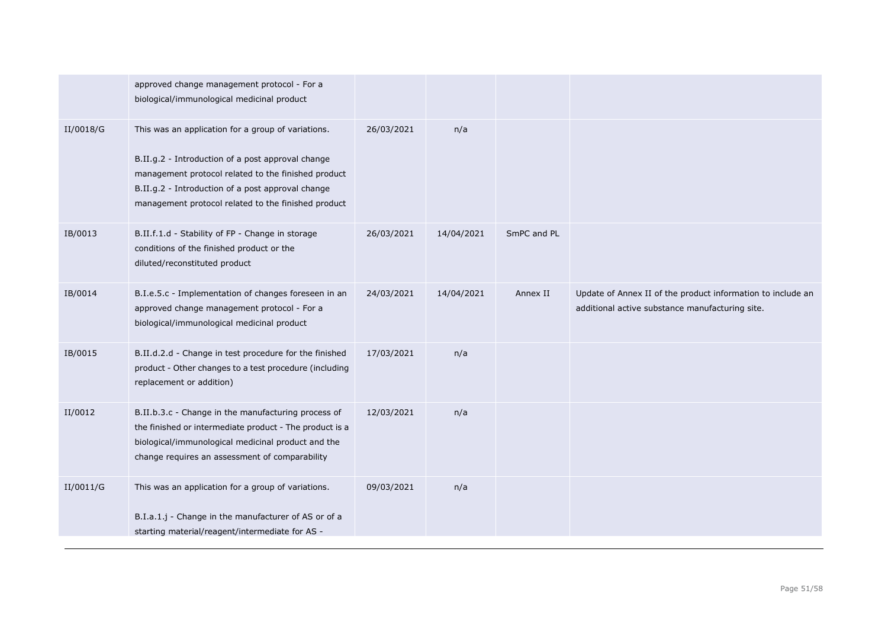|           | approved change management protocol - For a<br>biological/immunological medicinal product                                                                                                                                                                                  |            |            |             |                                                                                                                |
|-----------|----------------------------------------------------------------------------------------------------------------------------------------------------------------------------------------------------------------------------------------------------------------------------|------------|------------|-------------|----------------------------------------------------------------------------------------------------------------|
| II/0018/G | This was an application for a group of variations.<br>B.II.g.2 - Introduction of a post approval change<br>management protocol related to the finished product<br>B.II.g.2 - Introduction of a post approval change<br>management protocol related to the finished product | 26/03/2021 | n/a        |             |                                                                                                                |
| IB/0013   | B.II.f.1.d - Stability of FP - Change in storage<br>conditions of the finished product or the<br>diluted/reconstituted product                                                                                                                                             | 26/03/2021 | 14/04/2021 | SmPC and PL |                                                                                                                |
| IB/0014   | B.I.e.5.c - Implementation of changes foreseen in an<br>approved change management protocol - For a<br>biological/immunological medicinal product                                                                                                                          | 24/03/2021 | 14/04/2021 | Annex II    | Update of Annex II of the product information to include an<br>additional active substance manufacturing site. |
| IB/0015   | B.II.d.2.d - Change in test procedure for the finished<br>product - Other changes to a test procedure (including<br>replacement or addition)                                                                                                                               | 17/03/2021 | n/a        |             |                                                                                                                |
| II/0012   | B.II.b.3.c - Change in the manufacturing process of<br>the finished or intermediate product - The product is a<br>biological/immunological medicinal product and the<br>change requires an assessment of comparability                                                     | 12/03/2021 | n/a        |             |                                                                                                                |
| II/0011/G | This was an application for a group of variations.<br>B.I.a.1.j - Change in the manufacturer of AS or of a<br>starting material/reagent/intermediate for AS -                                                                                                              | 09/03/2021 | n/a        |             |                                                                                                                |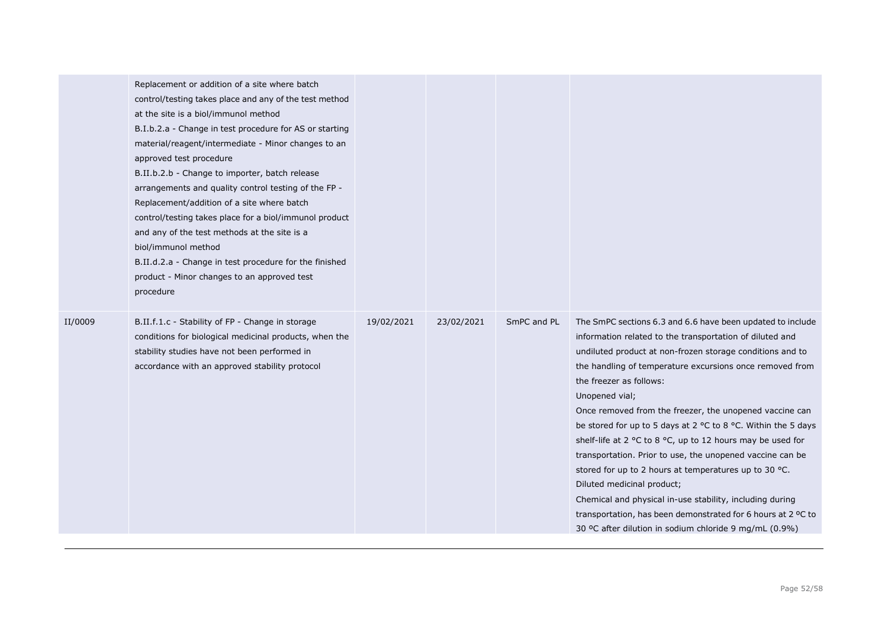|         | Replacement or addition of a site where batch<br>control/testing takes place and any of the test method<br>at the site is a biol/immunol method<br>B.I.b.2.a - Change in test procedure for AS or starting<br>material/reagent/intermediate - Minor changes to an<br>approved test procedure<br>B.II.b.2.b - Change to importer, batch release<br>arrangements and quality control testing of the FP -<br>Replacement/addition of a site where batch<br>control/testing takes place for a biol/immunol product<br>and any of the test methods at the site is a<br>biol/immunol method<br>B.II.d.2.a - Change in test procedure for the finished<br>product - Minor changes to an approved test<br>procedure |            |            |             |                                                                                                                                                                                                                                                                                                                                                                                                                                                                                                                                                                                                                                                                                                                                                                                                                                  |
|---------|-------------------------------------------------------------------------------------------------------------------------------------------------------------------------------------------------------------------------------------------------------------------------------------------------------------------------------------------------------------------------------------------------------------------------------------------------------------------------------------------------------------------------------------------------------------------------------------------------------------------------------------------------------------------------------------------------------------|------------|------------|-------------|----------------------------------------------------------------------------------------------------------------------------------------------------------------------------------------------------------------------------------------------------------------------------------------------------------------------------------------------------------------------------------------------------------------------------------------------------------------------------------------------------------------------------------------------------------------------------------------------------------------------------------------------------------------------------------------------------------------------------------------------------------------------------------------------------------------------------------|
| II/0009 | B.II.f.1.c - Stability of FP - Change in storage<br>conditions for biological medicinal products, when the<br>stability studies have not been performed in<br>accordance with an approved stability protocol                                                                                                                                                                                                                                                                                                                                                                                                                                                                                                | 19/02/2021 | 23/02/2021 | SmPC and PL | The SmPC sections 6.3 and 6.6 have been updated to include<br>information related to the transportation of diluted and<br>undiluted product at non-frozen storage conditions and to<br>the handling of temperature excursions once removed from<br>the freezer as follows:<br>Unopened vial;<br>Once removed from the freezer, the unopened vaccine can<br>be stored for up to 5 days at 2 °C to 8 °C. Within the 5 days<br>shelf-life at 2 °C to 8 °C, up to 12 hours may be used for<br>transportation. Prior to use, the unopened vaccine can be<br>stored for up to 2 hours at temperatures up to 30 °C.<br>Diluted medicinal product;<br>Chemical and physical in-use stability, including during<br>transportation, has been demonstrated for 6 hours at 2 °C to<br>30 °C after dilution in sodium chloride 9 mg/mL (0.9%) |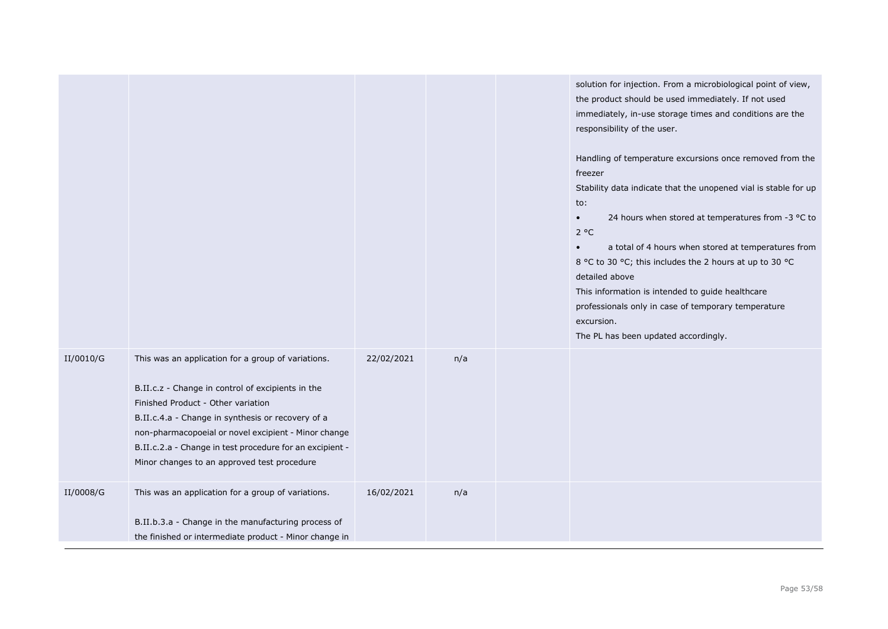|           |                                                                                                                                                                                                                                                                                                                                                                       |            |     | solution for injection. From a microbiological point of view,<br>the product should be used immediately. If not used<br>immediately, in-use storage times and conditions are the<br>responsibility of the user.<br>Handling of temperature excursions once removed from the<br>freezer<br>Stability data indicate that the unopened vial is stable for up<br>to:<br>24 hours when stored at temperatures from -3 °C to<br>$\bullet$<br>$2^oC$<br>a total of 4 hours when stored at temperatures from<br>8 °C to 30 °C; this includes the 2 hours at up to 30 °C<br>detailed above<br>This information is intended to guide healthcare<br>professionals only in case of temporary temperature<br>excursion.<br>The PL has been updated accordingly. |
|-----------|-----------------------------------------------------------------------------------------------------------------------------------------------------------------------------------------------------------------------------------------------------------------------------------------------------------------------------------------------------------------------|------------|-----|----------------------------------------------------------------------------------------------------------------------------------------------------------------------------------------------------------------------------------------------------------------------------------------------------------------------------------------------------------------------------------------------------------------------------------------------------------------------------------------------------------------------------------------------------------------------------------------------------------------------------------------------------------------------------------------------------------------------------------------------------|
| II/0010/G | This was an application for a group of variations.<br>B.II.c.z - Change in control of excipients in the<br>Finished Product - Other variation<br>B.II.c.4.a - Change in synthesis or recovery of a<br>non-pharmacopoeial or novel excipient - Minor change<br>B.II.c.2.a - Change in test procedure for an excipient -<br>Minor changes to an approved test procedure | 22/02/2021 | n/a |                                                                                                                                                                                                                                                                                                                                                                                                                                                                                                                                                                                                                                                                                                                                                    |
| II/0008/G | This was an application for a group of variations.<br>B.II.b.3.a - Change in the manufacturing process of<br>the finished or intermediate product - Minor change in                                                                                                                                                                                                   | 16/02/2021 | n/a |                                                                                                                                                                                                                                                                                                                                                                                                                                                                                                                                                                                                                                                                                                                                                    |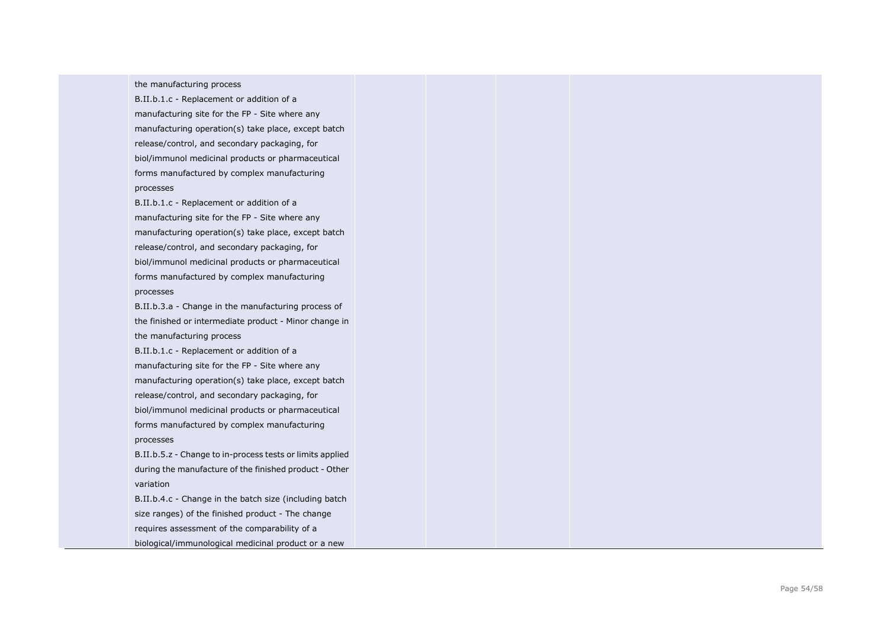the manufacturing process

B.II.b.1.c - Replacement or addition of a manufacturing site for the FP - Site where any manufacturing operation(s) take place, except batch release/control, and secondary packaging, for biol/immunol medicinal products or pharmaceutical forms manufactured by complex manufacturing processes

B.II.b.1.c - Replacement or addition of a manufacturing site for the FP - Site where any manufacturing operation(s) take place, except batch release/control, and secondary packaging, for biol/immunol medicinal products or pharmaceutical forms manufactured by complex manufacturing processes

B.II.b.3.a - Change in the manufacturing process of the finished or intermediate product - Minor change in the manufacturing process

B.II.b.1.c - Replacement or addition of a manufacturing site for the FP - Site where any manufacturing operation(s) take place, except batch release/control, and secondary packaging, for biol/immunol medicinal products or pharmaceutical forms manufactured by complex manufacturing processes

B.II.b.5.z - Change to in -process tests or limits applied during the manufacture of the finished product - Other variation

B.II.b.4.c - Change in the batch size (including batch size ranges) of the finished product - The change requires assessment of the comparability of a biological/immunological medicinal product or a new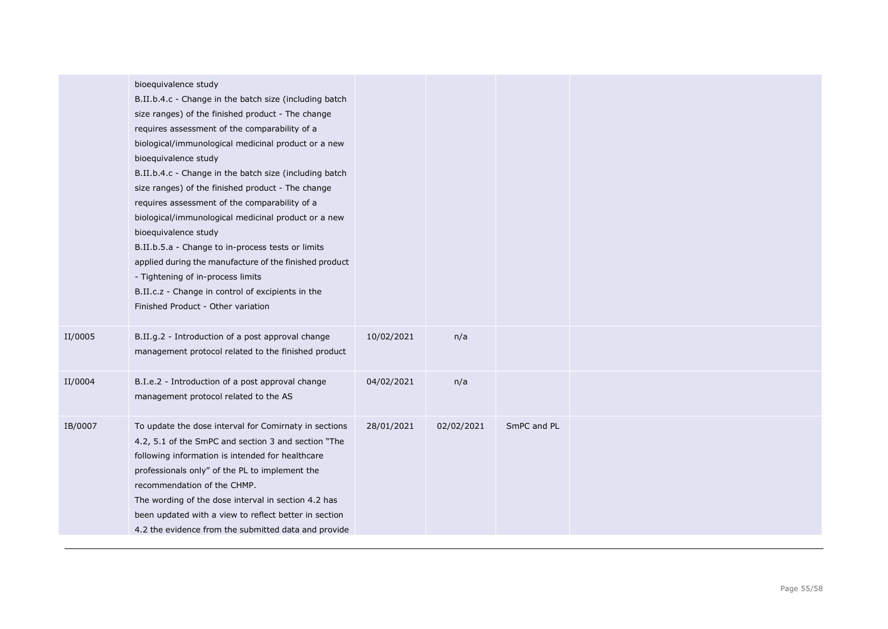|         | bioequivalence study<br>B.II.b.4.c - Change in the batch size (including batch<br>size ranges) of the finished product - The change<br>requires assessment of the comparability of a<br>biological/immunological medicinal product or a new<br>bioequivalence study<br>B.II.b.4.c - Change in the batch size (including batch<br>size ranges) of the finished product - The change<br>requires assessment of the comparability of a<br>biological/immunological medicinal product or a new<br>bioequivalence study<br>B.II.b.5.a - Change to in-process tests or limits<br>applied during the manufacture of the finished product<br>- Tightening of in-process limits<br>B.II.c.z - Change in control of excipients in the<br>Finished Product - Other variation |            |            |             |  |
|---------|-------------------------------------------------------------------------------------------------------------------------------------------------------------------------------------------------------------------------------------------------------------------------------------------------------------------------------------------------------------------------------------------------------------------------------------------------------------------------------------------------------------------------------------------------------------------------------------------------------------------------------------------------------------------------------------------------------------------------------------------------------------------|------------|------------|-------------|--|
| II/0005 | B.II.g.2 - Introduction of a post approval change<br>management protocol related to the finished product                                                                                                                                                                                                                                                                                                                                                                                                                                                                                                                                                                                                                                                          | 10/02/2021 | n/a        |             |  |
| II/0004 | B.I.e.2 - Introduction of a post approval change<br>management protocol related to the AS                                                                                                                                                                                                                                                                                                                                                                                                                                                                                                                                                                                                                                                                         | 04/02/2021 | n/a        |             |  |
| IB/0007 | To update the dose interval for Comirnaty in sections<br>4.2, 5.1 of the SmPC and section 3 and section "The<br>following information is intended for healthcare<br>professionals only" of the PL to implement the<br>recommendation of the CHMP.<br>The wording of the dose interval in section 4.2 has<br>been updated with a view to reflect better in section<br>4.2 the evidence from the submitted data and provide                                                                                                                                                                                                                                                                                                                                         | 28/01/2021 | 02/02/2021 | SmPC and PL |  |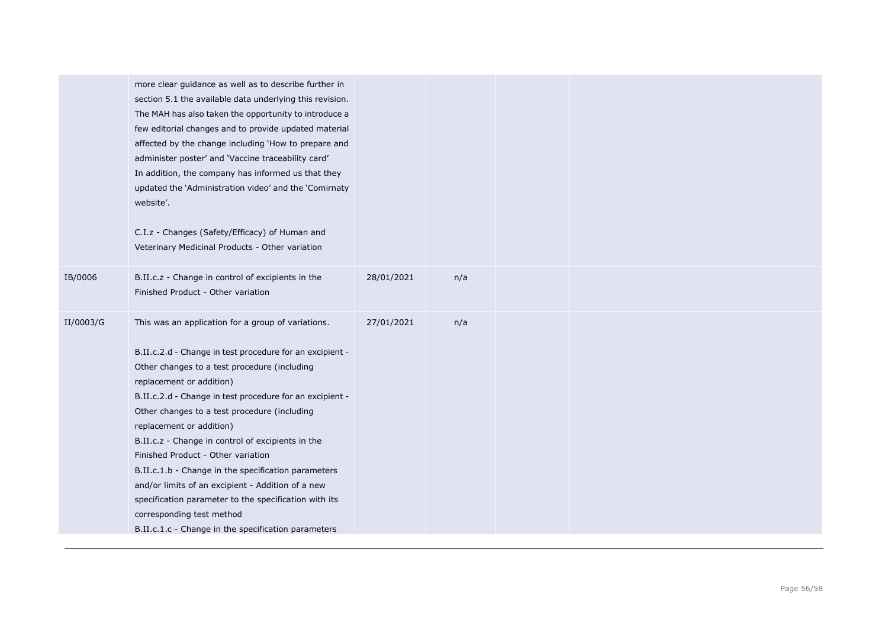|           | more clear guidance as well as to describe further in<br>section 5.1 the available data underlying this revision.<br>The MAH has also taken the opportunity to introduce a<br>few editorial changes and to provide updated material<br>affected by the change including 'How to prepare and<br>administer poster' and 'Vaccine traceability card'<br>In addition, the company has informed us that they<br>updated the 'Administration video' and the 'Comirnaty<br>website'.                                                                                                                                                                                                          |            |     |  |  |
|-----------|----------------------------------------------------------------------------------------------------------------------------------------------------------------------------------------------------------------------------------------------------------------------------------------------------------------------------------------------------------------------------------------------------------------------------------------------------------------------------------------------------------------------------------------------------------------------------------------------------------------------------------------------------------------------------------------|------------|-----|--|--|
|           | C.I.z - Changes (Safety/Efficacy) of Human and<br>Veterinary Medicinal Products - Other variation                                                                                                                                                                                                                                                                                                                                                                                                                                                                                                                                                                                      |            |     |  |  |
| IB/0006   | B.II.c.z - Change in control of excipients in the<br>Finished Product - Other variation                                                                                                                                                                                                                                                                                                                                                                                                                                                                                                                                                                                                | 28/01/2021 | n/a |  |  |
| II/0003/G | This was an application for a group of variations.<br>B.II.c.2.d - Change in test procedure for an excipient -<br>Other changes to a test procedure (including<br>replacement or addition)<br>B.II.c.2.d - Change in test procedure for an excipient -<br>Other changes to a test procedure (including<br>replacement or addition)<br>B.II.c.z - Change in control of excipients in the<br>Finished Product - Other variation<br>B.II.c.1.b - Change in the specification parameters<br>and/or limits of an excipient - Addition of a new<br>specification parameter to the specification with its<br>corresponding test method<br>B.II.c.1.c - Change in the specification parameters | 27/01/2021 | n/a |  |  |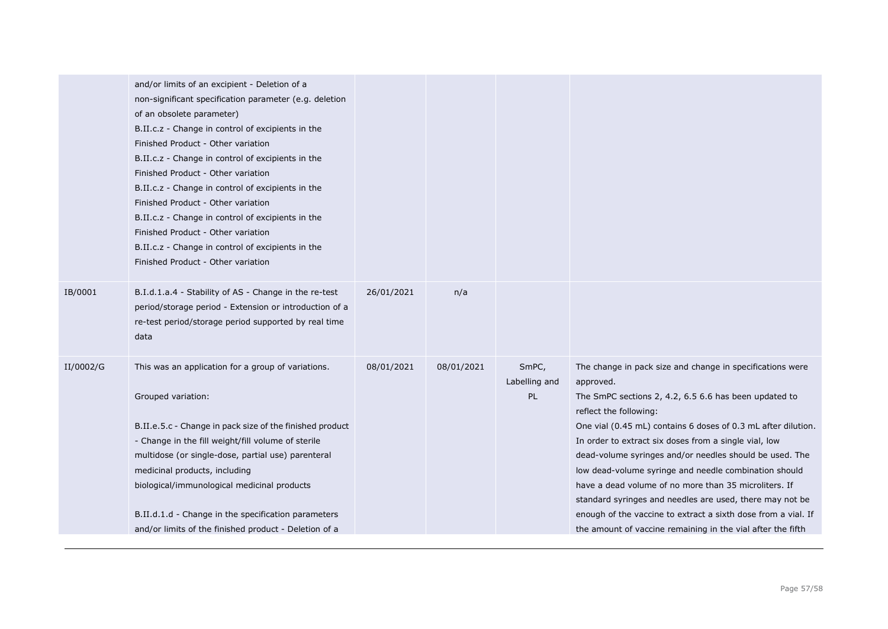|           | and/or limits of an excipient - Deletion of a<br>non-significant specification parameter (e.g. deletion<br>of an obsolete parameter)<br>B.II.c.z - Change in control of excipients in the<br>Finished Product - Other variation<br>B.II.c.z - Change in control of excipients in the<br>Finished Product - Other variation<br>B.II.c.z - Change in control of excipients in the<br>Finished Product - Other variation<br>B.II.c.z - Change in control of excipients in the<br>Finished Product - Other variation<br>B.II.c.z - Change in control of excipients in the<br>Finished Product - Other variation |            |            |                              |                                                                                                                                                                                                                                                                                                                                                                                                                                                                                                                                                                                                                                                              |
|-----------|-------------------------------------------------------------------------------------------------------------------------------------------------------------------------------------------------------------------------------------------------------------------------------------------------------------------------------------------------------------------------------------------------------------------------------------------------------------------------------------------------------------------------------------------------------------------------------------------------------------|------------|------------|------------------------------|--------------------------------------------------------------------------------------------------------------------------------------------------------------------------------------------------------------------------------------------------------------------------------------------------------------------------------------------------------------------------------------------------------------------------------------------------------------------------------------------------------------------------------------------------------------------------------------------------------------------------------------------------------------|
| IB/0001   | B.I.d.1.a.4 - Stability of AS - Change in the re-test<br>period/storage period - Extension or introduction of a<br>re-test period/storage period supported by real time<br>data                                                                                                                                                                                                                                                                                                                                                                                                                             | 26/01/2021 | n/a        |                              |                                                                                                                                                                                                                                                                                                                                                                                                                                                                                                                                                                                                                                                              |
| II/0002/G | This was an application for a group of variations.<br>Grouped variation:<br>B.II.e.5.c - Change in pack size of the finished product<br>- Change in the fill weight/fill volume of sterile<br>multidose (or single-dose, partial use) parenteral<br>medicinal products, including<br>biological/immunological medicinal products<br>B.II.d.1.d - Change in the specification parameters<br>and/or limits of the finished product - Deletion of a                                                                                                                                                            | 08/01/2021 | 08/01/2021 | SmPC,<br>Labelling and<br>PL | The change in pack size and change in specifications were<br>approved.<br>The SmPC sections 2, 4.2, 6.5 6.6 has been updated to<br>reflect the following:<br>One vial (0.45 mL) contains 6 doses of 0.3 mL after dilution.<br>In order to extract six doses from a single vial, low<br>dead-volume syringes and/or needles should be used. The<br>low dead-volume syringe and needle combination should<br>have a dead volume of no more than 35 microliters. If<br>standard syringes and needles are used, there may not be<br>enough of the vaccine to extract a sixth dose from a vial. If<br>the amount of vaccine remaining in the vial after the fifth |